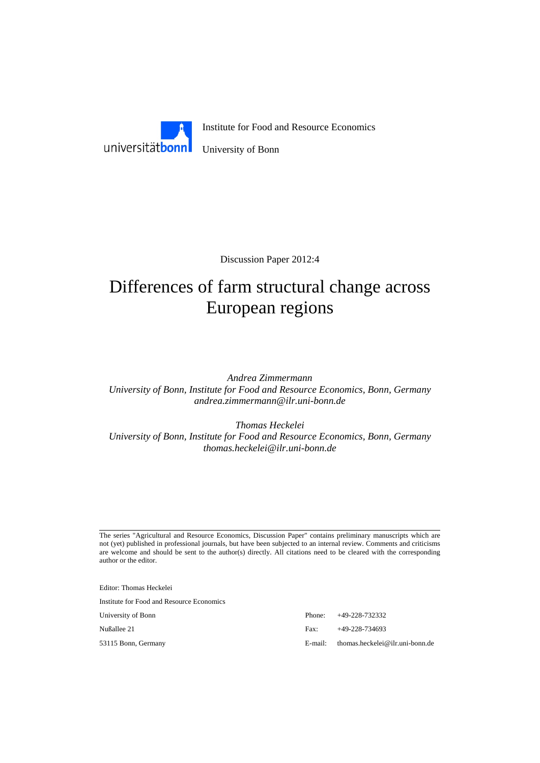

Discussion Paper 2012:4

# Differences of farm structural change across European regions

*Andrea Zimmermann University of Bonn, Institute for Food and Resource Economics, Bonn, Germany andrea.zimmermann@ilr.uni-bonn.de* 

*Thomas Heckelei University of Bonn, Institute for Food and Resource Economics, Bonn, Germany thomas.heckelei@ilr.uni-bonn.de* 

The series "Agricultural and Resource Economics, Discussion Paper" contains preliminary manuscripts which are not (yet) published in professional journals, but have been subjected to an internal review. Comments and criticisms are welcome and should be sent to the author(s) directly. All citations need to be cleared with the corresponding author or the editor.

Editor: Thomas Heckelei

Institute for Food and Resource Economics

University of Bonn Phone: +49-228-732332 Nußallee 21 Fax: +49-228-734693 53115 Bonn, Germany E-mail: thomas.heckelei@ilr.uni-bonn.de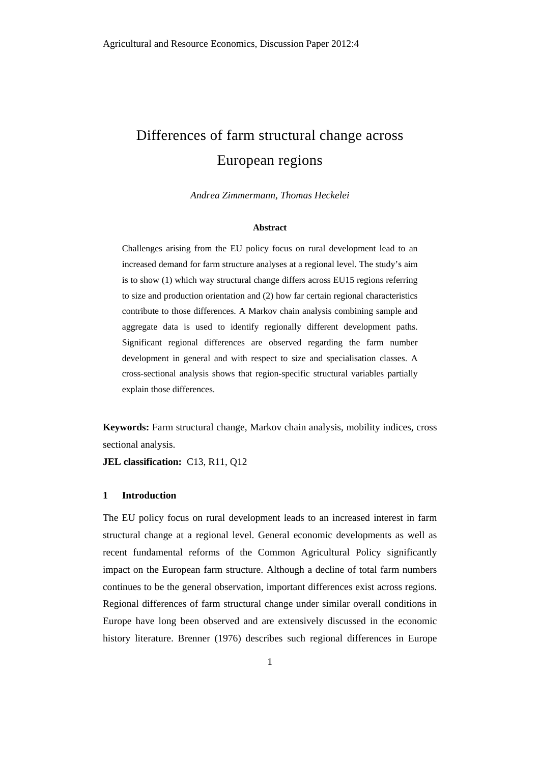# Differences of farm structural change across European regions

*Andrea Zimmermann, Thomas Heckelei* 

#### **Abstract**

Challenges arising from the EU policy focus on rural development lead to an increased demand for farm structure analyses at a regional level. The study's aim is to show (1) which way structural change differs across EU15 regions referring to size and production orientation and (2) how far certain regional characteristics contribute to those differences. A Markov chain analysis combining sample and aggregate data is used to identify regionally different development paths. Significant regional differences are observed regarding the farm number development in general and with respect to size and specialisation classes. A cross-sectional analysis shows that region-specific structural variables partially explain those differences.

**Keywords:** Farm structural change, Markov chain analysis, mobility indices, cross sectional analysis.

**JEL classification:** C13, R11, Q12

#### **1 Introduction**

The EU policy focus on rural development leads to an increased interest in farm structural change at a regional level. General economic developments as well as recent fundamental reforms of the Common Agricultural Policy significantly impact on the European farm structure. Although a decline of total farm numbers continues to be the general observation, important differences exist across regions. Regional differences of farm structural change under similar overall conditions in Europe have long been observed and are extensively discussed in the economic history literature. Brenner (1976) describes such regional differences in Europe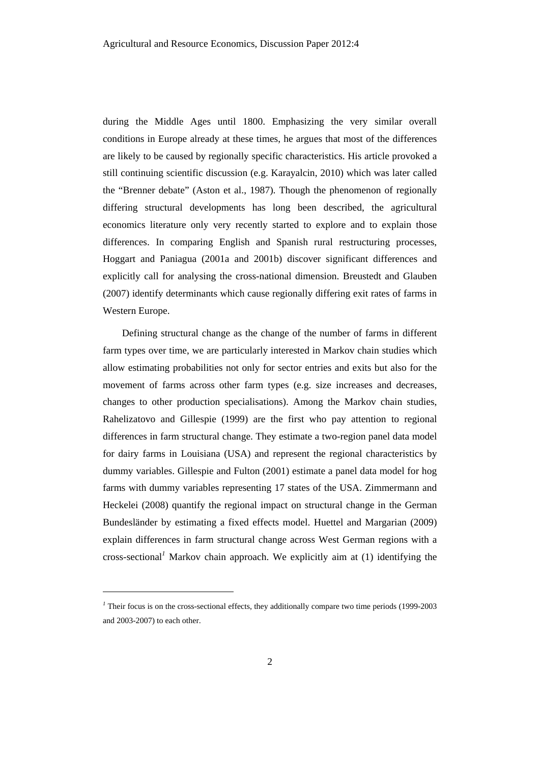during the Middle Ages until 1800. Emphasizing the very similar overall conditions in Europe already at these times, he argues that most of the differences are likely to be caused by regionally specific characteristics. His article provoked a still continuing scientific discussion (e.g. Karayalcin, 2010) which was later called the "Brenner debate" (Aston et al., 1987). Though the phenomenon of regionally differing structural developments has long been described, the agricultural economics literature only very recently started to explore and to explain those differences. In comparing English and Spanish rural restructuring processes, Hoggart and Paniagua (2001a and 2001b) discover significant differences and explicitly call for analysing the cross-national dimension. Breustedt and Glauben (2007) identify determinants which cause regionally differing exit rates of farms in Western Europe.

Defining structural change as the change of the number of farms in different farm types over time, we are particularly interested in Markov chain studies which allow estimating probabilities not only for sector entries and exits but also for the movement of farms across other farm types (e.g. size increases and decreases, changes to other production specialisations). Among the Markov chain studies, Rahelizatovo and Gillespie (1999) are the first who pay attention to regional differences in farm structural change. They estimate a two-region panel data model for dairy farms in Louisiana (USA) and represent the regional characteristics by dummy variables. Gillespie and Fulton (2001) estimate a panel data model for hog farms with dummy variables representing 17 states of the USA. Zimmermann and Heckelei (2008) quantify the regional impact on structural change in the German Bundesländer by estimating a fixed effects model. Huettel and Margarian (2009) explain differences in farm structural change across West German regions with a cross-sectional*<sup>1</sup>* Markov chain approach. We explicitly aim at (1) identifying the

l

<sup>&</sup>lt;sup>1</sup> Their focus is on the cross-sectional effects, they additionally compare two time periods (1999-2003) and 2003-2007) to each other.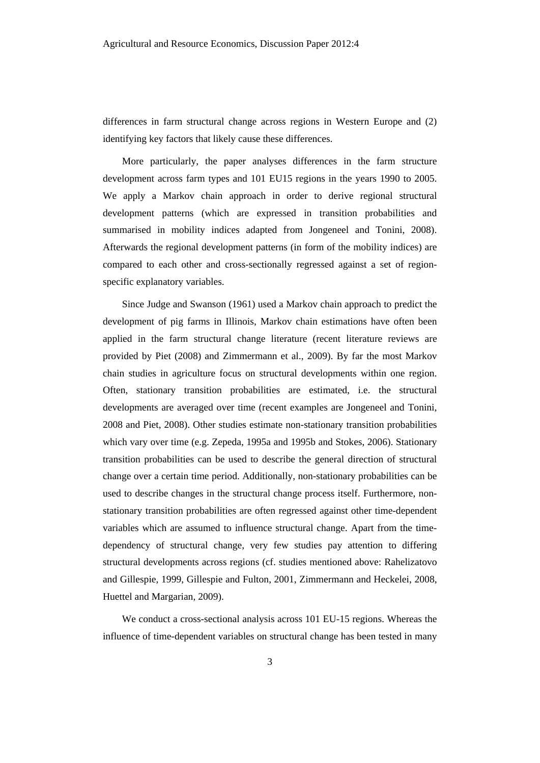differences in farm structural change across regions in Western Europe and (2) identifying key factors that likely cause these differences.

More particularly, the paper analyses differences in the farm structure development across farm types and 101 EU15 regions in the years 1990 to 2005. We apply a Markov chain approach in order to derive regional structural development patterns (which are expressed in transition probabilities and summarised in mobility indices adapted from Jongeneel and Tonini, 2008). Afterwards the regional development patterns (in form of the mobility indices) are compared to each other and cross-sectionally regressed against a set of regionspecific explanatory variables.

Since Judge and Swanson (1961) used a Markov chain approach to predict the development of pig farms in Illinois, Markov chain estimations have often been applied in the farm structural change literature (recent literature reviews are provided by Piet (2008) and Zimmermann et al., 2009). By far the most Markov chain studies in agriculture focus on structural developments within one region. Often, stationary transition probabilities are estimated, i.e. the structural developments are averaged over time (recent examples are Jongeneel and Tonini, 2008 and Piet, 2008). Other studies estimate non-stationary transition probabilities which vary over time (e.g. Zepeda, 1995a and 1995b and Stokes, 2006). Stationary transition probabilities can be used to describe the general direction of structural change over a certain time period. Additionally, non-stationary probabilities can be used to describe changes in the structural change process itself. Furthermore, nonstationary transition probabilities are often regressed against other time-dependent variables which are assumed to influence structural change. Apart from the timedependency of structural change, very few studies pay attention to differing structural developments across regions (cf. studies mentioned above: Rahelizatovo and Gillespie, 1999, Gillespie and Fulton, 2001, Zimmermann and Heckelei, 2008, Huettel and Margarian, 2009).

We conduct a cross-sectional analysis across 101 EU-15 regions. Whereas the influence of time-dependent variables on structural change has been tested in many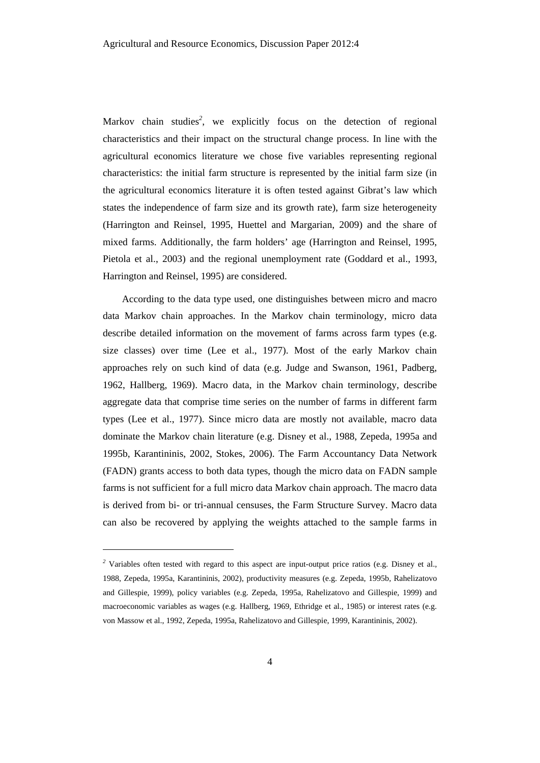Markov chain studies<sup>2</sup>, we explicitly focus on the detection of regional characteristics and their impact on the structural change process. In line with the agricultural economics literature we chose five variables representing regional characteristics: the initial farm structure is represented by the initial farm size (in the agricultural economics literature it is often tested against Gibrat's law which states the independence of farm size and its growth rate), farm size heterogeneity (Harrington and Reinsel, 1995, Huettel and Margarian, 2009) and the share of mixed farms. Additionally, the farm holders' age (Harrington and Reinsel, 1995, Pietola et al., 2003) and the regional unemployment rate (Goddard et al., 1993, Harrington and Reinsel, 1995) are considered.

According to the data type used, one distinguishes between micro and macro data Markov chain approaches. In the Markov chain terminology, micro data describe detailed information on the movement of farms across farm types (e.g. size classes) over time (Lee et al., 1977). Most of the early Markov chain approaches rely on such kind of data (e.g. Judge and Swanson, 1961, Padberg, 1962, Hallberg, 1969). Macro data, in the Markov chain terminology, describe aggregate data that comprise time series on the number of farms in different farm types (Lee et al., 1977). Since micro data are mostly not available, macro data dominate the Markov chain literature (e.g. Disney et al., 1988, Zepeda, 1995a and 1995b, Karantininis, 2002, Stokes, 2006). The Farm Accountancy Data Network (FADN) grants access to both data types, though the micro data on FADN sample farms is not sufficient for a full micro data Markov chain approach. The macro data is derived from bi- or tri-annual censuses, the Farm Structure Survey. Macro data can also be recovered by applying the weights attached to the sample farms in

l

<sup>&</sup>lt;sup>2</sup> Variables often tested with regard to this aspect are input-output price ratios (e.g. Disney et al., 1988, Zepeda, 1995a, Karantininis, 2002), productivity measures (e.g. Zepeda, 1995b, Rahelizatovo and Gillespie, 1999), policy variables (e.g. Zepeda, 1995a, Rahelizatovo and Gillespie, 1999) and macroeconomic variables as wages (e.g. Hallberg, 1969, Ethridge et al., 1985) or interest rates (e.g. von Massow et al., 1992, Zepeda, 1995a, Rahelizatovo and Gillespie, 1999, Karantininis, 2002).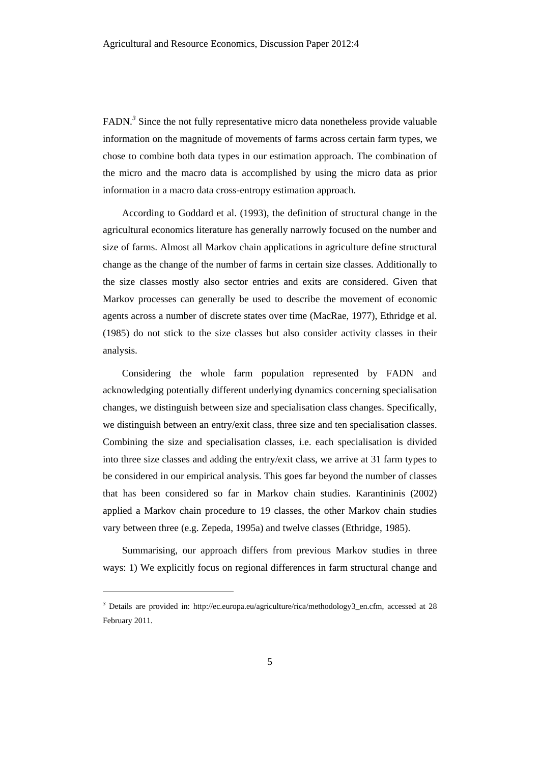FADN.<sup>3</sup> Since the not fully representative micro data nonetheless provide valuable information on the magnitude of movements of farms across certain farm types, we chose to combine both data types in our estimation approach. The combination of the micro and the macro data is accomplished by using the micro data as prior information in a macro data cross-entropy estimation approach.

According to Goddard et al. (1993), the definition of structural change in the agricultural economics literature has generally narrowly focused on the number and size of farms. Almost all Markov chain applications in agriculture define structural change as the change of the number of farms in certain size classes. Additionally to the size classes mostly also sector entries and exits are considered. Given that Markov processes can generally be used to describe the movement of economic agents across a number of discrete states over time (MacRae, 1977), Ethridge et al. (1985) do not stick to the size classes but also consider activity classes in their analysis.

Considering the whole farm population represented by FADN and acknowledging potentially different underlying dynamics concerning specialisation changes, we distinguish between size and specialisation class changes. Specifically, we distinguish between an entry/exit class, three size and ten specialisation classes. Combining the size and specialisation classes, i.e. each specialisation is divided into three size classes and adding the entry/exit class, we arrive at 31 farm types to be considered in our empirical analysis. This goes far beyond the number of classes that has been considered so far in Markov chain studies. Karantininis (2002) applied a Markov chain procedure to 19 classes, the other Markov chain studies vary between three (e.g. Zepeda, 1995a) and twelve classes (Ethridge, 1985).

Summarising, our approach differs from previous Markov studies in three ways: 1) We explicitly focus on regional differences in farm structural change and

l

<sup>&</sup>lt;sup>3</sup> Details are provided in: http://ec.europa.eu/agriculture/rica/methodology3\_en.cfm, accessed at 28 February 2011.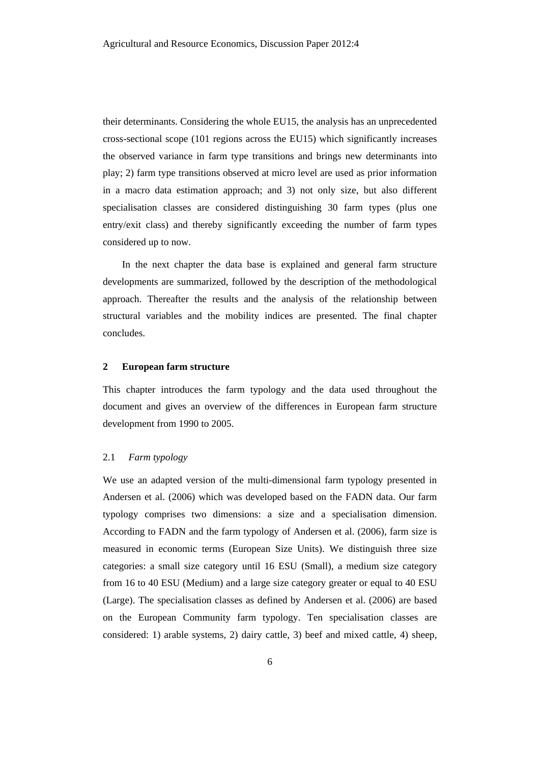their determinants. Considering the whole EU15, the analysis has an unprecedented cross-sectional scope (101 regions across the EU15) which significantly increases the observed variance in farm type transitions and brings new determinants into play; 2) farm type transitions observed at micro level are used as prior information in a macro data estimation approach; and 3) not only size, but also different specialisation classes are considered distinguishing 30 farm types (plus one entry/exit class) and thereby significantly exceeding the number of farm types considered up to now.

In the next chapter the data base is explained and general farm structure developments are summarized, followed by the description of the methodological approach. Thereafter the results and the analysis of the relationship between structural variables and the mobility indices are presented. The final chapter concludes.

# **2 European farm structure**

This chapter introduces the farm typology and the data used throughout the document and gives an overview of the differences in European farm structure development from 1990 to 2005.

#### 2.1 *Farm typology*

We use an adapted version of the multi-dimensional farm typology presented in Andersen et al. (2006) which was developed based on the FADN data. Our farm typology comprises two dimensions: a size and a specialisation dimension. According to FADN and the farm typology of Andersen et al. (2006), farm size is measured in economic terms (European Size Units). We distinguish three size categories: a small size category until 16 ESU (Small), a medium size category from 16 to 40 ESU (Medium) and a large size category greater or equal to 40 ESU (Large). The specialisation classes as defined by Andersen et al. (2006) are based on the European Community farm typology. Ten specialisation classes are considered: 1) arable systems, 2) dairy cattle, 3) beef and mixed cattle, 4) sheep,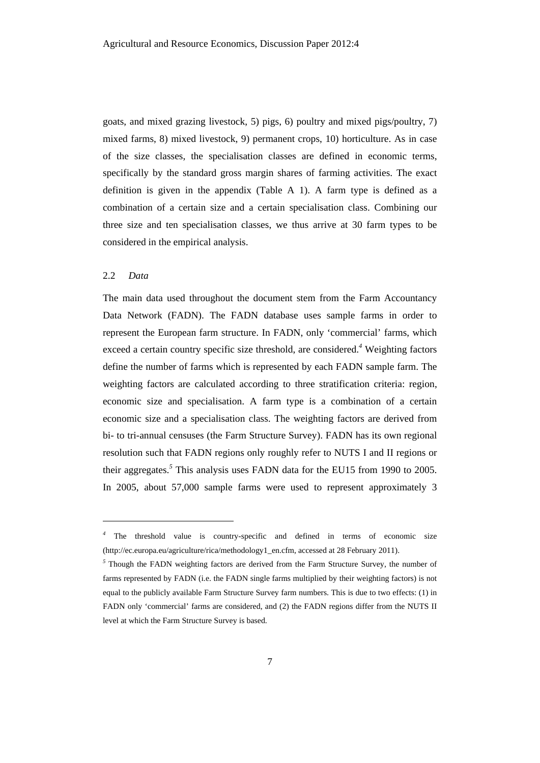goats, and mixed grazing livestock, 5) pigs, 6) poultry and mixed pigs/poultry, 7) mixed farms, 8) mixed livestock, 9) permanent crops, 10) horticulture. As in case of the size classes, the specialisation classes are defined in economic terms, specifically by the standard gross margin shares of farming activities. The exact definition is given in the appendix (Table A 1). A farm type is defined as a combination of a certain size and a certain specialisation class. Combining our three size and ten specialisation classes, we thus arrive at 30 farm types to be considered in the empirical analysis.

# 2.2 *Data*

l

The main data used throughout the document stem from the Farm Accountancy Data Network (FADN). The FADN database uses sample farms in order to represent the European farm structure. In FADN, only 'commercial' farms, which exceed a certain country specific size threshold, are considered.*<sup>4</sup>* Weighting factors define the number of farms which is represented by each FADN sample farm. The weighting factors are calculated according to three stratification criteria: region, economic size and specialisation. A farm type is a combination of a certain economic size and a specialisation class. The weighting factors are derived from bi- to tri-annual censuses (the Farm Structure Survey). FADN has its own regional resolution such that FADN regions only roughly refer to NUTS I and II regions or their aggregates.*<sup>5</sup>* This analysis uses FADN data for the EU15 from 1990 to 2005. In 2005, about 57,000 sample farms were used to represent approximately 3

*<sup>4</sup>* The threshold value is country-specific and defined in terms of economic size (http://ec.europa.eu/agriculture/rica/methodology1\_en.cfm, accessed at 28 February 2011).

<sup>&</sup>lt;sup>5</sup> Though the FADN weighting factors are derived from the Farm Structure Survey, the number of farms represented by FADN (i.e. the FADN single farms multiplied by their weighting factors) is not equal to the publicly available Farm Structure Survey farm numbers. This is due to two effects: (1) in FADN only 'commercial' farms are considered, and (2) the FADN regions differ from the NUTS II level at which the Farm Structure Survey is based.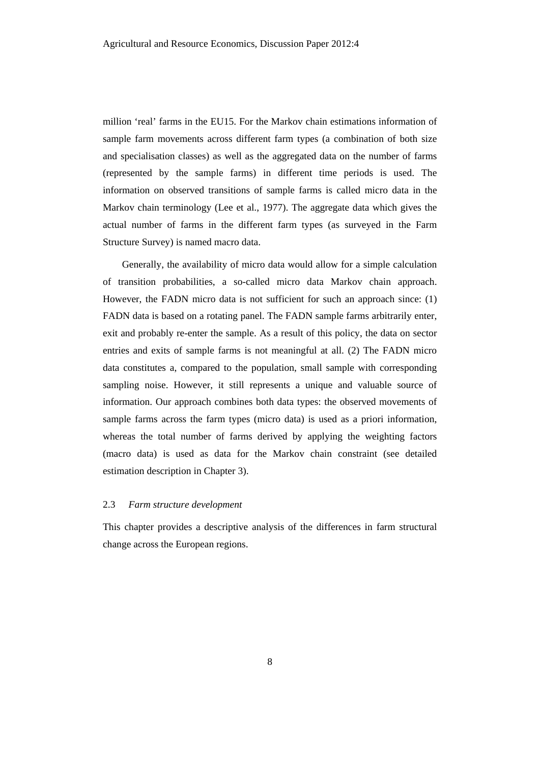million 'real' farms in the EU15. For the Markov chain estimations information of sample farm movements across different farm types (a combination of both size and specialisation classes) as well as the aggregated data on the number of farms (represented by the sample farms) in different time periods is used. The information on observed transitions of sample farms is called micro data in the Markov chain terminology (Lee et al., 1977). The aggregate data which gives the actual number of farms in the different farm types (as surveyed in the Farm Structure Survey) is named macro data.

Generally, the availability of micro data would allow for a simple calculation of transition probabilities, a so-called micro data Markov chain approach. However, the FADN micro data is not sufficient for such an approach since: (1) FADN data is based on a rotating panel. The FADN sample farms arbitrarily enter, exit and probably re-enter the sample. As a result of this policy, the data on sector entries and exits of sample farms is not meaningful at all. (2) The FADN micro data constitutes a, compared to the population, small sample with corresponding sampling noise. However, it still represents a unique and valuable source of information. Our approach combines both data types: the observed movements of sample farms across the farm types (micro data) is used as a priori information, whereas the total number of farms derived by applying the weighting factors (macro data) is used as data for the Markov chain constraint (see detailed estimation description in Chapter 3).

# 2.3 *Farm structure development*

This chapter provides a descriptive analysis of the differences in farm structural change across the European regions.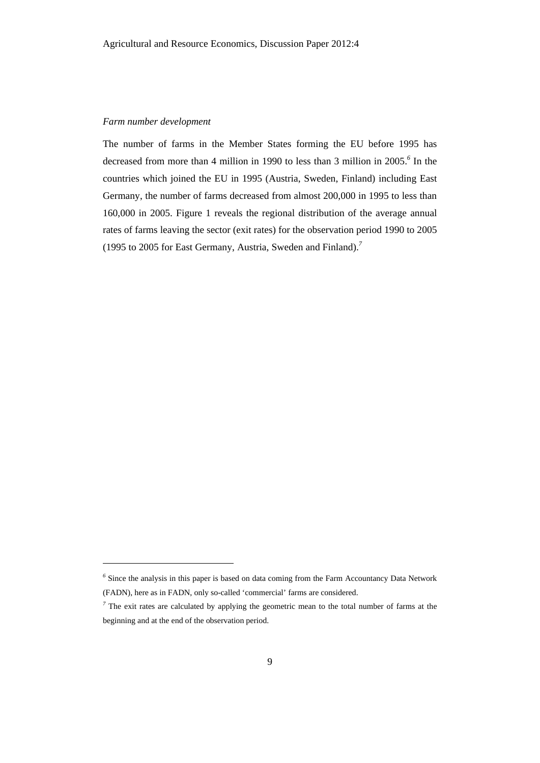## *Farm number development*

l

The number of farms in the Member States forming the EU before 1995 has decreased from more than 4 million in 1990 to less than 3 million in 2005.*<sup>6</sup>* In the countries which joined the EU in 1995 (Austria, Sweden, Finland) including East Germany, the number of farms decreased from almost 200,000 in 1995 to less than 160,000 in 2005. Figure 1 reveals the regional distribution of the average annual rates of farms leaving the sector (exit rates) for the observation period 1990 to 2005 (1995 to 2005 for East Germany, Austria, Sweden and Finland).*<sup>7</sup>*

<sup>&</sup>lt;sup>6</sup> Since the analysis in this paper is based on data coming from the Farm Accountancy Data Network (FADN), here as in FADN, only so-called 'commercial' farms are considered.

 $<sup>7</sup>$  The exit rates are calculated by applying the geometric mean to the total number of farms at the</sup> beginning and at the end of the observation period.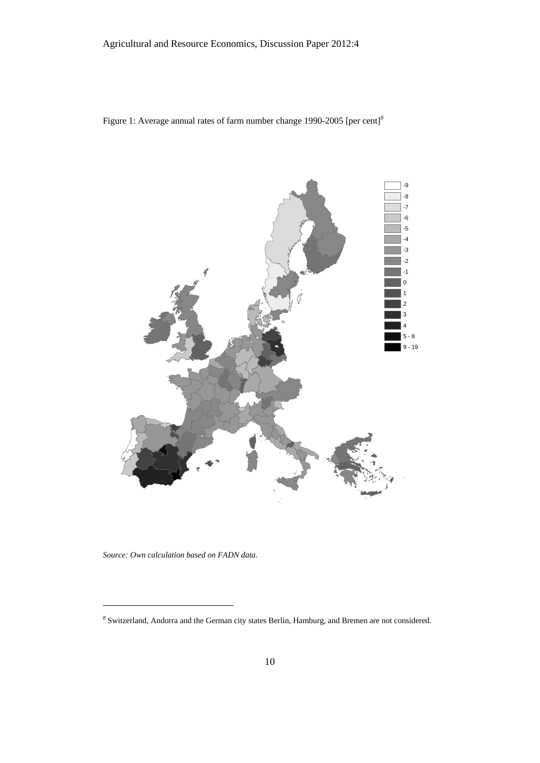



*Source: Own calculation based on FADN data.* 

l

*<sup>8</sup>* Switzerland, Andorra and the German city states Berlin, Hamburg, and Bremen are not considered.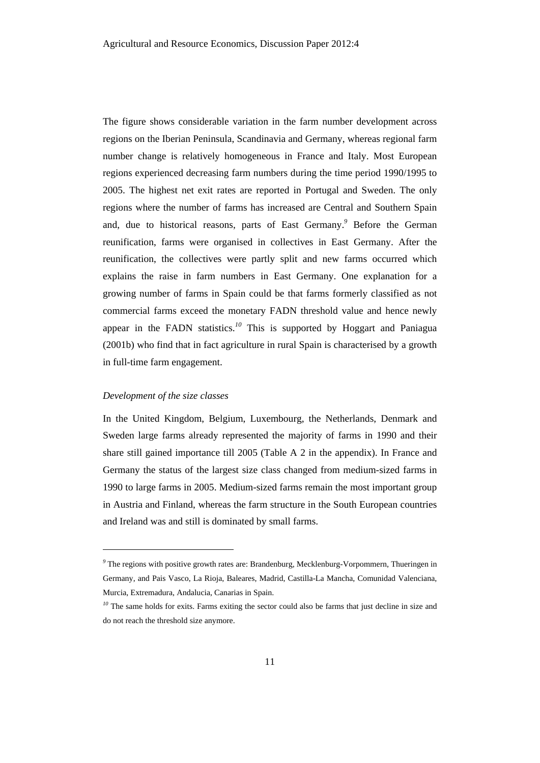The figure shows considerable variation in the farm number development across regions on the Iberian Peninsula, Scandinavia and Germany, whereas regional farm number change is relatively homogeneous in France and Italy. Most European regions experienced decreasing farm numbers during the time period 1990/1995 to 2005. The highest net exit rates are reported in Portugal and Sweden. The only regions where the number of farms has increased are Central and Southern Spain and, due to historical reasons, parts of East Germany.*<sup>9</sup>* Before the German reunification, farms were organised in collectives in East Germany. After the reunification, the collectives were partly split and new farms occurred which explains the raise in farm numbers in East Germany. One explanation for a growing number of farms in Spain could be that farms formerly classified as not commercial farms exceed the monetary FADN threshold value and hence newly appear in the FADN statistics.*<sup>10</sup>* This is supported by Hoggart and Paniagua (2001b) who find that in fact agriculture in rural Spain is characterised by a growth in full-time farm engagement.

#### *Development of the size classes*

 $\overline{a}$ 

In the United Kingdom, Belgium, Luxembourg, the Netherlands, Denmark and Sweden large farms already represented the majority of farms in 1990 and their share still gained importance till 2005 (Table A 2 in the appendix). In France and Germany the status of the largest size class changed from medium-sized farms in 1990 to large farms in 2005. Medium-sized farms remain the most important group in Austria and Finland, whereas the farm structure in the South European countries and Ireland was and still is dominated by small farms.

<sup>&</sup>lt;sup>9</sup> The regions with positive growth rates are: Brandenburg, Mecklenburg-Vorpommern, Thueringen in Germany, and Pais Vasco, La Rioja, Baleares, Madrid, Castilla-La Mancha, Comunidad Valenciana, Murcia, Extremadura, Andalucia, Canarias in Spain.

<sup>&</sup>lt;sup>10</sup> The same holds for exits. Farms exiting the sector could also be farms that just decline in size and do not reach the threshold size anymore.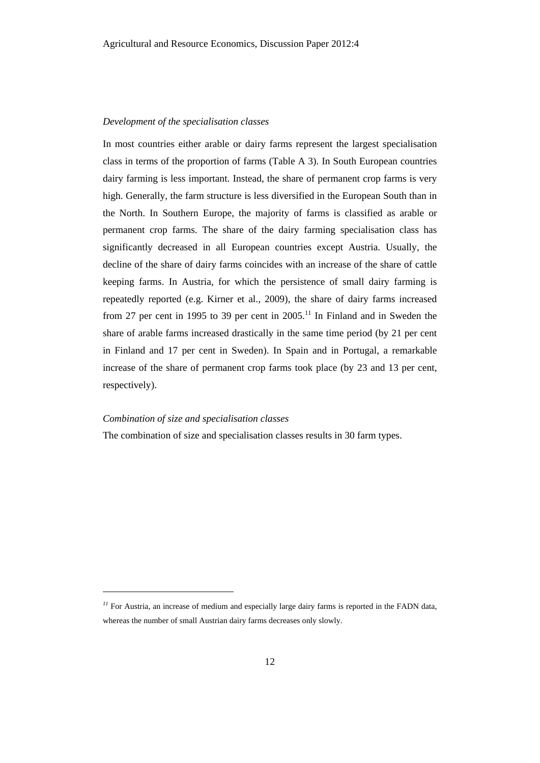#### *Development of the specialisation classes*

In most countries either arable or dairy farms represent the largest specialisation class in terms of the proportion of farms (Table A 3). In South European countries dairy farming is less important. Instead, the share of permanent crop farms is very high. Generally, the farm structure is less diversified in the European South than in the North. In Southern Europe, the majority of farms is classified as arable or permanent crop farms. The share of the dairy farming specialisation class has significantly decreased in all European countries except Austria. Usually, the decline of the share of dairy farms coincides with an increase of the share of cattle keeping farms. In Austria, for which the persistence of small dairy farming is repeatedly reported (e.g. Kirner et al., 2009), the share of dairy farms increased from 27 per cent in 1995 to 39 per cent in  $2005$ .<sup>11</sup> In Finland and in Sweden the share of arable farms increased drastically in the same time period (by 21 per cent in Finland and 17 per cent in Sweden). In Spain and in Portugal, a remarkable increase of the share of permanent crop farms took place (by 23 and 13 per cent, respectively).

#### *Combination of size and specialisation classes*

 $\overline{a}$ 

The combination of size and specialisation classes results in 30 farm types.

<sup>&</sup>lt;sup>11</sup> For Austria, an increase of medium and especially large dairy farms is reported in the FADN data, whereas the number of small Austrian dairy farms decreases only slowly.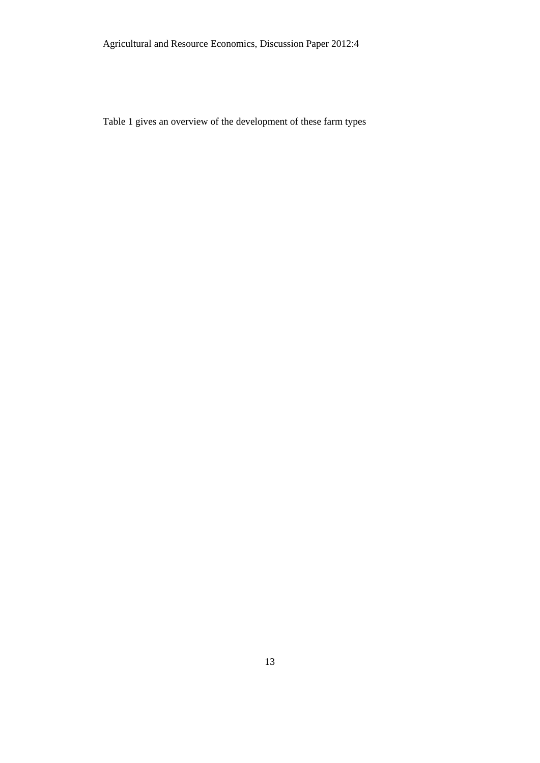Agricultural and Resource Economics, Discussion Paper 2012:4

Table 1 gives an overview of the development of these farm types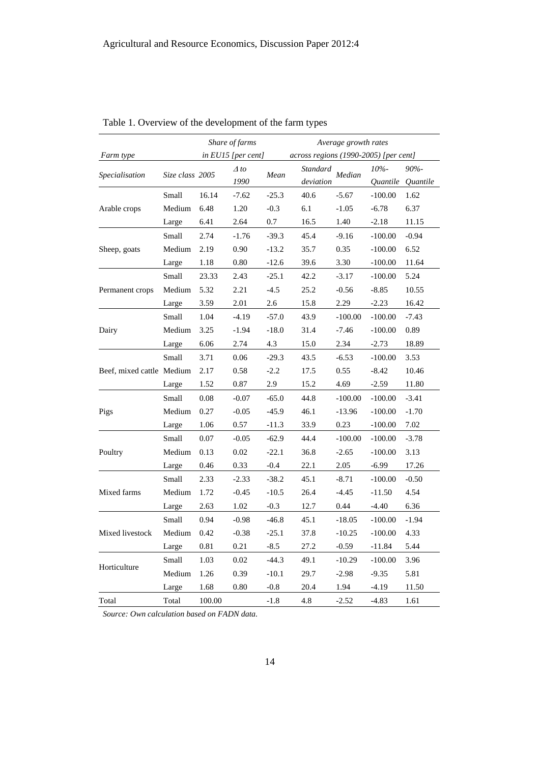|                           |                                             |        | Share of farms      |         | Average growth rates                  |           |                                                                                                                                                                                                                                                                                                                      |                                                                                       |  |  |
|---------------------------|---------------------------------------------|--------|---------------------|---------|---------------------------------------|-----------|----------------------------------------------------------------------------------------------------------------------------------------------------------------------------------------------------------------------------------------------------------------------------------------------------------------------|---------------------------------------------------------------------------------------|--|--|
| Farm type                 |                                             |        | in EU15 [per cent]  |         | across regions (1990-2005) [per cent] |           |                                                                                                                                                                                                                                                                                                                      |                                                                                       |  |  |
| Specialisation            |                                             |        | $\Delta$ to<br>1990 | Mean    | Standard<br>deviation                 | Median    | $10% -$                                                                                                                                                                                                                                                                                                              | $90% -$                                                                               |  |  |
|                           | Small                                       | 16.14  | $-7.62$             | $-25.3$ | 40.6                                  | $-5.67$   | $-100.00$                                                                                                                                                                                                                                                                                                            | 1.62                                                                                  |  |  |
| Arable crops              | Medium                                      | 6.48   | 1.20                | $-0.3$  | 6.1                                   | $-1.05$   | $-6.78$                                                                                                                                                                                                                                                                                                              | 6.37                                                                                  |  |  |
|                           | Large                                       | 6.41   | 2.64                | 0.7     | 16.5                                  | 1.40      | $-2.18$                                                                                                                                                                                                                                                                                                              | 11.15                                                                                 |  |  |
|                           | Small                                       | 2.74   | $-1.76$             | $-39.3$ | 45.4                                  | $-9.16$   | $-100.00$                                                                                                                                                                                                                                                                                                            | $-0.94$                                                                               |  |  |
| Sheep, goats              | Medium                                      | 2.19   | 0.90                | $-13.2$ | 35.7                                  | 0.35      | $-100.00$                                                                                                                                                                                                                                                                                                            | 6.52                                                                                  |  |  |
|                           | Large                                       | 1.18   | 0.80                | $-12.6$ | 39.6                                  | 3.30      | $-100.00$<br>$-100.00$<br>$-8.85$<br>$-2.23$<br>$-100.00$<br>$-100.00$<br>$-2.73$<br>$-100.00$<br>$-8.42$<br>$-2.59$<br>$-100.00$<br>$-100.00$<br>$-100.00$<br>$-100.00$<br>$-100.00$<br>$-6.99$<br>$-100.00$<br>$-11.50$<br>$-4.40$<br>$-100.00$<br>$-100.00$<br>$-11.84$<br>$-100.00$<br>$-9.35$<br>-4.19<br>-4.83 | 11.64                                                                                 |  |  |
|                           | Small                                       | 23.33  | 2.43                | $-25.1$ | 42.2                                  | $-3.17$   |                                                                                                                                                                                                                                                                                                                      | 5.24                                                                                  |  |  |
| Permanent crops           | Medium                                      | 5.32   | 2.21                | $-4.5$  | 25.2                                  | $-0.56$   |                                                                                                                                                                                                                                                                                                                      | 10.55                                                                                 |  |  |
|                           | Large                                       | 3.59   | 2.01                | 2.6     | 15.8                                  | 2.29      |                                                                                                                                                                                                                                                                                                                      | 16.42                                                                                 |  |  |
|                           | Small                                       | 1.04   | $-4.19$             | $-57.0$ | 43.9                                  | $-100.00$ |                                                                                                                                                                                                                                                                                                                      | $-7.43$                                                                               |  |  |
| Dairy                     | Medium                                      | 3.25   | $-1.94$             | $-18.0$ | 31.4                                  | $-7.46$   |                                                                                                                                                                                                                                                                                                                      | 0.89                                                                                  |  |  |
|                           | Large                                       | 6.06   | 2.74                | 4.3     | 15.0                                  | 2.34      |                                                                                                                                                                                                                                                                                                                      | 18.89                                                                                 |  |  |
|                           | Small                                       | 3.71   | 0.06                | $-29.3$ | 43.5                                  | $-6.53$   |                                                                                                                                                                                                                                                                                                                      | 3.53                                                                                  |  |  |
| Beef, mixed cattle Medium |                                             | 2.17   | 0.58                | $-2.2$  | 17.5                                  | 0.55      |                                                                                                                                                                                                                                                                                                                      | 10.46                                                                                 |  |  |
|                           | Large                                       | 1.52   | 0.87                | 2.9     | 15.2                                  | 4.69      |                                                                                                                                                                                                                                                                                                                      | 11.80                                                                                 |  |  |
|                           | Small                                       | 0.08   | $-0.07$             | $-65.0$ | 44.8                                  | $-100.00$ |                                                                                                                                                                                                                                                                                                                      | $-3.41$                                                                               |  |  |
| Pigs                      | Medium                                      | 0.27   | $-0.05$             | $-45.9$ | 46.1                                  | $-13.96$  |                                                                                                                                                                                                                                                                                                                      | $-1.70$                                                                               |  |  |
|                           | Large                                       | 1.06   | 0.57                | $-11.3$ | 33.9                                  | 0.23      |                                                                                                                                                                                                                                                                                                                      | 7.02                                                                                  |  |  |
|                           | Small                                       | 0.07   | $-0.05$             | $-62.9$ | 44.4                                  | $-100.00$ |                                                                                                                                                                                                                                                                                                                      | $-3.78$                                                                               |  |  |
| Poultry                   | Medium                                      | 0.13   | 0.02                | $-22.1$ | 36.8                                  | $-2.65$   |                                                                                                                                                                                                                                                                                                                      | 3.13                                                                                  |  |  |
|                           | Large                                       | 0.46   | 0.33                | $-0.4$  | 22.1                                  | 2.05      |                                                                                                                                                                                                                                                                                                                      | 17.26                                                                                 |  |  |
|                           | Small                                       | 2.33   | $-2.33$             | $-38.2$ | 45.1                                  | $-8.71$   |                                                                                                                                                                                                                                                                                                                      | $-0.50$                                                                               |  |  |
| Mixed farms               | Medium                                      | 1.72   | $-0.45$             | $-10.5$ | 26.4                                  | -4.45     |                                                                                                                                                                                                                                                                                                                      | 4.54                                                                                  |  |  |
|                           | Large                                       | 2.63   | 1.02                | $-0.3$  | 12.7                                  | 0.44      |                                                                                                                                                                                                                                                                                                                      | Quantile Quantile<br>6.36<br>$-1.94$<br>4.33<br>5.44<br>3.96<br>5.81<br>11.50<br>1.61 |  |  |
|                           | Small                                       | 0.94   | $-0.98$             | $-46.8$ | 45.1                                  | $-18.05$  |                                                                                                                                                                                                                                                                                                                      |                                                                                       |  |  |
| Mixed livestock           | Medium                                      | 0.42   | $-0.38$             | $-25.1$ | 37.8                                  | $-10.25$  |                                                                                                                                                                                                                                                                                                                      |                                                                                       |  |  |
|                           | Large                                       | 0.81   | 0.21                | $-8.5$  | 27.2                                  | $-0.59$   |                                                                                                                                                                                                                                                                                                                      |                                                                                       |  |  |
|                           | Small                                       | 1.03   | 0.02                | $-44.3$ | 49.1                                  | $-10.29$  |                                                                                                                                                                                                                                                                                                                      |                                                                                       |  |  |
| Horticulture              | Size class 2005<br>Medium<br>Large<br>Total | 1.26   | 0.39                | $-10.1$ | 29.7                                  | $-2.98$   |                                                                                                                                                                                                                                                                                                                      |                                                                                       |  |  |
|                           |                                             | 1.68   | 0.80                | $-0.8$  | 20.4                                  | 1.94      |                                                                                                                                                                                                                                                                                                                      |                                                                                       |  |  |
| Total                     |                                             | 100.00 |                     | $-1.8$  | 4.8                                   | $-2.52$   |                                                                                                                                                                                                                                                                                                                      |                                                                                       |  |  |

Table 1. Overview of the development of the farm types

*Source: Own calculation based on FADN data.*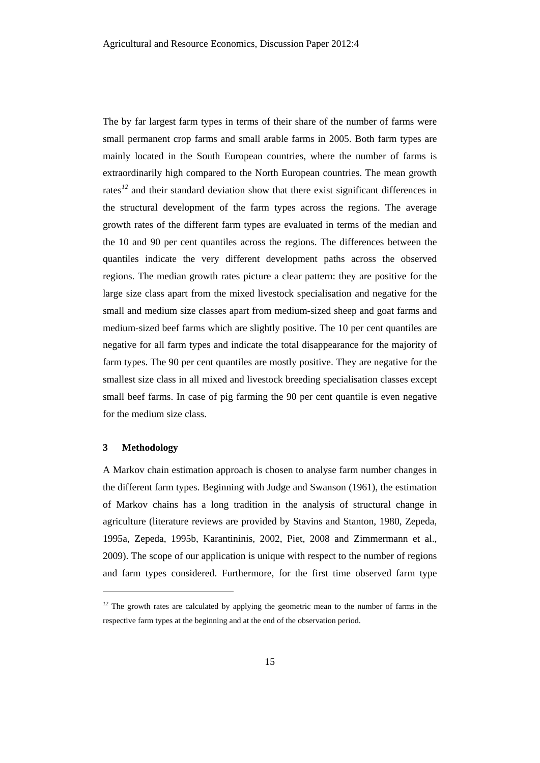The by far largest farm types in terms of their share of the number of farms were small permanent crop farms and small arable farms in 2005. Both farm types are mainly located in the South European countries, where the number of farms is extraordinarily high compared to the North European countries. The mean growth rates<sup>12</sup> and their standard deviation show that there exist significant differences in the structural development of the farm types across the regions. The average growth rates of the different farm types are evaluated in terms of the median and the 10 and 90 per cent quantiles across the regions. The differences between the quantiles indicate the very different development paths across the observed regions. The median growth rates picture a clear pattern: they are positive for the large size class apart from the mixed livestock specialisation and negative for the small and medium size classes apart from medium-sized sheep and goat farms and medium-sized beef farms which are slightly positive. The 10 per cent quantiles are negative for all farm types and indicate the total disappearance for the majority of farm types. The 90 per cent quantiles are mostly positive. They are negative for the smallest size class in all mixed and livestock breeding specialisation classes except small beef farms. In case of pig farming the 90 per cent quantile is even negative for the medium size class.

#### **3 Methodology**

 $\overline{a}$ 

A Markov chain estimation approach is chosen to analyse farm number changes in the different farm types. Beginning with Judge and Swanson (1961), the estimation of Markov chains has a long tradition in the analysis of structural change in agriculture (literature reviews are provided by Stavins and Stanton, 1980, Zepeda, 1995a, Zepeda, 1995b, Karantininis, 2002, Piet, 2008 and Zimmermann et al., 2009). The scope of our application is unique with respect to the number of regions and farm types considered. Furthermore, for the first time observed farm type

<sup>&</sup>lt;sup>12</sup> The growth rates are calculated by applying the geometric mean to the number of farms in the respective farm types at the beginning and at the end of the observation period.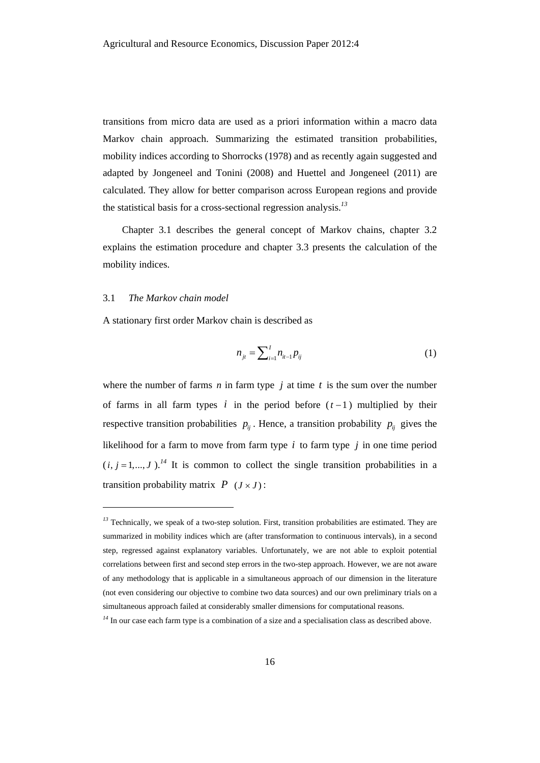transitions from micro data are used as a priori information within a macro data Markov chain approach. Summarizing the estimated transition probabilities, mobility indices according to Shorrocks (1978) and as recently again suggested and adapted by Jongeneel and Tonini (2008) and Huettel and Jongeneel (2011) are calculated. They allow for better comparison across European regions and provide the statistical basis for a cross-sectional regression analysis.*<sup>13</sup>*

Chapter 3.1 describes the general concept of Markov chains, chapter 3.2 explains the estimation procedure and chapter 3.3 presents the calculation of the mobility indices.

#### 3.1 *The Markov chain model*

l

A stationary first order Markov chain is described as

$$
n_{jt} = \sum_{i=1}^{I} n_{it-1} p_{ij} \tag{1}
$$

where the number of farms  $n$  in farm type  $j$  at time  $t$  is the sum over the number of farms in all farm types  $i$  in the period before  $(t-1)$  multiplied by their respective transition probabilities  $p_{ij}$ . Hence, a transition probability  $p_{ij}$  gives the likelihood for a farm to move from farm type  $i$  to farm type  $j$  in one time period  $(i, j = 1, ..., J)$ .<sup>14</sup> It is common to collect the single transition probabilities in a transition probability matrix  $P (J \times J)$ :

<sup>&</sup>lt;sup>13</sup> Technically, we speak of a two-step solution. First, transition probabilities are estimated. They are summarized in mobility indices which are (after transformation to continuous intervals), in a second step, regressed against explanatory variables. Unfortunately, we are not able to exploit potential correlations between first and second step errors in the two-step approach. However, we are not aware of any methodology that is applicable in a simultaneous approach of our dimension in the literature (not even considering our objective to combine two data sources) and our own preliminary trials on a simultaneous approach failed at considerably smaller dimensions for computational reasons.

<sup>&</sup>lt;sup>14</sup> In our case each farm type is a combination of a size and a specialisation class as described above.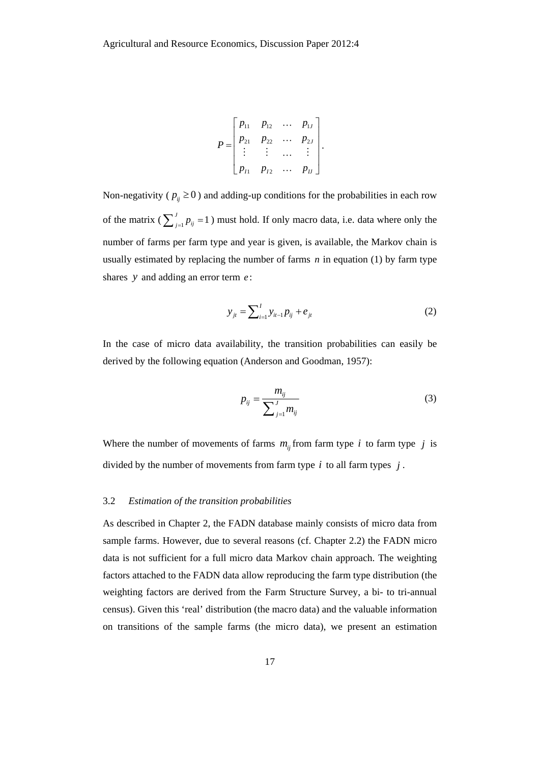$$
P = \begin{bmatrix} p_{11} & p_{12} & \cdots & p_{1J} \\ p_{21} & p_{22} & \cdots & p_{2J} \\ \vdots & \vdots & \cdots & \vdots \\ p_{I1} & p_{I2} & \cdots & p_{IJ} \end{bmatrix}.
$$

Non-negativity ( $p_{ij} \ge 0$ ) and adding-up conditions for the probabilities in each row of the matrix ( $\sum_{j=1}^{J} p_{ij} = 1$ ) must hold. If only macro data, i.e. data where only the number of farms per farm type and year is given, is available, the Markov chain is usually estimated by replacing the number of farms *n* in equation (1) by farm type shares *y* and adding an error term *e* :

$$
y_{jt} = \sum_{i=1}^{I} y_{it-1} p_{ij} + e_{jt}
$$
 (2)

In the case of micro data availability, the transition probabilities can easily be derived by the following equation (Anderson and Goodman, 1957):

$$
p_{ij} = \frac{m_{ij}}{\sum_{j=1}^{J} m_{ij}}
$$
 (3)

Where the number of movements of farms  $m_{ij}$  from farm type *i* to farm type *j* is divided by the number of movements from farm type *i* to all farm types *j* .

## 3.2 *Estimation of the transition probabilities*

As described in Chapter 2, the FADN database mainly consists of micro data from sample farms. However, due to several reasons (cf. Chapter 2.2) the FADN micro data is not sufficient for a full micro data Markov chain approach. The weighting factors attached to the FADN data allow reproducing the farm type distribution (the weighting factors are derived from the Farm Structure Survey, a bi- to tri-annual census). Given this 'real' distribution (the macro data) and the valuable information on transitions of the sample farms (the micro data), we present an estimation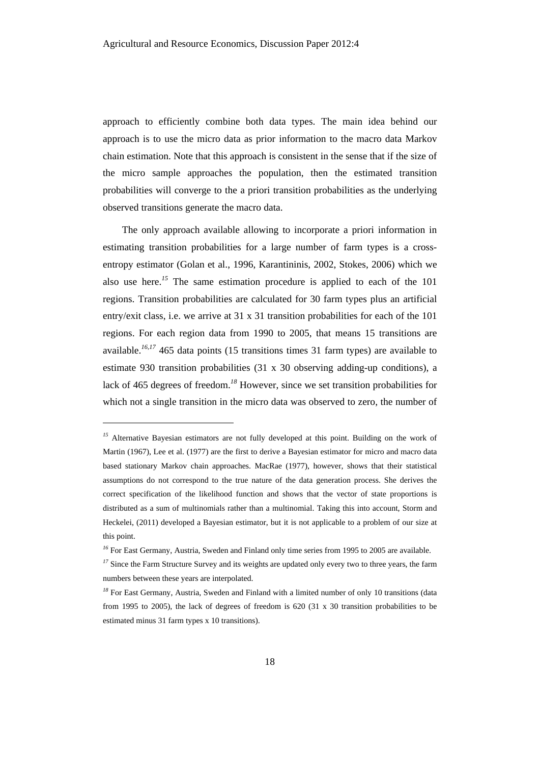approach to efficiently combine both data types. The main idea behind our approach is to use the micro data as prior information to the macro data Markov chain estimation. Note that this approach is consistent in the sense that if the size of the micro sample approaches the population, then the estimated transition probabilities will converge to the a priori transition probabilities as the underlying observed transitions generate the macro data.

The only approach available allowing to incorporate a priori information in estimating transition probabilities for a large number of farm types is a crossentropy estimator (Golan et al., 1996, Karantininis, 2002, Stokes, 2006) which we also use here.*<sup>15</sup>* The same estimation procedure is applied to each of the 101 regions. Transition probabilities are calculated for 30 farm types plus an artificial entry/exit class, i.e. we arrive at 31 x 31 transition probabilities for each of the 101 regions. For each region data from 1990 to 2005, that means 15 transitions are available.*<sup>16</sup>*,*<sup>17</sup>* 465 data points (15 transitions times 31 farm types) are available to estimate 930 transition probabilities (31 x 30 observing adding-up conditions), a lack of 465 degrees of freedom.*<sup>18</sup>* However, since we set transition probabilities for which not a single transition in the micro data was observed to zero, the number of

 $\overline{a}$ 

<sup>&</sup>lt;sup>15</sup> Alternative Bayesian estimators are not fully developed at this point. Building on the work of Martin (1967), Lee et al. (1977) are the first to derive a Bayesian estimator for micro and macro data based stationary Markov chain approaches. MacRae (1977), however, shows that their statistical assumptions do not correspond to the true nature of the data generation process. She derives the correct specification of the likelihood function and shows that the vector of state proportions is distributed as a sum of multinomials rather than a multinomial. Taking this into account, Storm and Heckelei, (2011) developed a Bayesian estimator, but it is not applicable to a problem of our size at this point.

<sup>&</sup>lt;sup>16</sup> For East Germany, Austria, Sweden and Finland only time series from 1995 to 2005 are available.

<sup>&</sup>lt;sup>17</sup> Since the Farm Structure Survey and its weights are updated only every two to three years, the farm numbers between these years are interpolated.

<sup>&</sup>lt;sup>18</sup> For East Germany, Austria, Sweden and Finland with a limited number of only 10 transitions (data from 1995 to 2005), the lack of degrees of freedom is 620 (31 x 30 transition probabilities to be estimated minus 31 farm types x 10 transitions).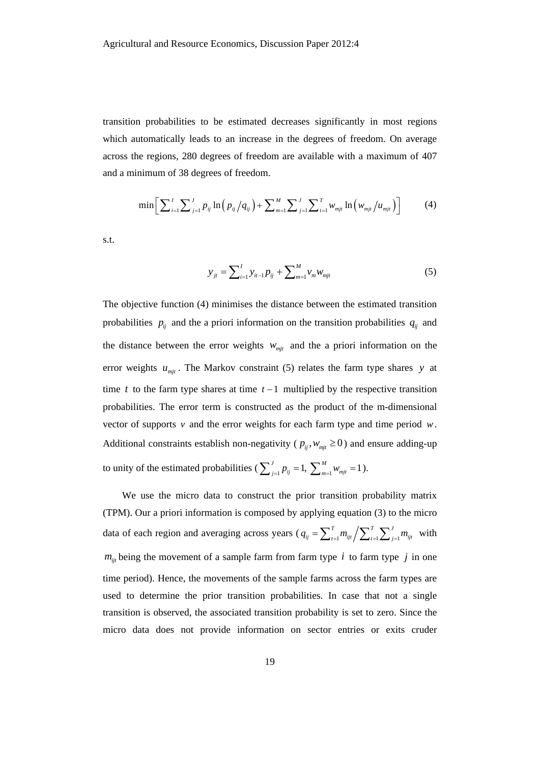transition probabilities to be estimated decreases significantly in most regions which automatically leads to an increase in the degrees of freedom. On average across the regions, 280 degrees of freedom are available with a maximum of 407 and a minimum of 38 degrees of freedom.

$$
\min \bigg[ \sum_{i=1}^{I} \sum_{j=1}^{J} p_{ij} \ln \big( p_{ij} / q_{ij} \big) + \sum_{m=1}^{M} \sum_{j=1}^{J} \sum_{t=1}^{T} w_{mjt} \ln \big( w_{mjt} / u_{mjt} \big) \bigg] \tag{4}
$$

s.t.

$$
y_{jt} = \sum_{i=1}^{I} y_{it-1} p_{ij} + \sum_{m=1}^{M} y_m w_{mjt}
$$
 (5)

The objective function (4) minimises the distance between the estimated transition probabilities  $p_{ij}$  and the a priori information on the transition probabilities  $q_{ij}$  and the distance between the error weights  $w_{mit}$  and the a priori information on the error weights  $u_{mjt}$ . The Markov constraint (5) relates the farm type shares *y* at time *t* to the farm type shares at time  $t - 1$  multiplied by the respective transition probabilities. The error term is constructed as the product of the m-dimensional vector of supports  $v$  and the error weights for each farm type and time period  $w$ . Additional constraints establish non-negativity ( $p_{ij}, w_{mi} \ge 0$ ) and ensure adding-up to unity of the estimated probabilities ( $\sum_{j=1}^{J} p_{ij} = 1$ ,  $\sum_{m=1}^{M} w_{mjt} = 1$ ).

We use the micro data to construct the prior transition probability matrix (TPM). Our a priori information is composed by applying equation (3) to the micro data of each region and averaging across years ( $q_{ij} = \sum_{t=1}^{T} m_{ijt} / \sum_{t=1}^{T} \sum_{j=1}^{J} m_{ijt}$  with  $m_{ij}$  being the movement of a sample farm from farm type *i* to farm type *j* in one time period). Hence, the movements of the sample farms across the farm types are used to determine the prior transition probabilities. In case that not a single transition is observed, the associated transition probability is set to zero. Since the micro data does not provide information on sector entries or exits cruder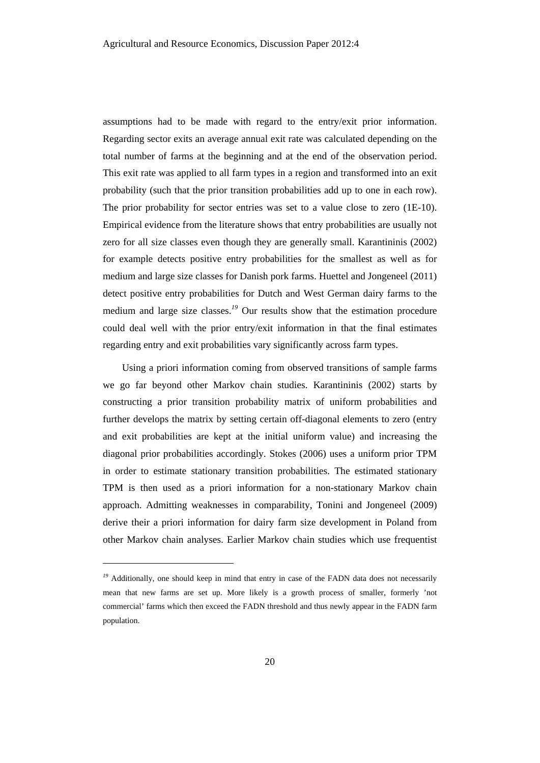assumptions had to be made with regard to the entry/exit prior information. Regarding sector exits an average annual exit rate was calculated depending on the total number of farms at the beginning and at the end of the observation period. This exit rate was applied to all farm types in a region and transformed into an exit probability (such that the prior transition probabilities add up to one in each row). The prior probability for sector entries was set to a value close to zero (1E-10). Empirical evidence from the literature shows that entry probabilities are usually not zero for all size classes even though they are generally small. Karantininis (2002) for example detects positive entry probabilities for the smallest as well as for medium and large size classes for Danish pork farms. Huettel and Jongeneel (2011) detect positive entry probabilities for Dutch and West German dairy farms to the medium and large size classes.*<sup>19</sup>* Our results show that the estimation procedure could deal well with the prior entry/exit information in that the final estimates regarding entry and exit probabilities vary significantly across farm types.

Using a priori information coming from observed transitions of sample farms we go far beyond other Markov chain studies. Karantininis (2002) starts by constructing a prior transition probability matrix of uniform probabilities and further develops the matrix by setting certain off-diagonal elements to zero (entry and exit probabilities are kept at the initial uniform value) and increasing the diagonal prior probabilities accordingly. Stokes (2006) uses a uniform prior TPM in order to estimate stationary transition probabilities. The estimated stationary TPM is then used as a priori information for a non-stationary Markov chain approach. Admitting weaknesses in comparability, Tonini and Jongeneel (2009) derive their a priori information for dairy farm size development in Poland from other Markov chain analyses. Earlier Markov chain studies which use frequentist

l

<sup>&</sup>lt;sup>19</sup> Additionally, one should keep in mind that entry in case of the FADN data does not necessarily mean that new farms are set up. More likely is a growth process of smaller, formerly 'not commercial' farms which then exceed the FADN threshold and thus newly appear in the FADN farm population.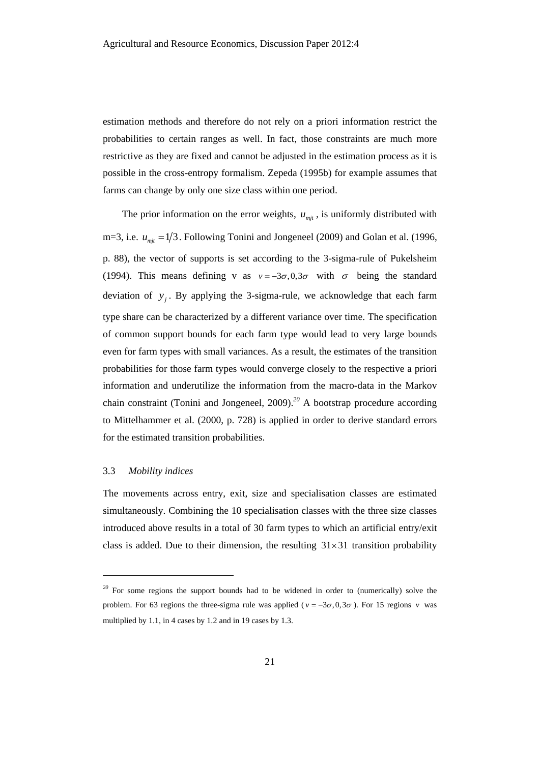estimation methods and therefore do not rely on a priori information restrict the probabilities to certain ranges as well. In fact, those constraints are much more restrictive as they are fixed and cannot be adjusted in the estimation process as it is possible in the cross-entropy formalism. Zepeda (1995b) for example assumes that farms can change by only one size class within one period.

The prior information on the error weights,  $u_{mit}$ , is uniformly distributed with m=3, i.e.  $u_{mit} = 1/3$ . Following Tonini and Jongeneel (2009) and Golan et al. (1996, p. 88), the vector of supports is set according to the 3-sigma-rule of Pukelsheim (1994). This means defining v as  $v = -3\sigma, 0, 3\sigma$  with  $\sigma$  being the standard deviation of  $y_i$ . By applying the 3-sigma-rule, we acknowledge that each farm type share can be characterized by a different variance over time. The specification of common support bounds for each farm type would lead to very large bounds even for farm types with small variances. As a result, the estimates of the transition probabilities for those farm types would converge closely to the respective a priori information and underutilize the information from the macro-data in the Markov chain constraint (Tonini and Jongeneel, 2009).*<sup>20</sup>* A bootstrap procedure according to Mittelhammer et al. (2000, p. 728) is applied in order to derive standard errors for the estimated transition probabilities.

#### 3.3 *Mobility indices*

l

The movements across entry, exit, size and specialisation classes are estimated simultaneously. Combining the 10 specialisation classes with the three size classes introduced above results in a total of 30 farm types to which an artificial entry/exit class is added. Due to their dimension, the resulting  $31 \times 31$  transition probability

<sup>&</sup>lt;sup>20</sup> For some regions the support bounds had to be widened in order to (numerically) solve the problem. For 63 regions the three-sigma rule was applied ( $v = -3\sigma, 0, 3\sigma$ ). For 15 regions *v* was multiplied by 1.1, in 4 cases by 1.2 and in 19 cases by 1.3.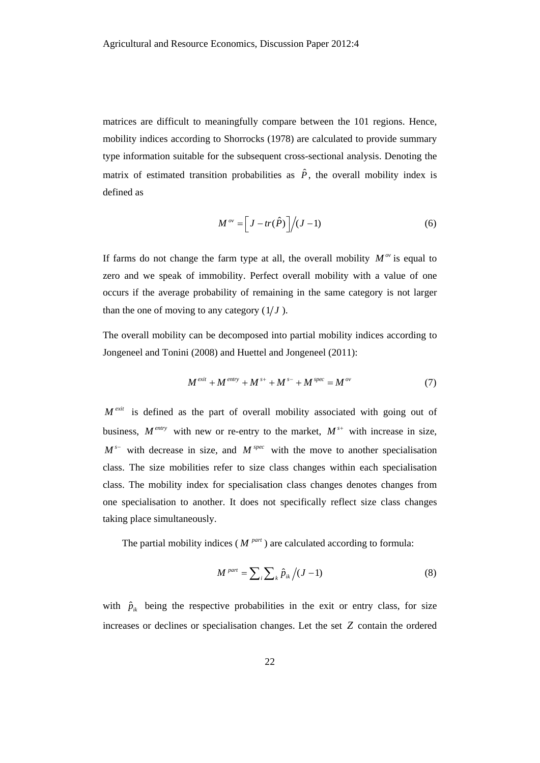matrices are difficult to meaningfully compare between the 101 regions. Hence, mobility indices according to Shorrocks (1978) are calculated to provide summary type information suitable for the subsequent cross-sectional analysis. Denoting the matrix of estimated transition probabilities as  $\hat{P}$ , the overall mobility index is defined as

$$
M^{\,ov} = \left[J - tr(\hat{P})\right] \bigg/ (J - 1) \tag{6}
$$

If farms do not change the farm type at all, the overall mobility  $M^{\alpha}$  is equal to zero and we speak of immobility. Perfect overall mobility with a value of one occurs if the average probability of remaining in the same category is not larger than the one of moving to any category  $(1/J)$ .

The overall mobility can be decomposed into partial mobility indices according to Jongeneel and Tonini (2008) and Huettel and Jongeneel (2011):

$$
M^{exit} + M^{entry} + M^{s+} + M^{s-} + M^{spec} = M^{ov}
$$
 (7)

 $M^{exit}$  is defined as the part of overall mobility associated with going out of business,  $M^{entry}$  with new or re-entry to the market,  $M^{s+}$  with increase in size,  $M^s$  with decrease in size, and  $M^{spec}$  with the move to another specialisation class. The size mobilities refer to size class changes within each specialisation class. The mobility index for specialisation class changes denotes changes from one specialisation to another. It does not specifically reflect size class changes taking place simultaneously.

The partial mobility indices ( $M^{part}$ ) are calculated according to formula:

$$
M^{part} = \sum_{i} \sum_{k} \hat{p}_{ik} / (J - 1) \tag{8}
$$

with  $\hat{p}_{ik}$  being the respective probabilities in the exit or entry class, for size increases or declines or specialisation changes. Let the set *Z* contain the ordered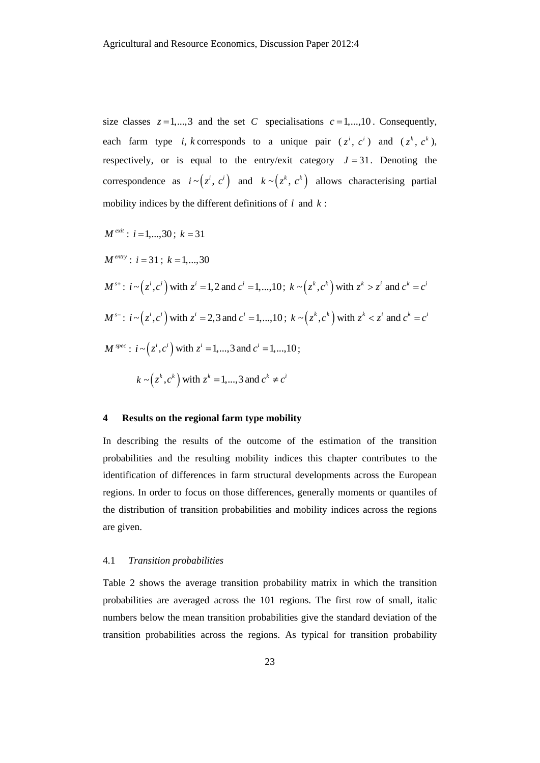size classes  $z = 1, ..., 3$  and the set *C* specialisations  $c = 1, ..., 10$ . Consequently, each farm type *i*, *k* corresponds to a unique pair  $(z^i, c^i)$  and  $(z^k, c^k)$ , respectively, or is equal to the entry/exit category  $J = 31$ . Denoting the correspondence as  $i \sim (z^i, c^i)$  and  $k \sim (z^k, c^k)$  allows characterising partial mobility indices by the different definitions of *i* and *k* :

$$
M^{exit}: i = 1,...,30; k = 31
$$
  
\n
$$
M^{entry}: i = 31; k = 1,...,30
$$
  
\n
$$
M^{s+}: i \sim (z^i, c^i) \text{ with } z^i = 1, 2 \text{ and } c^i = 1,...,10; k \sim (z^k, c^k) \text{ with } z^k > z^i \text{ and } c^k = c^i
$$
  
\n
$$
M^{s-}: i \sim (z^i, c^i) \text{ with } z^i = 2, 3 \text{ and } c^i = 1,...,10; k \sim (z^k, c^k) \text{ with } z^k < z^i \text{ and } c^k = c^i
$$
  
\n
$$
M^{spec}: i \sim (z^i, c^i) \text{ with } z^i = 1,...,3 \text{ and } c^i = 1,...,10;
$$
  
\n
$$
k \sim (z^k, c^k) \text{ with } z^k = 1,...,3 \text{ and } c^k \neq c^i
$$

#### **4 Results on the regional farm type mobility**

In describing the results of the outcome of the estimation of the transition probabilities and the resulting mobility indices this chapter contributes to the identification of differences in farm structural developments across the European regions. In order to focus on those differences, generally moments or quantiles of the distribution of transition probabilities and mobility indices across the regions are given.

#### 4.1 *Transition probabilities*

Table 2 shows the average transition probability matrix in which the transition probabilities are averaged across the 101 regions. The first row of small, italic numbers below the mean transition probabilities give the standard deviation of the transition probabilities across the regions. As typical for transition probability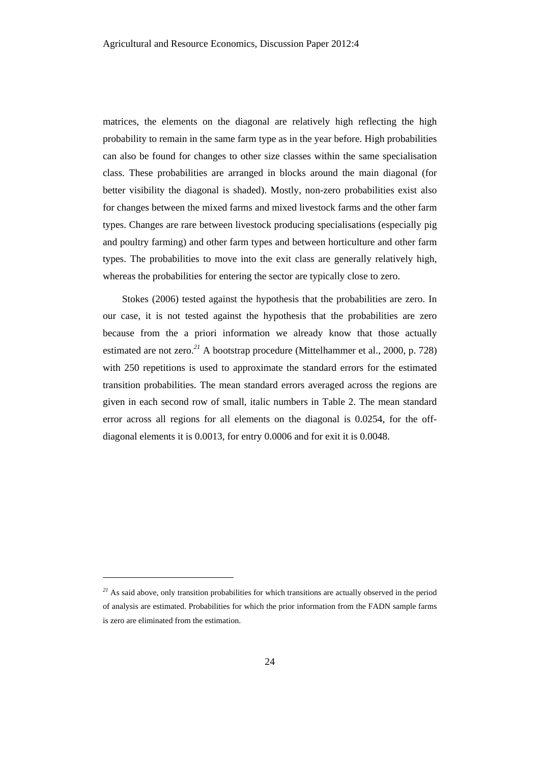matrices, the elements on the diagonal are relatively high reflecting the high probability to remain in the same farm type as in the year before. High probabilities can also be found for changes to other size classes within the same specialisation class. These probabilities are arranged in blocks around the main diagonal (for better visibility the diagonal is shaded). Mostly, non-zero probabilities exist also for changes between the mixed farms and mixed livestock farms and the other farm types. Changes are rare between livestock producing specialisations (especially pig and poultry farming) and other farm types and between horticulture and other farm types. The probabilities to move into the exit class are generally relatively high, whereas the probabilities for entering the sector are typically close to zero.

Stokes (2006) tested against the hypothesis that the probabilities are zero. In our case, it is not tested against the hypothesis that the probabilities are zero because from the a priori information we already know that those actually estimated are not zero.*<sup>21</sup>* A bootstrap procedure (Mittelhammer et al., 2000, p. 728) with 250 repetitions is used to approximate the standard errors for the estimated transition probabilities. The mean standard errors averaged across the regions are given in each second row of small, italic numbers in Table 2. The mean standard error across all regions for all elements on the diagonal is 0.0254, for the offdiagonal elements it is 0.0013, for entry 0.0006 and for exit it is 0.0048.

l

<sup>&</sup>lt;sup>21</sup> As said above, only transition probabilities for which transitions are actually observed in the period of analysis are estimated. Probabilities for which the prior information from the FADN sample farms is zero are eliminated from the estimation.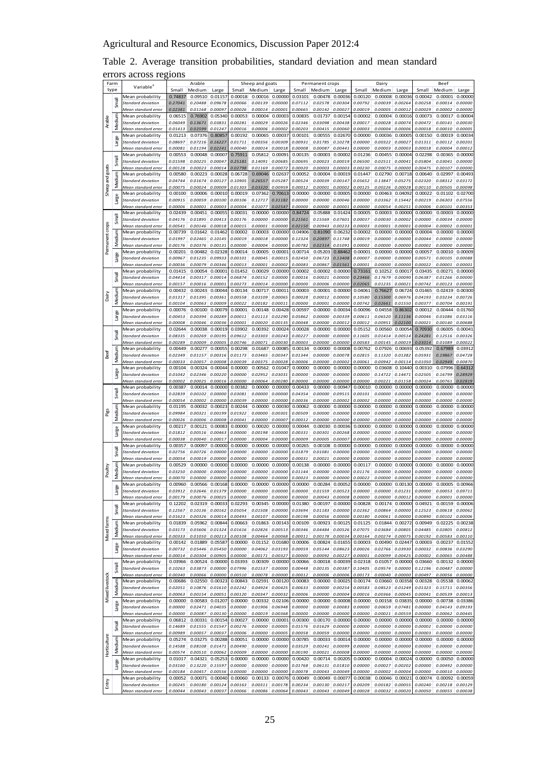# Table 2. Average transition probabilities, standard deviation and mean standard errors across regions

|                 | Farm   | Variable <sup>®</sup>                     |                    | Arable                     |                    |                    | Sheep and goats                |                    |                    | Permanent crops           |                              |                    | Dairy                     |                    |                    | Beef                               |                    |
|-----------------|--------|-------------------------------------------|--------------------|----------------------------|--------------------|--------------------|--------------------------------|--------------------|--------------------|---------------------------|------------------------------|--------------------|---------------------------|--------------------|--------------------|------------------------------------|--------------------|
|                 | type   |                                           | Small              | Medium                     | Large              | Small              | Medium                         | Large              | Small<br>0.03101   | Medium                    | Large                        | Small              | Medium                    | Large              | Small              | Medium                             | Large              |
|                 | Small  | Mean probability<br>Standard deviation    | 0.74837<br>0.27041 | 0.09510<br>0.20488         | 0.01157<br>0.09678 | 0.00018<br>0.00066 | $0.00016$ $0.00000$<br>0.00139 | 0.00000            | 0.07112            | 0.00478<br>0.02578        | 0.00036<br>0.00304           | 0.00120<br>0.00792 | 0.00008<br>0.00039        | 0.00036<br>0.00264 | 0.00042<br>0.00258 | 0.00001<br>0.00014                 | 0.00000<br>0.00000 |
|                 |        | Mean standard error                       | 0.02381            | 0.01168                    | 0.00097            | 0.00026            | 0.00014                        | 0.00001            | 0.00665            | 0.00142                   | 0.00027                      | 0.00019            | 0.00005                   | 0.00012            | 0.00029            | 0.00002                            | 0.00000            |
|                 |        | Mean probability                          | 0.06515            | 0.76902                    | 0.05340            | 0.00053            | 0.00004                        | 0.00003            | 0.00835            | 0.01737                   | 0.00154                      | 0.00002            | 0.00004                   | 0.00016            | 0.00073            | 0.00017                            | 0.00004            |
| Arable          | Medium | standard deviation                        | 0.06049            | 0.13671                    | 0.03831            | 0.00281            | 0.00029                        | 0.00026            | 0.02346            | 0.03098                   | 0.00438                      | 0.00017            | 0.00028                   | 0.00074            | 0.00472            | 0.00141                            | 0.00030            |
|                 |        | Mean standard error                       | 0.01413            | 0.02599                    | 0.01247            | 0.00016            | 0.00006                        | 0.00002            | 0.00203            | 0.00415                   | 0.00060                      | 0.00003            | 0.00004                   | 0.00006            | 0.00018            | 0.00010                            | 0.00005            |
|                 |        | Mean probability                          | 0.01213            | 0.07376                    | 0.80857            | 0.00192            | 0.00065                        | 0.0003             | 0.00101            | 0.00555                   | 0.02670                      | 0.00000            | 0.00036                   | 0.00005            | 0.00150            | 0.00019                            | 0.00034            |
|                 | Large  | Standard deviation                        | 0.08697            | 0.07216                    | 0.16227            | 0.01711            | 0.00356                        | 0.00309            | 0.00931            | 0.01785                   | 0.10278                      | 0.00000            | 0.00322                   | 0.00027            | 0.01311            | 0.00112                            | 0.00201            |
|                 |        | Mean standard error<br>Mean probability   | 0.00081<br>0.00553 | 0.01194<br>0.00048         | 0.02241<br>0.00007 | 0.00040<br>0.75911 | 0.00014<br>0.05812             | 0.00018<br>0.0009  | 0.00008<br>0.00135 | 0.00087<br>0.00003        | 0.00441<br>0.0000            | 0.00000<br>0.01236 | 0.00003<br>0.00455        | 0.00003<br>0.00004 | 0.00018<br>0.02298 | 0.00004<br>0.00365                 | 0.00012<br>0.00000 |
|                 | Smal   | Standard deviation                        | 0.01598            | 0.00225                    | 0.00047            | 0.25181            | 0.14091                        | 0.00685            | 0.00695            | 0.00023                   | 0.00019                      | 0.06500            | 0.02511                   | 0.00041            | 0.05804            | 0.03041                            | 0.00000            |
|                 |        | Mean standard error                       | 0.00128            | 0.00023                    | 0.00014            | 0.02798            | 0.01169                        | 0.00072            | 0.00020            | 0.00003                   | 0.00003                      | 0.00230            | 0.00075                   | 0.00000            | 0.00475            | 0.00107                            | 0.00000            |
| goats           | ε      | Mean probability                          | 0.00580            | 0.00223                    | 0.00028            | 0.06728            | 0.69046                        | 0.0263             | 0.00052            | 0.00004                   | 0.0001                       | 0.01447            | 0.02790                   | 0.00718            | 0.00640            | 0.02997                            | 0.00493            |
| Sheep and       | Mediu  | Standard deviation                        | 0.04744            | 0.01674                    | 0.00127            | 0.10905            | 0.26557                        | 0.05287            | 0.00524            | 0.00039                   | 0.0014                       | 0.05652            | 0.13847                   | 0.05275            | 0.02320            | 0.08312                            | 0.03172            |
|                 |        | Mean standard error                       | 0.00075            | 0.00024                    | 0.00009            | 0.01303            | 0.03320                        | 0.00959            | 0.00012            | 0.00001                   | 0.00002                      | 0.00125            | 0.00226                   | 0.00028            | 0.00110            | 0.00505                            | 0.00098            |
|                 |        | Mean probability                          | 0.00100            | 0.00006                    | 0.00010            | 0.00019            | 0.07362                        | 0.70613            | 0.00000            | 0.00000                   | 0.00005                      | 0.00000            | 0.00463                   | 0.04092            | 0.00022            | 0.01102                            | 0.02700            |
|                 | Large  | Standard deviation                        | 0.00915            | 0.00059                    | 0.00100            | 0.00106            | 0.12717                        | 0.31182            | 0.00000            | 0.00000                   | 0.00046                      | 0.00000            | 0.03362                   | 0.15442            | 0.00219            | 0.06303                            | 0.07556            |
|                 |        | Mean standard error<br>Mean probability   | 0.00006<br>0.02439 | 0.00001<br>0.00451         | 0.00003<br>0.00055 | 0.00004<br>0.00031 | 0.01077<br>0.00000             | 0.02547<br>0.00000 | 0.00000<br>0.84724 | 0.00000<br>0.05888        | 0.00001<br>0.01424           | 0.00000<br>0.00005 | 0.00054<br>0.00003        | 0.00251<br>0.00000 | 0.00006<br>0.00000 | 0.00101<br>0.00003                 | 0.00353<br>0.00000 |
|                 | Small  | Standard deviation                        | 0.04176            | 0.01895                    | 0.00413            | 0.00176            | 0.00000                        | 0.00000            | 0.21561            | 0.15569                   | 0.07601                      | 0.00037            | 0.00030                   | 0.00002            | 0.00000            | 0.00034                            | 0.00000            |
|                 |        | Mean standard error                       | 0.00541            | 0.00146                    | 0.00018            | 0.00015            | 0.00001                        | 0.00000            | 0.02150            | 0.00943                   | 0.00233                      | 0.00003            | 0.00001                   | 0.00001            | 0.00004            | 0.00002                            | 0.00001            |
|                 |        | Mean probability                          | 0.00739            | 0.01642                    | 0.01462            | 0.00002            | 0.00003                        | 0.00000            | 0.04906            | 0.81090                   | 0.06232                      | 0.00002            | 0.00000                   | 0.00000            | 0.00004            | 0.00000                            | 0.00000            |
|                 | Medium | Standard deviation                        | 0.01997            | 0.02465                    | 0.10145            | 0.00019            | 0.00018                        | 0.00000            | 0.12324            | 0.20897                   | 0.11748                      | 0.00019            | 0.00000                   | 0.00000            | 0.00044            | 0.00000                            | 0.00000            |
| Permanent crops |        | Mean standard error                       | 0.00176            | 0.00376                    | 0.00131            | 0.00000            | 0.00004                        | 0.00000            | 0.00782            | 0.02314                   | 0.01091                      | 0.00002            | 0.00000                   | 0.00000            | 0.00002            | 0.00000                            | 0.00000            |
|                 | Large  | Mean probability                          | 0.00201            | 0.00482                    | 0.02328            | 0.00014            | 0.00005                        | 0.00001            | 0.00714            | 0.05203                   | 0.88462                      | 0.00001            | 0.00000                   | 0.00000            | 0.00057            | 0.00010                            | 0.00009            |
|                 |        | Standard deviation<br>Mean standard error | 0.00967<br>0.00036 | 0.01235<br>0.00079         | 0.09933<br>0.00346 | 0.00101<br>0.00013 | 0.00045<br>0.00001             | 0.00015<br>0.00002 | 0.02450<br>0.00083 | 0.06723<br>0.00867        | 0.13408<br>0.01561           | 0.00007<br>0.00001 | <i>0.00000</i><br>0.00000 | 0.00000<br>0.00000 | 0.00571<br>0.00022 | 0.00105<br>0.00001                 | 0.00088<br>0.00001 |
|                 |        | Mean probability                          | 0.01415            | 0.00054                    | 0.00001            | 0.01452            | 0.00029                        | 0.00000            | 0.00002            | 0.00002                   | 0.00000                      | 0.73161            | 0.10252                   | 0.00017            | 0.03435            | 0.00271                            | 0.00000            |
|                 | Small  | Standard deviation                        | 0.04414            | 0.00317                    | 0.00014            | 0.06874            | 0.00152                        | 0.00000            | 0.00016            | 0.00021                   | 0.00000                      | 0.23466            | 0.17679                   | 0.00090            | 0.06387            | 0.01266                            | 0.00000            |
|                 |        | Mean standard error                       | 0.00157            | 0.00016                    | 0.00001            | 0.00273            | 0.00014                        | 0.00000            | 0.00000            | 0.00006                   | 0.00000                      | 0.02065            | 0.01235                   | 0.00021            | 0.00742            | 0.00123                            | 0.00000            |
|                 | ξ      | Mean probability                          | 0.00432            | 0.00243                    | 0.00044            | 0.00134            | 0.00717                        | 0.00011            | 0.00003            | 0.00001                   | 0.00000                      | 0.04061            | 0.76627                   | 0.06724            | 0.01465            | 0.02419                            | 0.00300            |
| Dairy           | Medi   | Standard deviation                        | 0.01317            | 0.01395                    | 0.00361            | 0.00558            | 0.03109                        | 0.00065            | 0.00028            | 0.00012                   | 0.00000                      | 0.10580            | 0.15300                   | 0.06976            | 0.04193            | 0.03234                            | 0.00726            |
|                 |        | Mean standard error<br>Mean probability   | 0.00104<br>0.00076 | 0.00063<br>0.00100         | 0.00009<br>0.00079 | 0.00022<br>0.00001 | 0.00182<br>0.00148             | 0.0001<br>0.00428  | 0.00000<br>0.00597 | 0.00001<br>0.00000        | 0.00000<br>0.0003            | 0.00742<br>0.00096 | 0.02661<br>0.04558        | 0.01550<br>0.86302 | 0.00377<br>0.00012 | 0.00704<br>0.00444                 | 0.00191<br>0.01760 |
|                 | Large  | Standard deviation                        | 0.00453            | 0.00394                    | 0.00289            | 0.00011            | 0.01113                        | 0.02290            | 0.05862            | 0.00000                   | 0.00339                      | 0.00611            | 0.06520                   | 0.11136            | 0.00046            | 0.01086                            | 0.03116            |
|                 |        | Mean standard error                       | 0.00008            | 0.00046                    | 0.00036            | 0.00001            | 0.00020                        | 0.00135            | 0.00048            | 0.00000                   | 0.00012                      | 0.00012            | 0.00951                   | 0.02100            | 0.00021            | 0.00140                            | 0.00688            |
|                 |        | Mean probability                          | 0.02644            | 0.00038                    | 0.00019            | 0.03902            | 0.00392                        | 0.00024            | 0.00028            | 0.00000                   | 0.00000                      | 0.05152            | 0.00560                   | 0.00054            | 0.70930            | 0.06005                            | 0.00041            |
|                 | Small  | Standard deviation                        | 0.08335            | 0.00269                    | 0.00195            | 0.09612            | 0.03303                        | 0.00243            | 0.00227            | 0.00000                   | 0.00000                      | 0.11605            | 0.01414                   | 0.00514            | 0.24281            | 0.12516                            | 0.00326            |
|                 |        | Mean standard erro                        | 0.00289            | 0.00009                    | 0.00005            | 0.00746            | 0.00071                        | 0.00030            | 0.00003            | 0.00000                   | 0.0000                       | 0.00583            | 0.00145                   | 0.00019            | 0.03014            | 0.01089                            | 0.00022            |
|                 | Medium | Mean probability                          | 0.00449            | 0.00277                    | 0.00055            | 0.00298            | 0.01687                        | 0.00085            | 0.00134            | 0.00000                   | 0.00008                      | 0.00762            | 0.07926                   | 0.00693            | 0.05392            | 0.67989                            | 0.03912            |
| <b>Beef</b>     |        | Standard deviation<br>Mean standard erroi | 0.02349<br>0.00033 | 0.01157<br>0.00057         | 0.00316<br>0.00008 | 0.01173<br>0.00039 | 0.03465<br>0.00375             | 0.00347<br>0.00028 | 0.01344<br>0.00006 | 0.00000<br><i>0.00000</i> | 0.00078<br>0.00002           | 0.02815<br>0.00061 | 0.11320<br>0.00942        | 0.01382<br>0.00114 | 0.05931<br>0.01050 | 0.19867<br>0.02949                 | 0.04728<br>0.00870 |
|                 |        | Mean probability                          | 0.00104            | 0.00324                    | 0.00044            | 0.00000            | 0.00562                        | 0.0104             | 0.00000            | 0.00000                   | 0.0000                       | 0.00000            | 0.03608                   | 0.10440            | 0.00310            | 0.07996                            | 0.64312            |
|                 | Large  | Standard deviation                        | 0.01042            | 0.02346                    | 0.00220            | 0.00000            | 0.02952                        | 0.03031            | 0.00000            | 0.00000                   | 0.00000                      | 0.00000            | 0.14722                   | 0.14471            | 0.02505            | 0.16799                            | 0.28929            |
|                 |        | Mean standard error                       | 0.00002            | 0.00025                    | 0.00016            | 0.00000            | 0.00064                        | 0.00280            | 0.00000            | 0.00000                   | 0.0000                       | 0.00000            | 0.00221                   | 0.01158            | 0.00024            | 0.00761                            | 0.02819            |
|                 |        | Mean probability                          | 0.00387            | 0.00014                    | 0.00000            | 0.00382            | 0.00000                        | 0.00000            | 0.00433            | 0.00000                   | 0.00947                      | 0.00010            | 0.00000                   | 0.00000            | 0.00000            | 0.00000                            | 0.00000            |
|                 | Small  | Standard deviation                        | 0.02839            | 0.00102                    | 0.00000            | 0.03081            | 0.00000                        | 0.00000            | 0.04354            | 0.00000                   | 0.09515                      | 0.00101            | 0.00000                   | 0.00000            | 0.00000            | 0.00000                            | 0.00000            |
|                 |        | Mean standard error                       | 0.00054            | 0.00002                    | 0.00000<br>0.00023 | 0.00039            | 0.00000<br>0.00000             | 0.00000            | 0.00036            | 0.00000                   | 0.00002<br>0.00000           | 0.00002            | 0.00000                   | 0.00000<br>0.00000 | 0.00000            | 0.00000<br>0.00000                 | 0.00000            |
| Pigs            | Medium | Mean probability<br>Standard deviation    | 0.01195<br>0.09984 | 0.00032<br>0.00321         | 0.00199            | 0.00244<br>0.01922 | 0.00000                        | 0.00030<br>0.00301 | 0.00062<br>0.00509 | 0.00000<br><i>0.00000</i> | 0.00000                      | 0.00000<br>0.00000 | 0.00000<br><i>0.00000</i> | 0.00000            | 0.00000<br>0.00000 | 0.00000                            | 0.00000<br>0.00000 |
|                 |        | Mean standard error                       | 0.00026            | 0.00006                    | 0.00008            | 0.00041            | 0.00000                        | 0.00007            | 0.00012            | 0.00000                   | 0.00000                      | 0.00000            | 0.00000                   | 0.00000            | 0.00000            | 0.00000                            | 0.00000            |
|                 |        | Mean probability                          | 0.00217            | 0.00121                    | 0.00083            | 0.00000            | 0.00020                        | 0.00000            | 0.00044            | 0.00030                   | 0.00036                      | 0.00000            | 0.00000                   | 0.00000            | 0.00000            | 0.00000                            | 0.00000            |
|                 | Large  | Standard deviation                        | 0.01812            | 0.00516                    | 0.00463            | 0.00000            | 0.00198                        | 0.00000            | 0.00331            | 0.00301                   | 0.00268                      | 0.00000            | 0.00000                   | 0.00000            | 0.00000            | 0.00000                            | 0.00000            |
|                 |        | Mean standard error                       | 0.00038            | 0.00040                    | 0.00017            | 0.00000            | 0.00004                        | 0.00000            | 0.00009            | 0.00005                   | 0.0000                       | 0.00000            | 0.00000                   | 0.00000            | 0.00000            | 0.00000                            | 0.00000            |
|                 |        | Mean probability                          | 0.00357            | 0.00097                    | 0.00000            | 0.00000            | 0.00000                        | 0.00000            | 0.00265            | 0.00108                   | 0.0000                       | 0.00000            | 0.00000                   | 0.00000            | 0.00000            | 0.00000                            | 0.00000            |
|                 | Smal   | Standard deviation<br>Mean standard error | 0.02756<br>0.00054 | 0.00726<br>0.00019         | 0.00000<br>0.00000 | 0.00000<br>0.00000 | 0.00000<br>0.00000             | 0.00000<br>0.0000  | 0.01879<br>0.00031 | 0.01081<br>0.00021        | 0.00000<br>0.00000           | 0.00000<br>0.00000 | 0.00000<br>0.00000        | 0.00000<br>0.00000 | 0.00000<br>0.00000 | 0.00000<br>0.00000                 | 0.00000<br>0.00000 |
|                 | Ξ      | Mean probability                          | 0.00529            | 0.00000                    | 0.00000            | 0.00000            | 0.00000                        | 0.00000            | 0.00138            | 0.00000                   | 0.00000                      | 0.00117            | 0.00000                   | 0.00000            | 0.00000            | 0.00000                            | 0.00000            |
| Poultry         | Mediu  | Standard deviation                        | 0.03250            | 0.00000                    | 0.00000            | 0.00000            | 0.00000                        | 0.00000            | 0.01144            | 0.00000                   | 0.00000                      | 0.01176            | 0.00000                   | 0.00000            | 0.00000            | 0.00000                            | 0.00000            |
|                 |        | Mean standard error                       | 0.00070            | 0.00000                    | 0.00000            | 0.00000            | 0.00000                        | 0.00000            | 0.00023            | 0.00000                   | 0.00000                      | 0.00022            | 0.00000                   | 0.00000            | 0.00000            | 0.00000                            | 0.00000            |
|                 |        | Mean probability                          | 0.00960            | 0.00566                    | 0.00168            | 0.00000            | 0.00000                        | 0.00000            | 0.00000            | 0.00284                   | 0.00052                      | 0.00000            | 0.00000                   | 0.00130            | 0.00000            | 0.00005                            | 0.00966            |
|                 | Buen   | Standard deviation                        | 0.03912            | 0.02646                    | 0.01379            | 0.00000            | 0.00000 0.00000                |                    | 0.00000            | 0.01559                   | 0.00523                      | 0.00000            | 0.00000                   | 0.01231            | 0.00000            | 0.00053                            | 0.09711            |
|                 |        | Mean standard error<br>Mean probability   | 0.00179<br>0.12202 | 0.00076<br>0.02319         | 0.00025<br>0.00033 | 0.00000<br>0.02293 | 0.00000<br>0.00345             | 0.00000<br>0.00000 | 0.00000<br>0.01380 | 0.00043<br>0.00197        | 0.00008<br>0.00000           | 0.00000<br>0.00828 | 0.00000<br>0.00174        | 0.00012<br>0.00000 | 0.00000<br>0.04921 | 0.00001<br>0.00159                 | 0.00000<br>0.00006 |
|                 | Small  | Standard deviation                        | 0.12567            | 0.10136                    | 0.00162            | 0.05054            | 0.01508                        | 0.00000            | 0.03694            | 0.01183                   | 0.00000                      | 0.02362            | 0.00864                   | 0.00000            | 0.12523            | 0.00618                            | 0.00062            |
|                 |        | Mean standard error                       | 0.01623            | 0.00326                    | 0.00014            | 0.00493            | 0.00107                        | 0.00000            | 0.00198            | 0.00056                   | 0.00000                      | 0.00180            | 0.00061                   | 0.00000            | 0.00890            | 0.00102                            | 0.00006            |
| Mixed fams      |        | Mean probability                          | 0.01839            | 0.05962                    | 0.00844            | 0.00663            | 0.01863 0.00143                |                    | 0.00109            | 0.00923                   | 0.00125                      | 0.01125            | 0.01844                   | 0.00272            | 0.00949            | 0.02225                            | 0.00238            |
|                 | Medium | Standard deviation                        | 0.03173            | 0.05606                    | 0.01324            | 0.01616            | 0.02826                        | 0.00513            | 0.00346            | 0.04484                   | 0.00526                      | 0.07075            | 0.03684                   | 0.00805            | 0.04485            | 0.02805                            | 0.00812            |
|                 |        | Mean standard error                       | 0.00333            | 0.01050                    | 0.00213            | 0.00108            | 0.00464                        | 0.00068            | 0.00011            | 0.00178                   | 0.00034                      | 0.00164            | 0.00274                   | 0.00075            | 0.00192            | 0.00583                            | 0.00110            |
|                 | Large  | Mean probability<br>Standard deviation    | 0.00142<br>0.00732 | 0.01889<br>0.05446         | 0.05587<br>0.05450 | 0.00000<br>0.00000 | 0.01152 0.01680<br>0.04062     | 0.03193            | 0.00006<br>0.00059 | 0.00824<br>0.05144        | 0.01655<br>0.08623           | 0.00003<br>0.00026 | 0.00490<br>0.02766        | 0.02447<br>0.03930 | 0.00003<br>0.00032 | 0.00237<br>0.00836                 | 0.01552<br>0.03290 |
|                 |        | Mean standard error                       | 0.00014            | 0.00304                    | 0.00905            | 0.00000            | 0.00171                        | 0.00327            | 0.00000            | 0.00092                   | 0.00227                      | 0.00001            | 0.00099                   | 0.00425            | 0.00002            | 0.00065                            | 0.00488            |
|                 |        | Mean probability                          | 0.03966            |                            | 0.00524 0.00000    | 0.03393            |                                | 0.00309 0.00000    | 0.00066            |                           | 0.00018 0.00039              | 0.02318            | 0.01057                   | 0.00000            | 0.03660            | 0.00132 0.00000                    |                    |
|                 | Small  | Standard deviation                        | 0.10263            | 0.03873                    | 0.00000            | 0.07996            | 0.01537                        | 0.00000            | 0.00448            | 0.00135                   | 0.00387                      | 0.10405            | 0.09574                   | 0.00000            | 0.12196            | 0.00487                            | 0.00000            |
|                 |        | Mean standard error                       | 0.00340            | 0.00066                    | 0.00000            | 0.00510            | 0.00078                        | 0.00000            | 0.00012            | 0.00006                   | 0.00006                      | 0.00173            | 0.00040                   | 0.00000            | 0.00497            | 0.00056                            | 0.00000            |
|                 | g      | Mean probability                          | 0.00686            | 0.02550                    | 0.00323            | 0.00843            | 0.02591                        | 0.00120            | 0.00083            | 0.00000                   | 0.0002                       | 0.00174            | 0.03660                   | 0.00358            | 0.00328            | 0.05538                            | 0.00062            |
|                 | Medi   | Standard deviation<br>Mean standard error | 0.02051<br>0.00063 | 0.10876<br>0.00154         | 0.01610<br>0.00051 | 0.02242<br>0.00120 | 0.04924<br>0.00347             | 0.00425<br>0.00032 | 0.00633<br>0.00006 | 0.00000<br>0.00000        | 0.00254<br>0.00004           | 0.00583<br>0.00016 | 0.08523<br>0.00366        | 0.01249<br>0.00045 | 0.01323<br>0.00041 | 0.15711<br>0.00539                 | 0.00356<br>0.00013 |
| Mixed livestock |        | Mean probability                          | 0.00000            | 0.00583                    | 0.01207            | 0.00000            | 0.00332                        | 0.02106            | 0.00000            | 0.00000                   | 0.00008                      | 0.00000            | 0.00158                   | 0.03835            | 0.00000            | 0.00738                            | 0.03386            |
|                 | Large  | Standard deviation                        | 0.00000            | 0.02471                    | 0.04035            | 0.00000            | 0.01906                        | 0.06948            | 0.00000            | 0.00000                   | 0.00083                      | 0.00000            | 0.00659                   | 0.07481            | 0.00000            | 0.04143                            | 0.09193            |
|                 |        | Mean standard error                       | 0.00000            | 0.00087                    | 0.00130            | 0.00000            | 0.00019                        | 0.00368            | 0.00000            | 0.00000                   | 0.00000                      | 0.00000            | 0.00021                   | 0.00559            | 0.00000            | 0.00062                            | 0.00445            |
|                 |        | Mean probability                          | 0.06812            | 0.00331                    | 0.00154            | 0.00027            | 0.00000 0.00001                |                    | 0.00300            | 0.00170                   | 0.00000                      | 0.00000            | 0.00000                   | 0.00000            | 0.00000            | 0.00000                            | 0.00000            |
|                 | Small  | <b>Standard deviation</b>                 | 0.14689            | 0.01555                    | 0.01547            | 0.00276            | 0.00000                        | 0.00005            | 0.01576            | 0.01629                   | 0.00000                      | 0.00000            | 0.00000                   | 0.00000            | 0.00002            | 0.00000                            | 0.00000            |
|                 |        | Mean standard error                       | 0.00989            | 0.00057                    | 0.00037            | 0.00006            | 0.00000                        | 0.00005            | 0.00058            | 0.00059                   | 0.00000                      | 0.00000            | 0.00000                   | 0.00000            | 0.00003            | 0.00000                            | 0.00000            |
|                 | Medium | Mean probability<br>Standard deviation    | 0.05274<br>0.14588 | 0.03275<br>0.08108         | 0.00288<br>0.01471 | 0.00051<br>0.00490 | 0.00000<br>0.00000             | 0.00000<br>0.00000 | 0.00785<br>0.03529 | 0.00033<br>0.00241        | 0.00014<br>0.00099           | 0.00000<br>0.00000 | 0.00000<br>0.00000        | 0.00000<br>0.00000 | 0.00000<br>0.00000 | 0.00000<br>0.00000                 | 0.00000<br>0.00000 |
| Horticulture    |        | Mean standard error                       | 0.00574            | 0.00510                    | 0.00062            | 0.00009            | 0.00000                        | 0.00000            | 0.00190            | 0.00021                   | 0.00008                      | 0.00000            | 0.00000                   | 0.00000            | 0.00000            | 0.00000                            | 0.00000            |
|                 |        | Mean probability                          | 0.01017            | 0.04321                    | 0.05253            | 0.00000            | 0.00000                        | 0.00000            | 0.00420            | 0.00714                   | 0.00205                      | 0.00000            | 0.00004                   | 0.00024            | 0.00000            | 0.00050 0.00000                    |                    |
|                 | Large  | Standard deviation                        | 0.03160            | 0.13220                    | 0.15597            | 0.00000            | 0.00000                        | 0.00000            | 0.01768            | 0.06131                   | 0.01810                      | 0.00000            | 0.00027                   | 0.00202            | 0.00000            | 0.00492                            | 0.00000            |
|                 |        | Mean standard error                       | 0.00184            | 0.00457                    | 0.00556            | 0.00000            | 0.00000                        | 0.00000            | 0.00078            | 0.00043                   | 0.00049                      | 0.00000            | 0.00002                   | 0.00004            | 0.00000            | 0.00010                            | 0.00000            |
| Entry           |        | Mean probability                          | 0.00052            | 0.00071                    | 0.00040            | 0.00060            |                                | 0.00133 0.00076    | 0.00049            | 0.00049                   | 0.00077                      | 0.00038            | 0.00046                   | 0.00021            | 0.00074            | 0.00092                            | 0.00059            |
|                 |        | Standard deviation<br>Mean standard error | 0.00245<br>0.00044 | 0.00180<br>0.00043 0.00037 | 0.00124            | 0.00163<br>0.00066 | 0.00311<br>0.00086 0.00064     | 0.00178            | 0.00234<br>0.00043 | 0.00130                   | 0.00217<br>$0.00043$ 0.00049 | 0.00209<br>0.00028 | 0.00182<br>0.00032        | 0.00055<br>0.00020 | 0.00240<br>0.00050 | 0.00218 0.00129<br>0.00055 0.00038 |                    |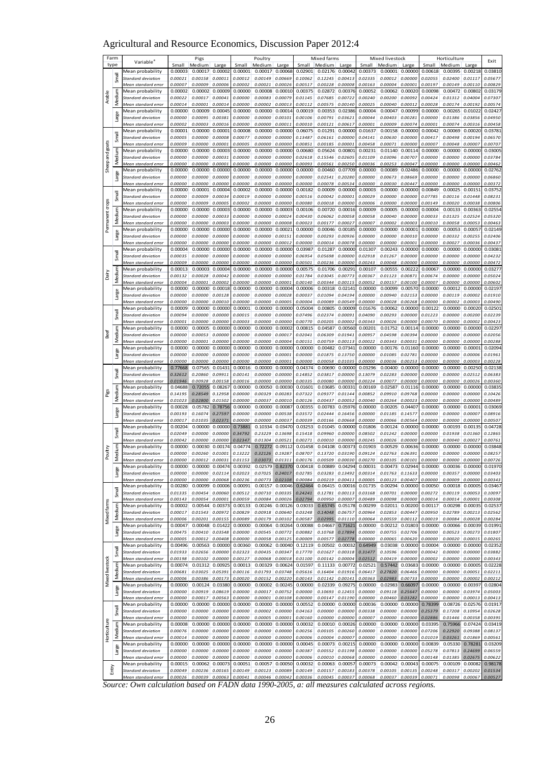# Agricultural and Resource Economics, Discussion Paper 2012:4

|                 | Farm              | Variable <sup>®</sup>                         |                    | Pigs               |                    |                    | Poultry            |                    |                    | Mixed farms                |                    |                    | Mixed livestock    |                    |                    | Horticulture       |                            | Exit               |
|-----------------|-------------------|-----------------------------------------------|--------------------|--------------------|--------------------|--------------------|--------------------|--------------------|--------------------|----------------------------|--------------------|--------------------|--------------------|--------------------|--------------------|--------------------|----------------------------|--------------------|
|                 | type              | Mean probability                              | Small<br>0.00003   | Medium<br>0.00017  | Large<br>0.00002   | Small<br>0.00001   | Medium<br>0.00017  | Large<br>0.00068   | Small<br>0.02901   | Medium<br>0.02176          | Large<br>0.0004    | Small<br>0.00373   | Medium<br>0.00001  | Large<br>0.00000   | Small<br>0.00618   | Medium<br>0.00395  | Large<br>0.00218           | 0.03810            |
|                 | <b>Ieuk</b>       | Standard deviation                            | 0.00021            | 0.00158            | 0.00011            | 0.00012            | 0.00149            | 0.00669            | 0.10062            | 0.12245                    | 0.00413            | 0.02335            | 0.00012            | 0.00000            | 0.02055            | 0.02400            | 0.01117                    | 0.05677            |
|                 |                   | Mean standard error                           | 0.00007            | 0.00009            | 0.00006            | 0.00002            | 0.00021            | 0.00026            | 0.00517            | 0.00228                    | 0.00008            | 0.00163            | 0.00004            | 0.00001            | 0.00197            | 0.00149            | 0.00110                    | 0.00829            |
|                 |                   | Mean probability                              | 0.00002            | 0.00002            | 0.00009            | 0.00000            | 0.00008            | 0.00010            | 0.00375            | 0.02872                    | 0.00376            | 0.00052            | 0.00062            | 0.00020            | 0.00098            | 0.00472            | 0.00802                    | 0.03179            |
| Arable          | Medium            | Standard deviation                            | 0.00022            | 0.00017            | 0.00041            | 0.00000            | 0.00083            | 0.00079            | 0.01145            | 0.07685                    | 0.00722            | 0.00240            | 0.00200            | 0.00092            | 0.00424            | 0.01312            | 0.04004                    | 0.07307            |
|                 |                   | Mean standard error<br>Mean probability       | 0.00014<br>0.00000 | 0.00001<br>0.00009 | 0.00014<br>0.00045 | 0.00000<br>0.00000 | 0.00002<br>0.00000 | 0.00013<br>0.0001  | 0.00112<br>0.00019 | 0.00575<br>0.00353         | 0.00140<br>0.02386 | 0.00025<br>0.00004 | 0.00040<br>0.00047 | 0.00012<br>0.00099 | 0.00028<br>0.00000 | 0.00174<br>0.00265 | 0.00192<br>0.01022         | 0.00574<br>0.02427 |
|                 | 년                 | Standard deviation                            | 0.00000            | 0.00095            | 0.00381            | 0.00000            | 0.00000            | 0.00101            | 0.00106            | 0.00791                    | 0.03621            | 0.00044            | 0.00403            | 0.00281            | 0.00000            | 0.01386            | 0.03856                    | 0.04950            |
|                 |                   | Mean standard error                           | 0.00002            | 0.00003            | 0.00016            | 0.00000            | 0.00000            | 0.00011            | 0.00010            | 0.00121                    | 0.0061             | 0.00001            | 0.00009            | 0.00074            | 0.00001            | 0.00074            | 0.00316                    | 0.00458            |
|                 |                   | Mean probability                              | 0.00001            | 0.00000            | 0.00001            | 0.00008            | 0.00000            | 0.00000            | 0.06075            | 0.01291                    | 0.00000            | 0.01637            | 0.00158            | 0.00000            | 0.00042            | 0.00069            | 0.00020                    | 0.03781            |
|                 | Small             | Standard deviation<br>Mean standard error     | 0.00005<br>0.00009 | 0.00000<br>0.00000 | 0.00008<br>0.00001 | 0.00077<br>0.00005 | 0.00000<br>0.00000 | 0.00000<br>0.00000 | 0.13487<br>0.00851 | 0.06161<br>0.00185         | 0.00000<br>0.00001 | 0.04141<br>0.00458 | 0.00630<br>0.00071 | 0.00000<br>0.00000 | 0.00417<br>0.00007 | 0.00498<br>0.00048 | 0.00194<br>0.00007         | 0.06570<br>0.00707 |
| and goats       | ε                 | Mean probability                              | 0.00000            | 0.00000            | 0.00003            | 0.00000            | 0.00000            | 0.00000            | 0.00680            | 0.05624                    | 0.00801            | 0.00231            | 0.01140            | 0.00114            | 0.00000            | 0.00000            | 0.00000                    | 0.03005            |
|                 | Mediu             | Standard deviation                            | 0.00000            | 0.00000            | 0.00031            | 0.00000            | 0.00000            | 0.00000            | 0.02618            | 0.15546                    | 0.02605            | 0.01109            | 0.03096            | 0.00707            | 0.00000            | 0.00000            | 0.00000                    | 0.03784            |
| Sheep           |                   | Mean standard error                           | 0.00000            | 0.00000            | 0.00001            | 0.00000            | 0.00000            | 0.00000            | 0.00093            | 0.00561                    | 0.00250            | 0.00036            | 0.00253            | 0.00047            | 0.00000            | 0.00000            | 0.00000                    | 0.00462            |
|                 |                   | Mean probability                              | 0.00000            | 0.00000            | 0.00000            | 0.00000            | 0.00000            | 0.00000            | 0.00000            | 0.00460                    | 0.07709            | 0.00000            | 0.00089            | 0.02486            | 0.00000            | 0.00000            | 0.00000                    | 0.02762            |
|                 | Ξ                 | Standard deviation<br>Mean standard error     | 0.00000<br>0.00000 | 0.00000<br>0.00000 | 0.00000<br>0.00000 | 0.00000<br>0.00000 | 0.00000<br>0.00000 | 0.00000<br>0.00000 | 0.00000<br>0.00000 | 0.02541<br>0.00078         | 0.20280<br>0.00534 | 0.00000<br>0.00000 | 0.00673<br>0.00030 | 0.08669<br>0.00447 | 0.00000<br>0.00000 | 0.00000<br>0.00000 | 0.00000<br>0.00000         | 0.06860<br>0.00372 |
|                 |                   | Mean probability                              | 0.00000            | 0.00001            | 0.00004            | 0.00002            | 0.00000            | 0.00000            | 0.00182            | 0.00009                    | 0.00000            | 0.00003            | 0.00000            | 0.00000            | 0.00849            | 0.00025            | 0.00151                    | 0.03752            |
|                 | llgm2             | Standard deviation                            | 0.00000            | 0.00009            | 0.00034            | 0.00019            | 0.00000            | 0.0000             | 0.00516            | 0.00042                    | 0.00001            | 0.00029            | 0.00000            | 0.00000            | 0.07785            | 0.00116            | 0.01448                    | 0.08231            |
|                 |                   | Mean standard error                           | 0.00000            | 0.00009            | 0.00005            | 0.00002            | 0.00000            | 0.00000            | 0.00080            | 0.00018                    | 0.00000            | 0.00006            | 0.00000            | 0.00000            | 0.00149            | 0.00020            | 0.00038                    | 0.00806            |
|                 | ξ                 | Mean probability<br>Standard deviation        | 0.00000            | 0.00000<br>0.00000 | 0.00003<br>0.00033 | 0.00000<br>0.00000 | 0.00000<br>0.00000 | 0.0000<br>0.0002   | 0.00106<br>0.00430 | 0.00720<br>0.06062         | 0.00016<br>0.00058 | 0.00009<br>0.00058 | 0.00005<br>0.00040 | 0.00000<br>0.00000 | 0.00004<br>0.00033 | 0.00133<br>0.01325 | 0.00363<br>0.02524         | 0.02554<br>0.05320 |
|                 | Mediu             | Mean standard error                           | 0.00000<br>0.00000 | 0.00000            | 0.00003            | 0.00000            | 0.00000            | 0.00008            | 0.00023            | 0.00177                    | 0.0002             | 0.00007            | 0.00002            | 0.00003            | 0.00010            | 0.00058            | 0.00053                    | 0.00463            |
| Permanent crops |                   | Mean probability                              | 0.00000            | 0.00000            | 0.00000            | 0.00000            | 0.00000            | 0.0002             | 0.00000            | 0.00046                    | 0.0018             | 0.00000            | 0.00000            | 0.0000             | 0.00000            | 0.00053            | 0.00057                    | 0.02149            |
|                 | 声                 | Standard deviation                            | 0.00000            | 0.00000            | 0.00000            | 0.00000            | 0.00000            | 0.0015.            | 0.00000            | 0.00293                    | 0.00936            | 0.00000            | 0.00000            | 0.00010            | 0.00000            | 0.00332            | 0.00255                    | 0.02406            |
|                 |                   | Mean standard error                           | 0.00000            | 0.00000            | 0.00000            | 0.00000            | 0.00000            | 0.00012            | 0.00000            | 0.00014                    | 0.00078            | 0.00000            | 0.00000            | 0.00001            | 0.00000            | 0.00027            | 0.00036                    | 0.00437            |
|                 | Smal <sup>l</sup> | Mean probability<br>Standard deviation        | 0.00004<br>0.00035 | 0.00000<br>0.00000 | 0.00000<br>0.00000 | 0.00000<br>0.00000 | 0.00000<br>0.00000 | 0.0000<br>0.00000  | 0.03987<br>0.06954 | 0.01287<br>0.05698         | 0.00000<br>0.00000 | 0.01307<br>0.02918 | 0.00243<br>0.01267 | 0.00000<br>0.00000 | 0.00000<br>0.00000 | 0.00000<br>0.00000 | 0.00000<br>0.00000         | 0.03081<br>0.04232 |
|                 |                   | Mean standard error                           | 0.00009            | 0.00000            | 0.00000            | 0.00000            | 0.00000            | 0.0000             | 0.00501            | 0.00236                    | 0.00000            | 0.00243            | 0.00048            | 0.00000            | 0.00000            | 0.00000            | 0.00000                    | 0.00472            |
|                 |                   | Mean probability                              | 0.00013            | 0.00003            | 0.00004            | 0.00000            | 0.00000            | 0.00000            | 0.00575            | 0.01706                    | 0.0029             | 0.00107            | 0.00555            | 0.00222            | 0.00067            | 0.00000            | 0.00000                    | 0.03277            |
| Dairy           | Medi              | standard deviation                            | 0.00132            | 0.00028            | 0.00042            | 0.00000            | 0.00000            | 0.00000            | 0.01784            | 0.03045                    | 0.00773            | 0.00367            | 0.01123            | 0.00871            | 0.00674            | 0.00000            | 0.00000                    | 0.05024            |
|                 |                   | Mean standard error                           | 0.00004            | 0.00001            | 0.00002            | 0.00000            | 0.00000            | 0.0000             | 0.00140            | 0.00344                    | 0.00115            | 0.00052            | 0.00157            | 0.00100            | 0.00007            | 0.00000            | 0.00000                    | 0.00602            |
|                 | Large             | Mean probability<br>Standard deviation        | 0.00000<br>0.00000 | 0.00000<br>0.00000 | 0.00018<br>0.00128 | 0.00000<br>0.00000 | 0.00000<br>0.00000 | 0.0000<br>0.00028  | 0.00006<br>0.00037 | 0.00318<br>0.01094         | 0.0214<br>0.04194  | 0.00000<br>0.00000 | 0.00099<br>0.00940 | 0.00570<br>0.02153 | 0.00000<br>0.00000 | 0.00012<br>0.00119 | 0.00000<br>0.00002         | 0.02197<br>0.01910 |
|                 |                   | Mean standard error                           | 0.00000            | 0.00000            | 0.00010            | 0.00000            | 0.00000            | 0.0000             | 0.00004            | 0.00089                    | 0.00549            | 0.00000            | 0.00028            | 0.00268            | 0.00000            | 0.00002            | 0.00003                    | 0.00490            |
|                 |                   | Mean probability                              | 0.00009            | 0.00000            | 0.0000C            | 0.00001            | 0.00000            | 0.0000             | 0.05004            | 0.00805                    | 0.00009            | 0.01676            | 0.00062            | 0.00000            | 0.00122            | 0.00000            | 0.0002C                    | 0.02501            |
| Beef            | Small             | Standard deviation                            | 0.00094            | 0.00000            | 0.00000            | 0.00015            | 0.00000            | 0.00000            | 0.07496            | 0.02374                    | 0.00091            | 0.04090            | 0.00293            | 0.00000            | 0.01223            | 0.00000            | 0.00200                    | 0.02239            |
|                 |                   | Mean standard error                           | 0.00001            | 0.00000            | 0.00000            | 0.00003            | 0.00000            | 0.0000             | 0.00770            | 0.00205                    | 0.00002            | 0.00343            | 0.00026            | 0.00000            | 0.00070            | 0.00000            | 0.00002                    | 0.00423            |
|                 | Medium            | Mean probability<br>Standard deviation        | 0.00000<br>0.00000 | 0.00005<br>0.00053 | 0.00000<br>0.00000 | 0.00000<br>0.00000 | 0.00000<br>0.00000 | 0.0000<br>0.00017  | 0.00815<br>0.02041 | 0.04587<br>0.06309         | 0.00560<br>0.01941 | 0.00201<br>0.00957 | 0.01752<br>0.04598 | 0.00114<br>0.00394 | 0.00000<br>0.00000 | 0.00000<br>0.00000 | 0.00000<br>0.00000         | 0.02297<br>0.02056 |
|                 |                   | Mean standard error                           | 0.00000            | 0.00001            | 0.00000            | 0.00000            | 0.00000            | 0.00004            | 0.00151            | 0.00759                    | 0.00113            | 0.00022            | 0.00343            | 0.00031            | 0.00000            | 0.00000            | 0.00000                    | 0.00288            |
|                 | ğ,                | Mean probability                              | 0.00000            | 0.00000            | 0.00000            | 0.00000            | 0.00000            | 0.00000            | 0.00000            | 0.00482                    | 0.0734             | 0.00000            | 0.00176            | 0.01160            | 0.00000            | 0.00000            | 0.00001                    | 0.02094            |
|                 | 邑                 | Standard deviation                            | 0.00000            | 0.00000            | 0.00000            | 0.00000            | 0.00000            | 0.0000.            | 0.00000            | 0.01875                    | 0.13750            | 0.00000            | 0.01085            | 0.02781            | 0.00000            | 0.00000            | 0.00006                    | 0.01961            |
|                 |                   | Mean standard error<br>Mean probability       | 0.00000<br>0.77668 | 0.00000<br>0.07565 | 0.00000<br>0.01431 | 0.00000<br>0.00016 | 0.00000<br>0.00000 | 0.0000.<br>0.0000  | 0.00000<br>0.04374 | 0.00058<br>0.00690         | 0.01035<br>0.00000 | 0.00000<br>0.03296 | 0.00036<br>0.00400 | 0.00253<br>0.00000 | 0.00000<br>0.00000 | 0.00000<br>0.00000 | 0.00003<br>0.00250         | 0.00228<br>0.02138 |
|                 | Small             | standard deviation                            | 0.32612            | 0.20860            | 0.09911            | 0.00141            | 0.00000            | 0.00000            | 0.14852            | 0.03817                    | 0.00000            | 0.13079            | 0.02283            | 0.00000            | 0.00000            | 0.00000            | 0.02512                    | 0.06383            |
|                 |                   | Mean standard erroi                           | 0.01946            | 0.00928            | 0.00158            | 0.00016            | 0.00000            | 0.0000             | 0.00335            | 0.00080                    | 0.00000            | 0.00224            | 0.00077            | 0.00000            | 0.00000            | 0.00000            | 0.00026                    | 0.00360            |
|                 |                   | Mean probability                              | 0.04688            | 0.72055            | 0.08267            | 0.00000            | 0.00050            | 0.0003             | 0.01601            | 0.03685                    | 0.0033             | 0.00169            | 0.02587            | 0.01116            | 0.00000            | 0.00000            | 0.00000                    | 0.03835            |
| Pigs            | ledium<br>Σ       | Standard deviation                            | 0.14195            | 0.28549            | 0.12958            | 0.00000            | 0.00329            | 0.00283            | 0.07322            | 0.09377                    | 0.01144            | 0.00852            | 0.09910            | 0.09768            | 0.00000            | 0.00000            | 0.00000                    | 0.10426            |
|                 |                   | Mean standard erroi<br>Mean probability       | 0.01023<br>0.00028 | 0.02800<br>0.05782 | 0.01502<br>0.78756 | 0.00000<br>0.00000 | 0.00037<br>0.00000 | 0.00010<br>0.0008  | 0.00126<br>0.00355 | 0.00437<br>0.00783         | 0.0005<br>0.0597   | 0.00040<br>0.00000 | 0.00264<br>0.00205 | 0.0002<br>0.04407  | 0.00000<br>0.00000 | 0.00000<br>0.00000 | 0.00000<br>0.00001         | 0.00489<br>0.03069 |
|                 | Large             | standard deviation                            | 0.00193            | 0.16074            | 0.27597            | 0.00000            | 0.00000            | 0.00538            | 0.03572            | 0.02444                    | 0.16456            | 0.00000            | 0.01185            | 0.14577            | 0.00000            | 0.00000            | 0.00007                    | 0.08916            |
|                 |                   | Mean standard error                           | 0.00017            | 0.01035            | 0.02371            | 0.00000            | 0.00000            | 0.0003             | 0.00039            | 0.00166                    | 0.00668            | 0.00000            | 0.00066            | 0.00564            | 0.00000            | 0.00000            | 0.00000                    | 0.00507            |
|                 |                   | Mean probability                              | 0.00204            | 0.00000            | 0.00000            | 0.73881            | 0.10334            | 0.0347             | 0.03253            | 0.01045                    | 0.0000             | 0.01806            | 0.00124            | 0.00000            | 0.00000            | 0.00193            | 0.00135                    | 0.04728            |
|                 | Small             | Standard deviation<br>Mean standard erroi     | 0.02049<br>0.00042 | 0.00000<br>0.00000 | 0.00000<br>0.00000 | 0.34792<br>0.02347 | 0.23229<br>0.01304 | 0.13698<br>0.0052. | 0.15418<br>0.00271 | 0.09960<br>0.00010         | 0.00000<br>0.00000 | 0.08502<br>0.00245 | 0.01242<br>0.00026 | 0.00000<br>0.00000 | 0.00000<br>0.00000 | 0.01938<br>0.00040 | 0.01360<br>0.00027         | 0.12865<br>0.00761 |
|                 |                   | Mean probability                              | 0.00000            | 0.00030            | 0.00174            | 0.04774            | 0.72272            | 0.0911             | 0.01458            | 0.04108                    | 0.0037             | 0.01903            | 0.00529            | 0.0063             | 0.00000            | 0.00000            | 0.00000                    | 0.03848            |
| Poultry         | die<br>edi        | <b>Standard deviation</b>                     | 0.00000            | 0.00260            | 0.01001            | 0.13222            | 0.32126            | 0.19287            | 0.08707            | 0.13720                    | 0.03190            | 0.09124            | 0.02763            | 0.06391            | 0.00000            | 0.00000            | 0.00000                    | 0.08257            |
|                 |                   | Mean standard ern                             | n nnnnn            | 0.00012            | n nnns 1           | 0.01153            | 0.03073            | 0.0131             | 0.00176            | 0.00509                    | n nnnar            | <u>N 00270</u>     |                    | n nn 1 n           | n nnnnn            | n nnnnr            |                            | 0.00726            |
|                 | Large             | Mean probability                              | 0.00000<br>0.00000 | 0.00000<br>0.00000 | 0.00474<br>0.02114 | 0.00392<br>0.02023 | 0.02579<br>0.07025 | 0.82370<br>0.24017 | 0.00418<br>0.02785 | 0.00889<br>0.03283         | 0.04294<br>0.13492 | 0.00031<br>0.00314 | 0.01763            | 0.00473 0.02944    | 0.00000<br>0.00000 | 0.00357            | 0.00036 0.00000<br>0.00000 | 0.01970<br>0.03403 |
|                 |                   | Standard deviation<br>Mean standard error     | 0.00000            | 0.00000            | 0.00068            | 0.00236            | 0.00773            | 0.02108            | 0.00084            | 0.00219                    | 0.00411            | 0.00005            | 0.00123            | 0.11633<br>0.00407 | 0.00000            | 0.00009            | 0.00000                    | 0.00343            |
|                 |                   | Mean probability                              | 0.00280            | 0.00099            | 0.00006            | 0.00091            | 0.00157            | 0.00046            | 0.62464            | $0.06415$ 0.00016          |                    | 0.01735            |                    | 0.00294 0.00000    | 0.00050            | 0.00018            | 0.00005                    | 0.03467            |
|                 | Small             | Standard deviation                            | 0.01335            | 0.00454            | 0.00060            | 0.00512            | 0.00710            | 0.00335            | 0.24241            | 0.12781                    | 0.00113            | 0.03168            | 0.00701            | 0.00000            | 0.00272            | 0.00119            | 0.00053                    | 0.10097            |
|                 |                   | Mean standard error                           | 0.00143<br>0.00002 | 0.00054<br>0.00544 | 0.00001<br>0.00373 | 0.00059<br>0.00133 | 0.00084<br>0.00246 | 0.00026<br>0.00126 | 0.02794<br>0.03033 | 0.00950 0.00007<br>0.65745 | 0.05178            | 0.00489<br>0.00299 | 0.00098<br>0.02011 | 0.00000<br>0.00200 | 0.00014<br>0.00117 | 0.00014<br>0.00298 | 0.00001<br>0.00035         | 0.00308<br>0.02537 |
| Mixed farms     | Medium            | Mean probability<br>Standard deviation        | 0.00017            | 0.01543            | 0.00972            | 0.00829            | 0.00918            | 0.00640            | 0.03248            | 0.14048                    | 0.06757            | 0.00964            | 0.02853            | 0.00447            | 0.00950            | 0.02789            | 0.00213                    | 0.02562            |
|                 |                   | Mean standard error                           | 0.00006            | 0.00201            | 0.00155            | 0.00089            | 0.00179            | 0.00102            | 0.00587            | 0.02995                    | 0.01110            | 0.00064            | 0.00559            | 0.00112            | 0.00019            | 0.00084            | 0.00028                    | 0.00284            |
|                 |                   | Mean probability                              | 0.00047            | 0.00048            | 0.01422            | 0.00000            | 0.00064            | 0.00264            | 0.00088            | 0.04667                    | 0.71621            | 0.00000            | 0.00212            | 0.01803            | 0.00000            | 0.00066            | 0.00039                    | 0.01991            |
|                 | Large             | <b>Standard deviation</b>                     | 0.00475            | 0.00410            | 0.03548            | 0.00000            | 0.00545            | 0.00772            | 0.00882            | 0.10768                    | 0.17894            | 0.00000            | 0.00755            | 0.02706            | 0.00000            | 0.00523            | 0.00273                    | 0.01807            |
|                 |                   | Mean standard error<br>Mean probability       | 0.00005<br>0.00496 | 0.00012<br>0.00563 | 0.00408<br>0.00000 | 0.00000<br>0.00360 | 0.00058<br>0.00062 | 0.00125<br>0.00040 | 0.00009<br>0.12119 | 0.00577<br>0.00502 0.00032 | 0.02778            | 0.00000<br>0.64949 | 0.00065<br>0.03038 | 0.00620<br>0.00000 | 0.00000<br>0.00004 | 0.00020<br>0.00000 | 0.00015<br>0.00000         | 0.00265<br>0.02352 |
|                 | Smal              | Standard deviation                            | 0.01933            | 0.02656            | 0.00000            | 0.02323            | 0.00435            | 0.00347            | 0.17770            | 0.01627                    | 0.00318            | 0.31477            | 0.10596            | 0.00000            | 0.00042            | 0.00000            | 0.00000                    | 0.03882            |
|                 |                   | Mean standard error                           | 0.00198            | 0.00102            | 0.00000            | 0.00127            | 0.00068            | 0.00018            | 0.01100            | 0.00142                    | 0.00004            | 0.02512            | 0.00419            | 0.00000            | 0.00002            | 0.00000            | 0.00000                    | 0.00343            |
| Mixed livestock | Medium            | Mean probability                              | 0.00074            | 0.01312            | 0.00925            | 0.00013            | 0.00329            | 0.00624            | 0.01597            | 0.11133 0.00772            |                    | 0.02521            | 0.57442            | 0.03683            | 0.00000            | 0.00000            | 0.00005                    | 0.02228            |
|                 |                   | Standard deviation<br>Mean standard error     | 0.00681<br>0.00006 | 0.03025<br>0.00386 | 0.05391<br>0.00173 | 0.00116<br>0.00020 | 0.01793<br>0.00152 | 0.03748<br>0.00220 | 0.05616<br>0.00143 | 0.16404<br>0.01142         | 0.01916<br>0.00141 | 0.06417<br>0.00363 | 0.27820<br>0.02983 | 0.06466<br>0.00733 | 0.00000<br>0.00000 | 0.00000<br>0.00000 | 0.00051<br>0.00002         | 0.02211<br>0.00212 |
|                 |                   | Mean probability                              | 0.00000            | 0.00124            | 0.03380            | 0.00000            | 0.00002            | 0.00245            | 0.00000            | 0.02339                    | 0.09275            | 0.00000            | 0.02983            | 0.66097            | 0.00000            | 0.00000            | 0.00397                    | 0.02804            |
|                 | Large             | Standard deviation                            | 0.00000            | 0.00919            | 0.08619            | 0.00000            | 0.00017            | 0.00752            | 0.00000            | 0.10693                    | 0.12455            | 0.00000            | 0.09118            | 0.25647            | 0.00000            | 0.00000            | 0.03974                    | 0.05003            |
|                 |                   | Mean standard error                           | 0.00000            | 0.00017            | 0.00563            | 0.00000            | 0.00001            | 0.00108            | 0.00000            | 0.00147                    | 0.01190            | 0.00000            | 0.00460            | 0.03282            | 0.00000            | 0.00000            | 0.00013                    | 0.00413            |
|                 | Small             | Mean probability<br><b>Standard deviation</b> | 0.00000<br>0.00000 | 0.00000<br>0.00000 | 0.00000<br>0.00000 | 0.00000<br>0.00000 | 0.00000<br>0.00002 | 0.00000<br>0.00000 | 0.00552<br>0.04163 | 0.00000<br>0.00000         | 0.00000<br>0.00000 | 0.00036<br>0.00338 | 0.00000<br>0.00000 | 0.00000<br>0.00000 | 0.78399<br>0.25379 | 0.08726<br>0.17208 | 0.02576<br>0.10954         | 0.01917<br>0.02628 |
|                 |                   | Mean standard error                           | 0.00000            | 0.00000            | 0.00000            | 0.00000            | 0.00005            | 0.00001            | 0.00160            | 0.00000                    | 0.00000            | 0.00007            | 0.00000            | 0.00000            | 0.02886            | 0.01446            | 0.00358                    | 0.00395            |
|                 |                   | Mean probability                              | 0.00008            | 0.00000            | 0.00000            | 0.00000            | 0.00000            | 0.00000            | 0.00032            | 0.00010                    | 0.00026            | 0.00000            | 0.00000            | 0.00000            | 0.03395            | 0.75966            | 0.07424                    | 0.03419            |
| Horticulture    | Medium            | Standard deviation                            | 0.00076            | 0.00000            | 0.00000            | 0.00000            | 0.00000            | 0.00000            | 0.00256            | 0.00105                    | 0.00260            | 0.00000            | 0.00000            | 0.00000            | 0.07206            | 0.22920            | 0.09388                    | 0.08137            |
|                 |                   | Mean standard error                           | 0.00014            | 0.00000            | 0.00000            | 0.00000            | 0.00000            | 0.00000            | 0.00006            | 0.00004                    | 0.00007            | 0.00000            | 0.00000            | 0.00000            | 0.01019            | 0.03261            | 0.01869                    | 0.00561            |
|                 | Large             | Mean probability<br>Standard deviation        | 0.00000<br>0.00000 | 0.00000<br>0.00000 | 0.00000<br>0.00000 | 0.00000<br>0.00000 | 0.00000<br>0.00000 | 0.00000<br>0.00000 | 0.00045<br>0.00387 | 0.00073 0.00215<br>0.00552 | 0.01198            | 0.00000<br>0.00000 | 0.00000<br>0.00000 | 0.00000<br>0.00000 | 0.00839<br>0.05278 | 0.05330<br>0.07813 | 0.78281<br>0.24699         | 0.03209<br>0.06559 |
|                 |                   | Mean standard error                           | 0.00000            | 0.00000            | 0.00000            | 0.00000            | 0.00000            | 0.00000            | 0.00006            | 0.00010                    | 0.00068            | 0.00000            | 0.00000            | 0.00000            | 0.00148            | 0.01385            | 0.02675                    | 0.00622            |
|                 |                   | Mean probability                              | 0.00015            | 0.00062            | 0.00073            | 0.00051            | 0.00057            | 0.0005             | 0.00032            | 0.00063                    | 0.0005             | 0.00073            | 0.00042            | 0.00043            | 0.00075            | 0.00109            | 0.00082                    | 0.98178            |
|                 | Entry             | Standard deviation<br>Mean standard error     | 0.00049<br>0.00026 | 0.00236<br>0.00039 | 0.00165<br>0.00063 | 0.00149<br>0.00041 | 0.00123<br>0.00046 | 0.00089<br>0.00042 | 0.00149<br>0.00036 | 0.00157<br>0.00045         | 0.00183<br>0.0003  | 0.00378<br>0.00068 | 0.00105<br>0.00037 | 0.00135<br>0.00039 | 0.00248<br>0.00071 | 0.00317<br>0.00098 | 0.00202<br>0.0006          | 0.01534<br>0.00527 |
|                 |                   |                                               |                    |                    |                    |                    |                    |                    |                    |                            |                    |                    |                    |                    |                    |                    |                            |                    |

Mean standard error | 0.00026| 0.00039| 0.00038| 0.00041| 0.00046| 0.00042| 0.00035| 0.00037| 0.00030| 0.00030| 0.00030| 0.00038| 0.00037| 0.00038| 0.00038| 0.00057| 0.00038| 0.00057| 0.00038| 0.00057| 0.00038| 0.00057| 0.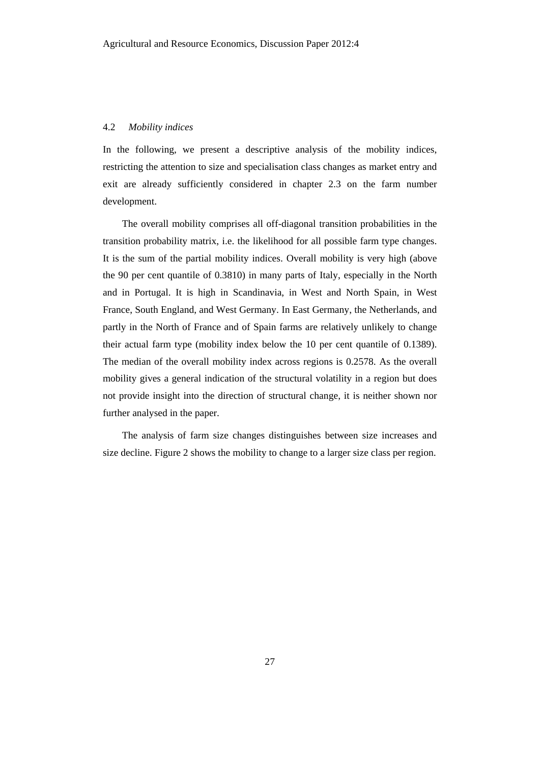#### 4.2 *Mobility indices*

In the following, we present a descriptive analysis of the mobility indices, restricting the attention to size and specialisation class changes as market entry and exit are already sufficiently considered in chapter 2.3 on the farm number development.

The overall mobility comprises all off-diagonal transition probabilities in the transition probability matrix, i.e. the likelihood for all possible farm type changes. It is the sum of the partial mobility indices. Overall mobility is very high (above the 90 per cent quantile of 0.3810) in many parts of Italy, especially in the North and in Portugal. It is high in Scandinavia, in West and North Spain, in West France, South England, and West Germany. In East Germany, the Netherlands, and partly in the North of France and of Spain farms are relatively unlikely to change their actual farm type (mobility index below the 10 per cent quantile of 0.1389). The median of the overall mobility index across regions is 0.2578. As the overall mobility gives a general indication of the structural volatility in a region but does not provide insight into the direction of structural change, it is neither shown nor further analysed in the paper.

The analysis of farm size changes distinguishes between size increases and size decline. Figure 2 shows the mobility to change to a larger size class per region.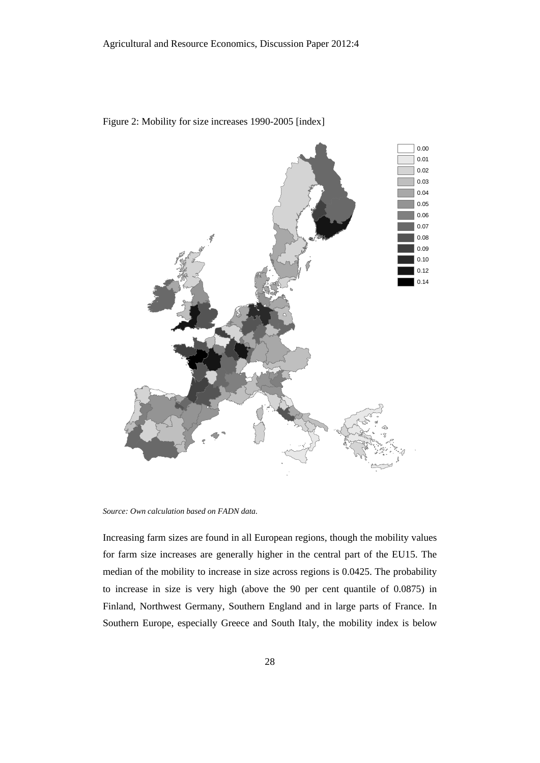

Figure 2: Mobility for size increases 1990-2005 [index]

*Source: Own calculation based on FADN data.* 

Increasing farm sizes are found in all European regions, though the mobility values for farm size increases are generally higher in the central part of the EU15. The median of the mobility to increase in size across regions is 0.0425. The probability to increase in size is very high (above the 90 per cent quantile of 0.0875) in Finland, Northwest Germany, Southern England and in large parts of France. In Southern Europe, especially Greece and South Italy, the mobility index is below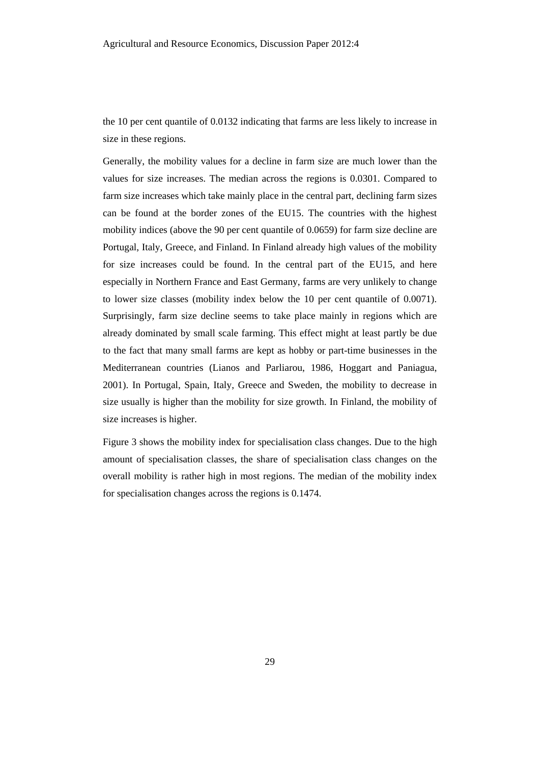the 10 per cent quantile of 0.0132 indicating that farms are less likely to increase in size in these regions.

Generally, the mobility values for a decline in farm size are much lower than the values for size increases. The median across the regions is 0.0301. Compared to farm size increases which take mainly place in the central part, declining farm sizes can be found at the border zones of the EU15. The countries with the highest mobility indices (above the 90 per cent quantile of 0.0659) for farm size decline are Portugal, Italy, Greece, and Finland. In Finland already high values of the mobility for size increases could be found. In the central part of the EU15, and here especially in Northern France and East Germany, farms are very unlikely to change to lower size classes (mobility index below the 10 per cent quantile of 0.0071). Surprisingly, farm size decline seems to take place mainly in regions which are already dominated by small scale farming. This effect might at least partly be due to the fact that many small farms are kept as hobby or part-time businesses in the Mediterranean countries (Lianos and Parliarou, 1986, Hoggart and Paniagua, 2001). In Portugal, Spain, Italy, Greece and Sweden, the mobility to decrease in size usually is higher than the mobility for size growth. In Finland, the mobility of size increases is higher.

Figure 3 shows the mobility index for specialisation class changes. Due to the high amount of specialisation classes, the share of specialisation class changes on the overall mobility is rather high in most regions. The median of the mobility index for specialisation changes across the regions is 0.1474.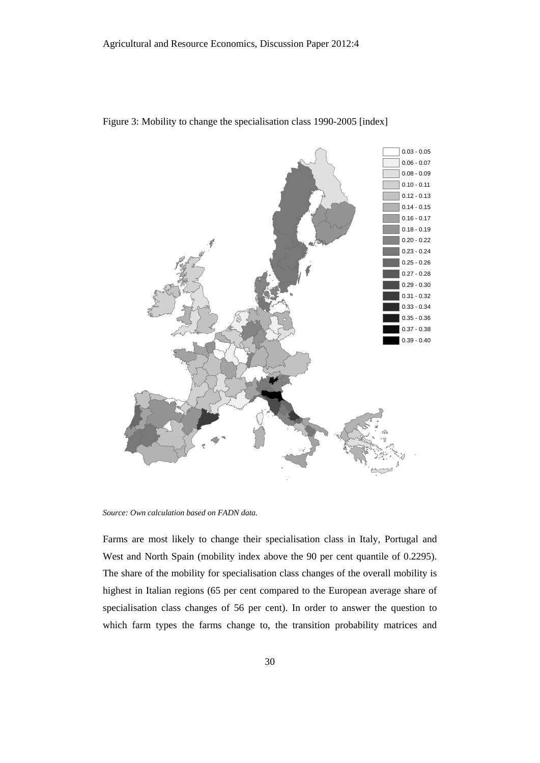

Figure 3: Mobility to change the specialisation class 1990-2005 [index]

*Source: Own calculation based on FADN data.* 

Farms are most likely to change their specialisation class in Italy, Portugal and West and North Spain (mobility index above the 90 per cent quantile of 0.2295). The share of the mobility for specialisation class changes of the overall mobility is highest in Italian regions (65 per cent compared to the European average share of specialisation class changes of 56 per cent). In order to answer the question to which farm types the farms change to, the transition probability matrices and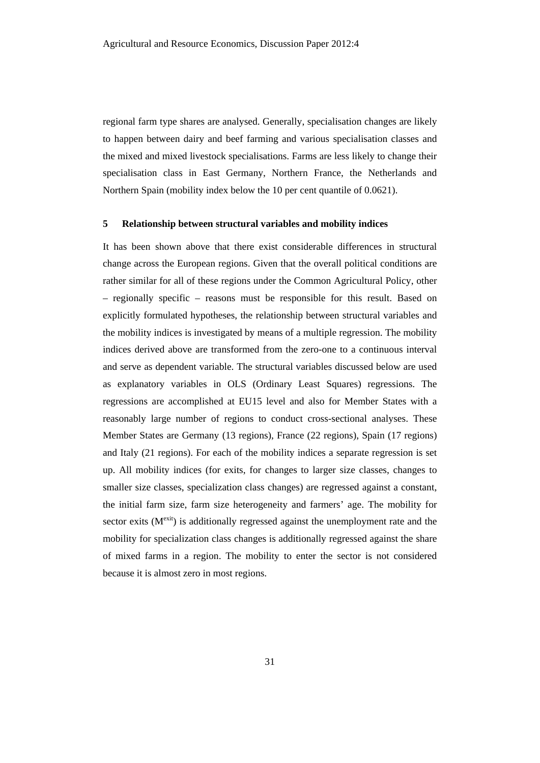regional farm type shares are analysed. Generally, specialisation changes are likely to happen between dairy and beef farming and various specialisation classes and the mixed and mixed livestock specialisations. Farms are less likely to change their specialisation class in East Germany, Northern France, the Netherlands and Northern Spain (mobility index below the 10 per cent quantile of 0.0621).

#### **5 Relationship between structural variables and mobility indices**

It has been shown above that there exist considerable differences in structural change across the European regions. Given that the overall political conditions are rather similar for all of these regions under the Common Agricultural Policy, other – regionally specific – reasons must be responsible for this result. Based on explicitly formulated hypotheses, the relationship between structural variables and the mobility indices is investigated by means of a multiple regression. The mobility indices derived above are transformed from the zero-one to a continuous interval and serve as dependent variable. The structural variables discussed below are used as explanatory variables in OLS (Ordinary Least Squares) regressions. The regressions are accomplished at EU15 level and also for Member States with a reasonably large number of regions to conduct cross-sectional analyses. These Member States are Germany (13 regions), France (22 regions), Spain (17 regions) and Italy (21 regions). For each of the mobility indices a separate regression is set up. All mobility indices (for exits, for changes to larger size classes, changes to smaller size classes, specialization class changes) are regressed against a constant, the initial farm size, farm size heterogeneity and farmers' age. The mobility for sector exits  $(M^{\text{exit}})$  is additionally regressed against the unemployment rate and the mobility for specialization class changes is additionally regressed against the share of mixed farms in a region. The mobility to enter the sector is not considered because it is almost zero in most regions.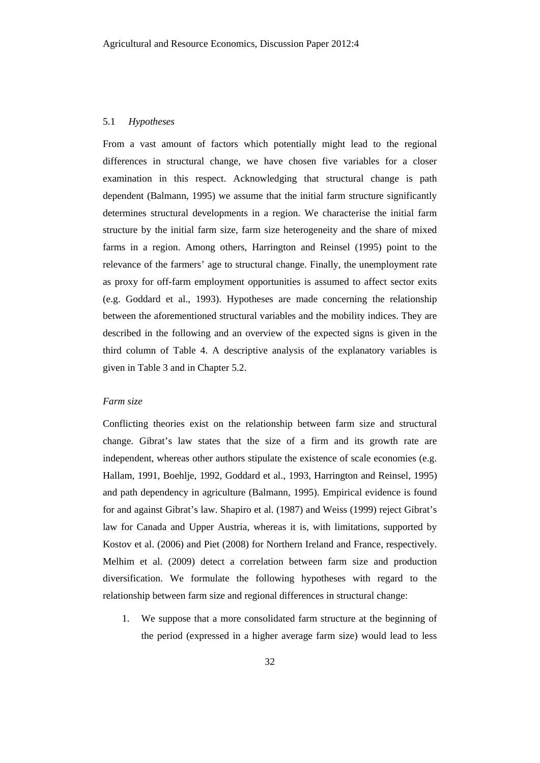#### 5.1 *Hypotheses*

From a vast amount of factors which potentially might lead to the regional differences in structural change, we have chosen five variables for a closer examination in this respect. Acknowledging that structural change is path dependent (Balmann, 1995) we assume that the initial farm structure significantly determines structural developments in a region. We characterise the initial farm structure by the initial farm size, farm size heterogeneity and the share of mixed farms in a region. Among others, Harrington and Reinsel (1995) point to the relevance of the farmers' age to structural change. Finally, the unemployment rate as proxy for off-farm employment opportunities is assumed to affect sector exits (e.g. Goddard et al., 1993). Hypotheses are made concerning the relationship between the aforementioned structural variables and the mobility indices. They are described in the following and an overview of the expected signs is given in the third column of Table 4. A descriptive analysis of the explanatory variables is given in Table 3 and in Chapter 5.2.

## *Farm size*

Conflicting theories exist on the relationship between farm size and structural change. Gibrat's law states that the size of a firm and its growth rate are independent, whereas other authors stipulate the existence of scale economies (e.g. Hallam, 1991, Boehlje, 1992, Goddard et al., 1993, Harrington and Reinsel, 1995) and path dependency in agriculture (Balmann, 1995). Empirical evidence is found for and against Gibrat's law. Shapiro et al. (1987) and Weiss (1999) reject Gibrat's law for Canada and Upper Austria, whereas it is, with limitations, supported by Kostov et al. (2006) and Piet (2008) for Northern Ireland and France, respectively. Melhim et al. (2009) detect a correlation between farm size and production diversification. We formulate the following hypotheses with regard to the relationship between farm size and regional differences in structural change:

1. We suppose that a more consolidated farm structure at the beginning of the period (expressed in a higher average farm size) would lead to less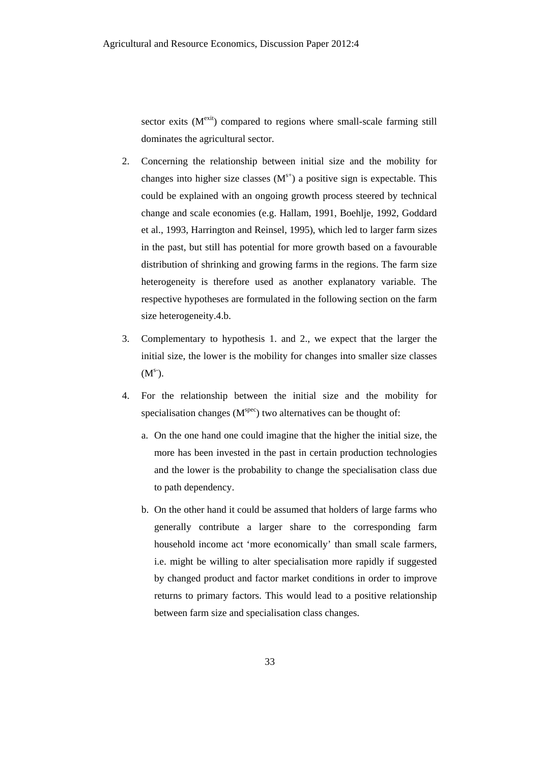sector exits  $(M<sup>exit</sup>)$  compared to regions where small-scale farming still dominates the agricultural sector.

- 2. Concerning the relationship between initial size and the mobility for changes into higher size classes  $(M<sup>s+</sup>)$  a positive sign is expectable. This could be explained with an ongoing growth process steered by technical change and scale economies (e.g. Hallam, 1991, Boehlje, 1992, Goddard et al., 1993, Harrington and Reinsel, 1995), which led to larger farm sizes in the past, but still has potential for more growth based on a favourable distribution of shrinking and growing farms in the regions. The farm size heterogeneity is therefore used as another explanatory variable. The respective hypotheses are formulated in the following section on the farm size heterogeneity.4.b.
- 3. Complementary to hypothesis 1. and 2., we expect that the larger the initial size, the lower is the mobility for changes into smaller size classes  $(M^{s-}).$
- 4. For the relationship between the initial size and the mobility for specialisation changes  $(M<sup>spec</sup>)$  two alternatives can be thought of:
	- a. On the one hand one could imagine that the higher the initial size, the more has been invested in the past in certain production technologies and the lower is the probability to change the specialisation class due to path dependency.
	- b. On the other hand it could be assumed that holders of large farms who generally contribute a larger share to the corresponding farm household income act 'more economically' than small scale farmers, i.e. might be willing to alter specialisation more rapidly if suggested by changed product and factor market conditions in order to improve returns to primary factors. This would lead to a positive relationship between farm size and specialisation class changes.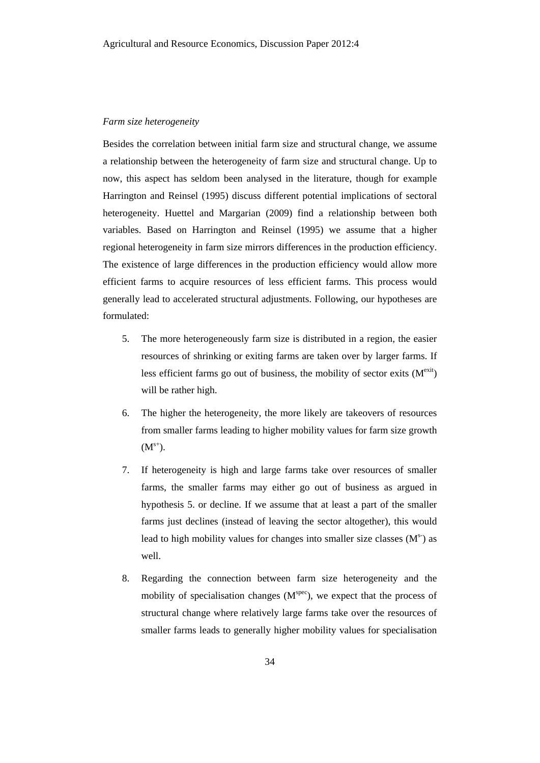#### *Farm size heterogeneity*

Besides the correlation between initial farm size and structural change, we assume a relationship between the heterogeneity of farm size and structural change. Up to now, this aspect has seldom been analysed in the literature, though for example Harrington and Reinsel (1995) discuss different potential implications of sectoral heterogeneity. Huettel and Margarian (2009) find a relationship between both variables. Based on Harrington and Reinsel (1995) we assume that a higher regional heterogeneity in farm size mirrors differences in the production efficiency. The existence of large differences in the production efficiency would allow more efficient farms to acquire resources of less efficient farms. This process would generally lead to accelerated structural adjustments. Following, our hypotheses are formulated:

- 5. The more heterogeneously farm size is distributed in a region, the easier resources of shrinking or exiting farms are taken over by larger farms. If less efficient farms go out of business, the mobility of sector exits  $(M^{\text{exit}})$ will be rather high.
- 6. The higher the heterogeneity, the more likely are takeovers of resources from smaller farms leading to higher mobility values for farm size growth  $(M^{s+}).$
- 7. If heterogeneity is high and large farms take over resources of smaller farms, the smaller farms may either go out of business as argued in hypothesis 5. or decline. If we assume that at least a part of the smaller farms just declines (instead of leaving the sector altogether), this would lead to high mobility values for changes into smaller size classes  $(M<sup>s</sup>)$  as well.
- 8. Regarding the connection between farm size heterogeneity and the mobility of specialisation changes  $(M<sup>spec</sup>)$ , we expect that the process of structural change where relatively large farms take over the resources of smaller farms leads to generally higher mobility values for specialisation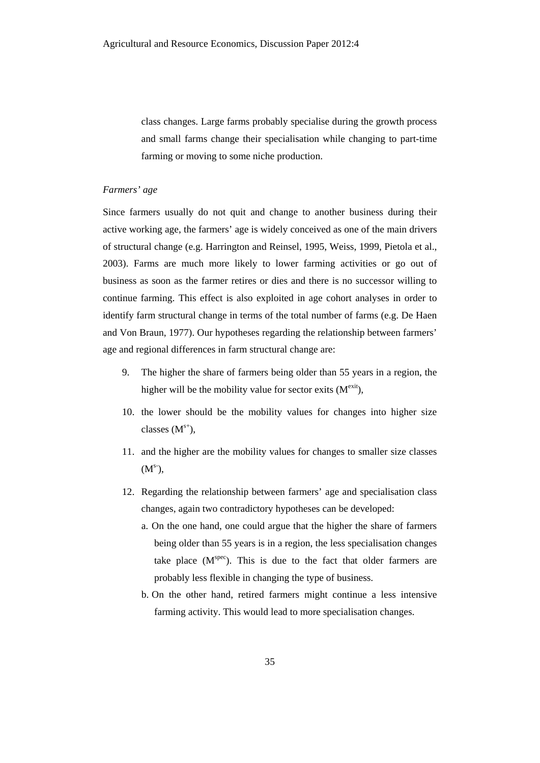class changes. Large farms probably specialise during the growth process and small farms change their specialisation while changing to part-time farming or moving to some niche production.

#### *Farmers' age*

Since farmers usually do not quit and change to another business during their active working age, the farmers' age is widely conceived as one of the main drivers of structural change (e.g. Harrington and Reinsel, 1995, Weiss, 1999, Pietola et al., 2003). Farms are much more likely to lower farming activities or go out of business as soon as the farmer retires or dies and there is no successor willing to continue farming. This effect is also exploited in age cohort analyses in order to identify farm structural change in terms of the total number of farms (e.g. De Haen and Von Braun, 1977). Our hypotheses regarding the relationship between farmers' age and regional differences in farm structural change are:

- 9. The higher the share of farmers being older than 55 years in a region, the higher will be the mobility value for sector exits  $(M<sup>exit</sup>)$ ,
- 10. the lower should be the mobility values for changes into higher size classes  $(M^{s+})$ ,
- 11. and the higher are the mobility values for changes to smaller size classes  $(M<sup>s</sup>),$
- 12. Regarding the relationship between farmers' age and specialisation class changes, again two contradictory hypotheses can be developed:
	- a. On the one hand, one could argue that the higher the share of farmers being older than 55 years is in a region, the less specialisation changes take place  $(M<sup>spec</sup>)$ . This is due to the fact that older farmers are probably less flexible in changing the type of business.
	- b. On the other hand, retired farmers might continue a less intensive farming activity. This would lead to more specialisation changes.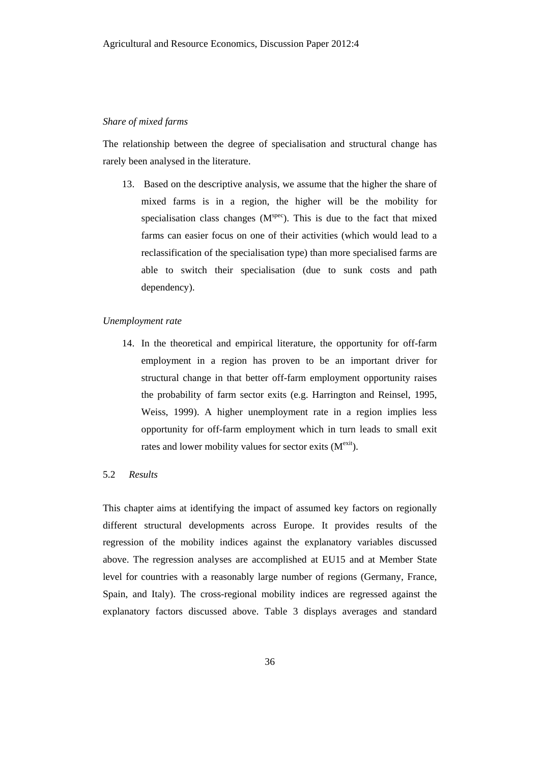#### *Share of mixed farms*

The relationship between the degree of specialisation and structural change has rarely been analysed in the literature.

13. Based on the descriptive analysis, we assume that the higher the share of mixed farms is in a region, the higher will be the mobility for specialisation class changes  $(M<sup>spec</sup>)$ . This is due to the fact that mixed farms can easier focus on one of their activities (which would lead to a reclassification of the specialisation type) than more specialised farms are able to switch their specialisation (due to sunk costs and path dependency).

#### *Unemployment rate*

14. In the theoretical and empirical literature, the opportunity for off-farm employment in a region has proven to be an important driver for structural change in that better off-farm employment opportunity raises the probability of farm sector exits (e.g. Harrington and Reinsel, 1995, Weiss, 1999). A higher unemployment rate in a region implies less opportunity for off-farm employment which in turn leads to small exit rates and lower mobility values for sector exits  $(M<sup>exit</sup>)$ .

# 5.2 *Results*

This chapter aims at identifying the impact of assumed key factors on regionally different structural developments across Europe. It provides results of the regression of the mobility indices against the explanatory variables discussed above. The regression analyses are accomplished at EU15 and at Member State level for countries with a reasonably large number of regions (Germany, France, Spain, and Italy). The cross-regional mobility indices are regressed against the explanatory factors discussed above. Table 3 displays averages and standard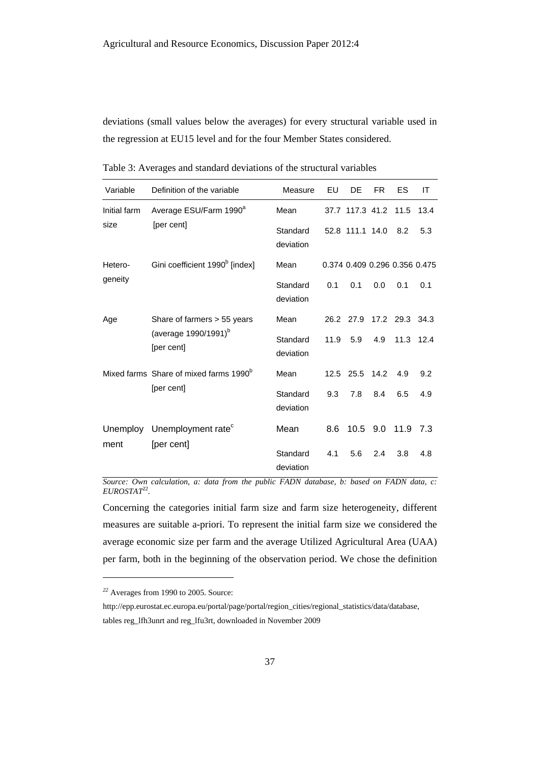deviations (small values below the averages) for every structural variable used in the regression at EU15 level and for the four Member States considered.

| Variable     | Definition of the variable                                                    | Measure               | EU   | DE              | FR. | ES                                                                                                                                       | IT   |
|--------------|-------------------------------------------------------------------------------|-----------------------|------|-----------------|-----|------------------------------------------------------------------------------------------------------------------------------------------|------|
| Initial farm | Average ESU/Farm 1990 <sup>a</sup>                                            | Mean                  |      | 37.7 117.3 41.2 |     | 11.5                                                                                                                                     | 13.4 |
| size         | [per cent]                                                                    | Standard<br>deviation |      | 52.8 111.1 14.0 |     | 8.2                                                                                                                                      | 5.3  |
| Hetero-      | Gini coefficient 1990 <sup>b</sup> [index]                                    | Mean                  |      |                 |     |                                                                                                                                          |      |
| geneity      |                                                                               | Standard<br>deviation | 0.1  | 0.1             | 0.0 | 0.374 0.409 0.296 0.356 0.475<br>0.1<br>0.1<br>26.2 27.9 17.2 29.3 34.3<br>11.3 12.4<br>4.9<br>9.2<br>6.5<br>4.9<br>10.5 9.0 11.9<br>7.3 |      |
| Age          | Share of farmers > 55 years<br>(average 1990/1991) <sup>b</sup><br>[per cent] | Mean                  |      |                 |     |                                                                                                                                          |      |
|              |                                                                               | Standard<br>deviation | 11.9 | 5.9             | 4.9 |                                                                                                                                          |      |
|              | Mixed farms Share of mixed farms 1990 <sup>b</sup>                            | Mean                  |      | 12.5 25.5 14.2  |     |                                                                                                                                          |      |
|              | [per cent]                                                                    | Standard<br>deviation | 9.3  | 7.8             | 8.4 |                                                                                                                                          |      |
|              | Unemploy Unemployment rate <sup>c</sup>                                       | Mean                  | 8.6  |                 |     |                                                                                                                                          |      |
| ment         | [per cent]                                                                    | Standard<br>deviation | 4.1  | 5.6             | 2.4 | 3.8                                                                                                                                      | 4.8  |

Table 3: Averages and standard deviations of the structural variables

*Source: Own calculation, a: data from the public FADN database, b: based on FADN data, c:*   $EUROSTAT^{22}$ .

Concerning the categories initial farm size and farm size heterogeneity, different measures are suitable a-priori. To represent the initial farm size we considered the average economic size per farm and the average Utilized Agricultural Area (UAA) per farm, both in the beginning of the observation period. We chose the definition

l

*<sup>22</sup>* Averages from 1990 to 2005. Source:

http://epp.eurostat.ec.europa.eu/portal/page/portal/region\_cities/regional\_statistics/data/database, tables reg\_lfh3unrt and reg\_lfu3rt, downloaded in November 2009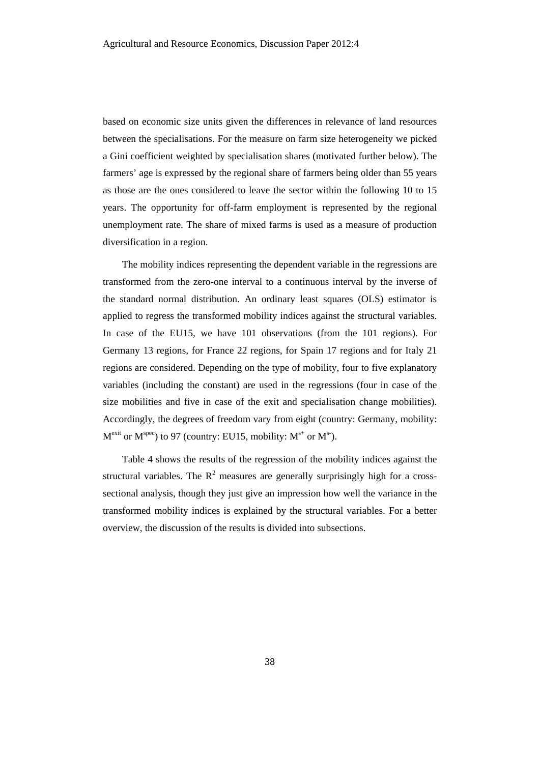based on economic size units given the differences in relevance of land resources between the specialisations. For the measure on farm size heterogeneity we picked a Gini coefficient weighted by specialisation shares (motivated further below). The farmers' age is expressed by the regional share of farmers being older than 55 years as those are the ones considered to leave the sector within the following 10 to 15 years. The opportunity for off-farm employment is represented by the regional unemployment rate. The share of mixed farms is used as a measure of production diversification in a region.

The mobility indices representing the dependent variable in the regressions are transformed from the zero-one interval to a continuous interval by the inverse of the standard normal distribution. An ordinary least squares (OLS) estimator is applied to regress the transformed mobility indices against the structural variables. In case of the EU15, we have 101 observations (from the 101 regions). For Germany 13 regions, for France 22 regions, for Spain 17 regions and for Italy 21 regions are considered. Depending on the type of mobility, four to five explanatory variables (including the constant) are used in the regressions (four in case of the size mobilities and five in case of the exit and specialisation change mobilities). Accordingly, the degrees of freedom vary from eight (country: Germany, mobility:  $M^{\text{exit}}$  or  $M^{\text{spec}}$ ) to 97 (country: EU15, mobility:  $M^{\text{s+}}$  or  $M^{\text{s-}}$ ).

Table 4 shows the results of the regression of the mobility indices against the structural variables. The  $R^2$  measures are generally surprisingly high for a crosssectional analysis, though they just give an impression how well the variance in the transformed mobility indices is explained by the structural variables. For a better overview, the discussion of the results is divided into subsections.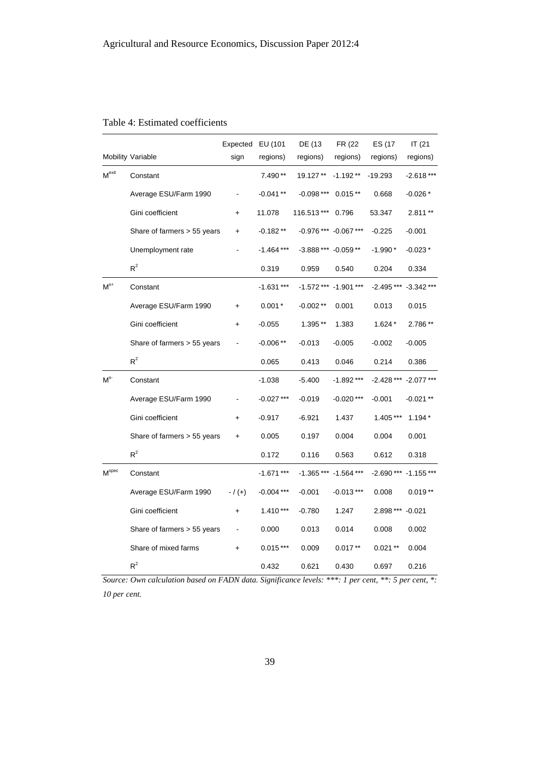|                   | Mobility Variable           | Expected EU (101<br>sign | regions)     | DE (13<br>regions)   | FR (22)<br>regions)   | ES (17<br>regions) | IT (21<br>regions) |
|-------------------|-----------------------------|--------------------------|--------------|----------------------|-----------------------|--------------------|--------------------|
| Mexit             | Constant                    |                          | 7.490**      | 19.127**             | $-1.192**$            | $-19.293$          | $-2.618***$        |
|                   | Average ESU/Farm 1990       |                          | $-0.041**$   | $-0.098***$          | $0.015**$             | 0.668              | $-0.026*$          |
|                   | Gini coefficient            | $\ddot{}$                | 11.078       | 116.513***           | 0.796                 | 53.347             | 2.811**            |
|                   | Share of farmers > 55 years | +                        | $-0.182**$   |                      | -0.976 *** -0.067 *** | $-0.225$           | $-0.001$           |
|                   | Unemployment rate           |                          | $-1.464$ *** | -3.888 *** -0.059 ** |                       | $-1.990*$          | $-0.023*$          |
|                   | $R^2$                       |                          | 0.319        | 0.959                | 0.540                 | 0.204              | 0.334              |
| $M^{s+}$          | Constant                    |                          | $-1.631***$  |                      | $-1.572***$ -1.901*** | $-2.495***$        | $-3.342***$        |
|                   | Average ESU/Farm 1990       | +                        | $0.001*$     | $-0.002**$           | 0.001                 | 0.013              | 0.015              |
|                   | Gini coefficient            | $\ddot{}$                | $-0.055$     | 1.395**              | 1.383                 | $1.624*$           | 2.786**            |
|                   | Share of farmers > 55 years |                          | $-0.006**$   | $-0.013$             | $-0.005$              | $-0.002$           | $-0.005$           |
|                   | $R^2$                       |                          | 0.065        | 0.413                | 0.046                 | 0.214              | 0.386              |
| M <sup>s</sup>    | Constant                    |                          | $-1.038$     | $-5.400$             | $-1.892***$           | $-2.428***$        | $-2.077***$        |
|                   | Average ESU/Farm 1990       |                          | $-0.027***$  | $-0.019$             | $-0.020$ ***          | $-0.001$           | $-0.021**$         |
|                   | Gini coefficient            | +                        | $-0.917$     | $-6.921$             | 1.437                 | 1.405 ***          | $1.194*$           |
|                   | Share of farmers > 55 years | $\ddot{}$                | 0.005        | 0.197                | 0.004                 | 0.004              | 0.001              |
|                   | $R^2$                       |                          | 0.172        | 0.116                | 0.563                 | 0.612              | 0.318              |
| M <sup>spec</sup> | Constant                    |                          | $-1.671***$  | $-1.365***$          | $-1.564***$           | $-2.690***$        | $-1.155***$        |
|                   | Average ESU/Farm 1990       | $- / (+)$                | $-0.004$ *** | $-0.001$             | $-0.013***$           | 0.008              | $0.019**$          |
|                   | Gini coefficient            | $\ddagger$               | $1.410***$   | $-0.780$             | 1.247                 | 2.898 ***          | $-0.021$           |
|                   | Share of farmers > 55 years |                          | 0.000        | 0.013                | 0.014                 | 0.008              | 0.002              |
|                   | Share of mixed farms        | $\ddot{}$                | $0.015***$   | 0.009                | $0.017**$             | $0.021**$          | 0.004              |
|                   | $R^2$                       |                          | 0.432        | 0.621                | 0.430                 | 0.697              | 0.216              |

# Table 4: Estimated coefficients

*Source: Own calculation based on FADN data. Significance levels: \*\*\*: 1 per cent, \*\*: 5 per cent, \*: 10 per cent.*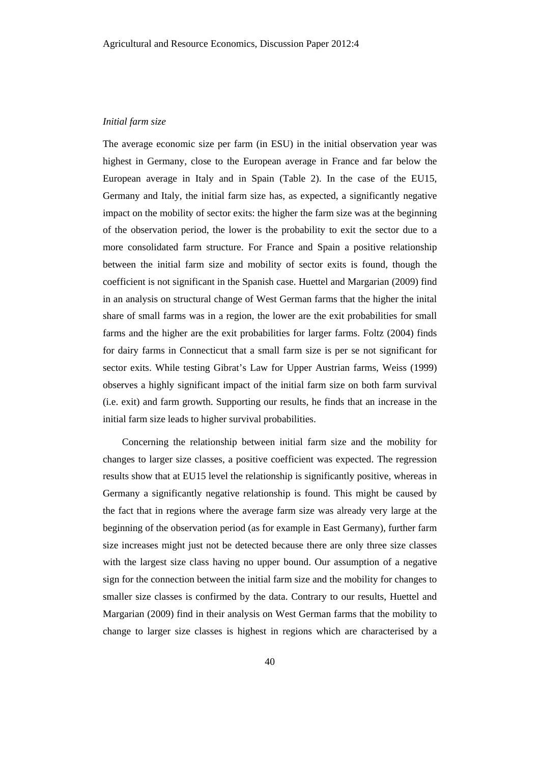#### *Initial farm size*

The average economic size per farm (in ESU) in the initial observation year was highest in Germany, close to the European average in France and far below the European average in Italy and in Spain (Table 2). In the case of the EU15, Germany and Italy, the initial farm size has, as expected, a significantly negative impact on the mobility of sector exits: the higher the farm size was at the beginning of the observation period, the lower is the probability to exit the sector due to a more consolidated farm structure. For France and Spain a positive relationship between the initial farm size and mobility of sector exits is found, though the coefficient is not significant in the Spanish case. Huettel and Margarian (2009) find in an analysis on structural change of West German farms that the higher the inital share of small farms was in a region, the lower are the exit probabilities for small farms and the higher are the exit probabilities for larger farms. Foltz (2004) finds for dairy farms in Connecticut that a small farm size is per se not significant for sector exits. While testing Gibrat's Law for Upper Austrian farms, Weiss (1999) observes a highly significant impact of the initial farm size on both farm survival (i.e. exit) and farm growth. Supporting our results, he finds that an increase in the initial farm size leads to higher survival probabilities.

Concerning the relationship between initial farm size and the mobility for changes to larger size classes, a positive coefficient was expected. The regression results show that at EU15 level the relationship is significantly positive, whereas in Germany a significantly negative relationship is found. This might be caused by the fact that in regions where the average farm size was already very large at the beginning of the observation period (as for example in East Germany), further farm size increases might just not be detected because there are only three size classes with the largest size class having no upper bound. Our assumption of a negative sign for the connection between the initial farm size and the mobility for changes to smaller size classes is confirmed by the data. Contrary to our results, Huettel and Margarian (2009) find in their analysis on West German farms that the mobility to change to larger size classes is highest in regions which are characterised by a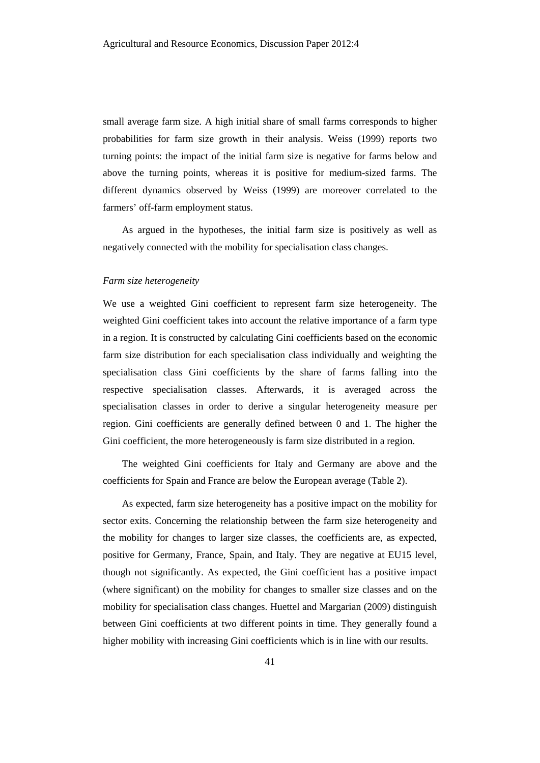small average farm size. A high initial share of small farms corresponds to higher probabilities for farm size growth in their analysis. Weiss (1999) reports two turning points: the impact of the initial farm size is negative for farms below and above the turning points, whereas it is positive for medium-sized farms. The different dynamics observed by Weiss (1999) are moreover correlated to the farmers' off-farm employment status.

As argued in the hypotheses, the initial farm size is positively as well as negatively connected with the mobility for specialisation class changes.

#### *Farm size heterogeneity*

We use a weighted Gini coefficient to represent farm size heterogeneity. The weighted Gini coefficient takes into account the relative importance of a farm type in a region. It is constructed by calculating Gini coefficients based on the economic farm size distribution for each specialisation class individually and weighting the specialisation class Gini coefficients by the share of farms falling into the respective specialisation classes. Afterwards, it is averaged across the specialisation classes in order to derive a singular heterogeneity measure per region. Gini coefficients are generally defined between 0 and 1. The higher the Gini coefficient, the more heterogeneously is farm size distributed in a region.

The weighted Gini coefficients for Italy and Germany are above and the coefficients for Spain and France are below the European average (Table 2).

As expected, farm size heterogeneity has a positive impact on the mobility for sector exits. Concerning the relationship between the farm size heterogeneity and the mobility for changes to larger size classes, the coefficients are, as expected, positive for Germany, France, Spain, and Italy. They are negative at EU15 level, though not significantly. As expected, the Gini coefficient has a positive impact (where significant) on the mobility for changes to smaller size classes and on the mobility for specialisation class changes. Huettel and Margarian (2009) distinguish between Gini coefficients at two different points in time. They generally found a higher mobility with increasing Gini coefficients which is in line with our results.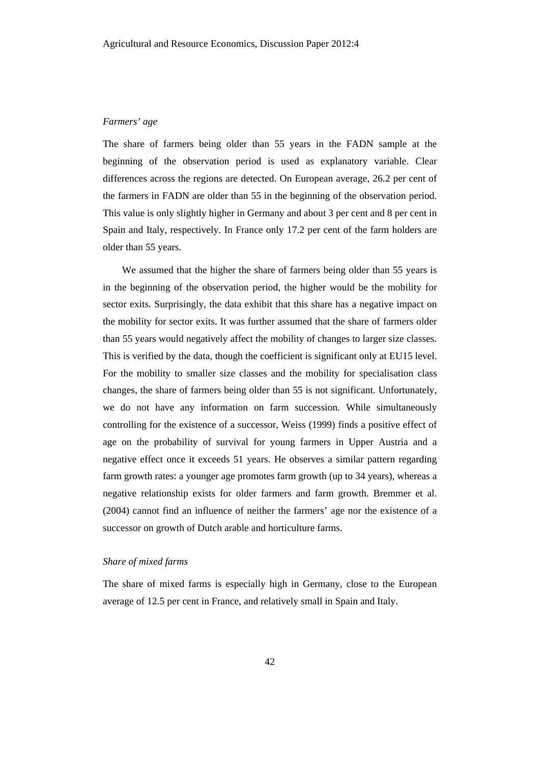#### *Farmers' age*

The share of farmers being older than 55 years in the FADN sample at the beginning of the observation period is used as explanatory variable. Clear differences across the regions are detected. On European average, 26.2 per cent of the farmers in FADN are older than 55 in the beginning of the observation period. This value is only slightly higher in Germany and about 3 per cent and 8 per cent in Spain and Italy, respectively. In France only 17.2 per cent of the farm holders are older than 55 years.

We assumed that the higher the share of farmers being older than 55 years is in the beginning of the observation period, the higher would be the mobility for sector exits. Surprisingly, the data exhibit that this share has a negative impact on the mobility for sector exits. It was further assumed that the share of farmers older than 55 years would negatively affect the mobility of changes to larger size classes. This is verified by the data, though the coefficient is significant only at EU15 level. For the mobility to smaller size classes and the mobility for specialisation class changes, the share of farmers being older than 55 is not significant. Unfortunately, we do not have any information on farm succession. While simultaneously controlling for the existence of a successor, Weiss (1999) finds a positive effect of age on the probability of survival for young farmers in Upper Austria and a negative effect once it exceeds 51 years. He observes a similar pattern regarding farm growth rates: a younger age promotes farm growth (up to 34 years), whereas a negative relationship exists for older farmers and farm growth. Bremmer et al. (2004) cannot find an influence of neither the farmers' age nor the existence of a successor on growth of Dutch arable and horticulture farms.

# *Share of mixed farms*

The share of mixed farms is especially high in Germany, close to the European average of 12.5 per cent in France, and relatively small in Spain and Italy.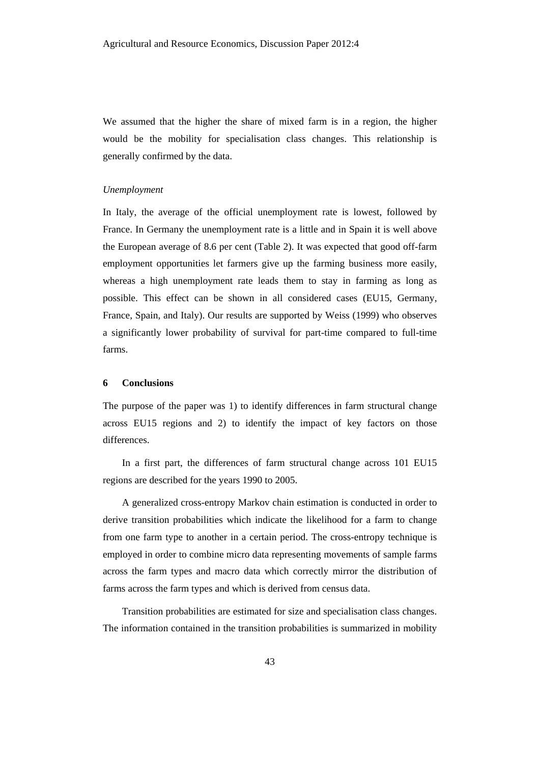We assumed that the higher the share of mixed farm is in a region, the higher would be the mobility for specialisation class changes. This relationship is generally confirmed by the data.

#### *Unemployment*

In Italy, the average of the official unemployment rate is lowest, followed by France. In Germany the unemployment rate is a little and in Spain it is well above the European average of 8.6 per cent (Table 2). It was expected that good off-farm employment opportunities let farmers give up the farming business more easily, whereas a high unemployment rate leads them to stay in farming as long as possible. This effect can be shown in all considered cases (EU15, Germany, France, Spain, and Italy). Our results are supported by Weiss (1999) who observes a significantly lower probability of survival for part-time compared to full-time farms.

#### **6 Conclusions**

The purpose of the paper was 1) to identify differences in farm structural change across EU15 regions and 2) to identify the impact of key factors on those differences.

In a first part, the differences of farm structural change across 101 EU15 regions are described for the years 1990 to 2005.

A generalized cross-entropy Markov chain estimation is conducted in order to derive transition probabilities which indicate the likelihood for a farm to change from one farm type to another in a certain period. The cross-entropy technique is employed in order to combine micro data representing movements of sample farms across the farm types and macro data which correctly mirror the distribution of farms across the farm types and which is derived from census data.

Transition probabilities are estimated for size and specialisation class changes. The information contained in the transition probabilities is summarized in mobility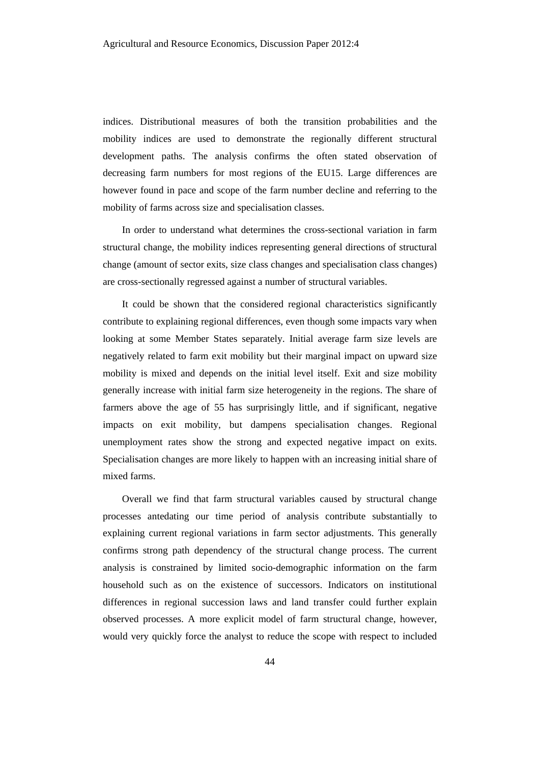indices. Distributional measures of both the transition probabilities and the mobility indices are used to demonstrate the regionally different structural development paths. The analysis confirms the often stated observation of decreasing farm numbers for most regions of the EU15. Large differences are however found in pace and scope of the farm number decline and referring to the mobility of farms across size and specialisation classes.

In order to understand what determines the cross-sectional variation in farm structural change, the mobility indices representing general directions of structural change (amount of sector exits, size class changes and specialisation class changes) are cross-sectionally regressed against a number of structural variables.

It could be shown that the considered regional characteristics significantly contribute to explaining regional differences, even though some impacts vary when looking at some Member States separately. Initial average farm size levels are negatively related to farm exit mobility but their marginal impact on upward size mobility is mixed and depends on the initial level itself. Exit and size mobility generally increase with initial farm size heterogeneity in the regions. The share of farmers above the age of 55 has surprisingly little, and if significant, negative impacts on exit mobility, but dampens specialisation changes. Regional unemployment rates show the strong and expected negative impact on exits. Specialisation changes are more likely to happen with an increasing initial share of mixed farms.

Overall we find that farm structural variables caused by structural change processes antedating our time period of analysis contribute substantially to explaining current regional variations in farm sector adjustments. This generally confirms strong path dependency of the structural change process. The current analysis is constrained by limited socio-demographic information on the farm household such as on the existence of successors. Indicators on institutional differences in regional succession laws and land transfer could further explain observed processes. A more explicit model of farm structural change, however, would very quickly force the analyst to reduce the scope with respect to included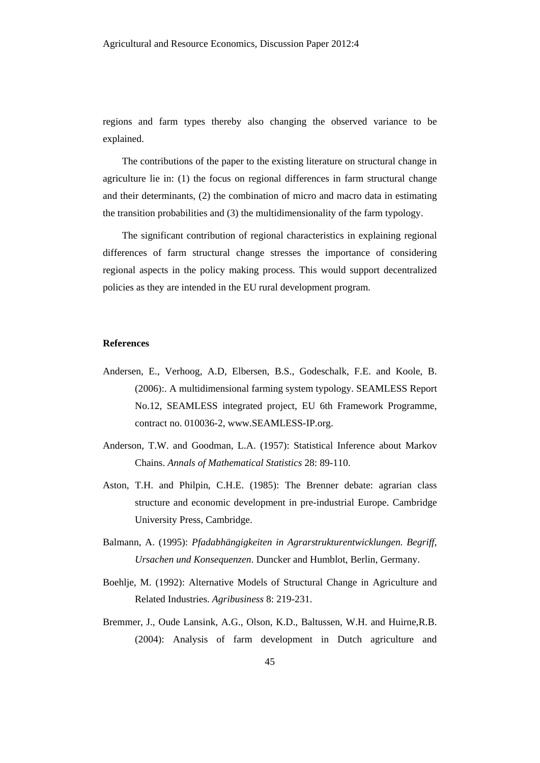regions and farm types thereby also changing the observed variance to be explained.

The contributions of the paper to the existing literature on structural change in agriculture lie in: (1) the focus on regional differences in farm structural change and their determinants, (2) the combination of micro and macro data in estimating the transition probabilities and (3) the multidimensionality of the farm typology.

The significant contribution of regional characteristics in explaining regional differences of farm structural change stresses the importance of considering regional aspects in the policy making process. This would support decentralized policies as they are intended in the EU rural development program.

#### **References**

- Andersen, E., Verhoog, A.D, Elbersen, B.S., Godeschalk, F.E. and Koole, B. (2006):. A multidimensional farming system typology. SEAMLESS Report No.12, SEAMLESS integrated project, EU 6th Framework Programme, contract no. 010036-2, www.SEAMLESS-IP.org.
- Anderson, T.W. and Goodman, L.A. (1957): Statistical Inference about Markov Chains. *Annals of Mathematical Statistics* 28: 89-110.
- Aston, T.H. and Philpin, C.H.E. (1985): The Brenner debate: agrarian class structure and economic development in pre-industrial Europe. Cambridge University Press, Cambridge.
- Balmann, A. (1995): *Pfadabhängigkeiten in Agrarstrukturentwicklungen. Begriff, Ursachen und Konsequenzen*. Duncker and Humblot, Berlin, Germany.
- Boehlje, M. (1992): Alternative Models of Structural Change in Agriculture and Related Industries. *Agribusiness* 8: 219-231.
- Bremmer, J., Oude Lansink, A.G., Olson, K.D., Baltussen, W.H. and Huirne,R.B. (2004): Analysis of farm development in Dutch agriculture and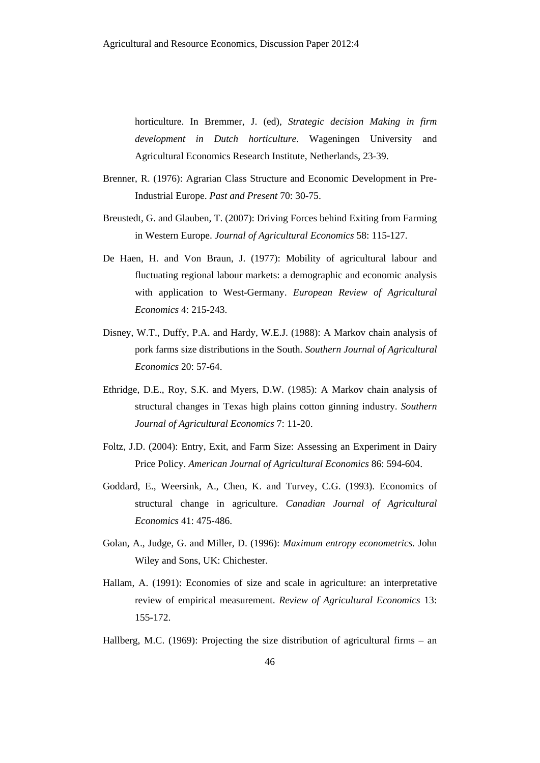horticulture. In Bremmer, J. (ed), *Strategic decision Making in firm development in Dutch horticulture*. Wageningen University and Agricultural Economics Research Institute, Netherlands, 23-39.

- Brenner, R. (1976): Agrarian Class Structure and Economic Development in Pre-Industrial Europe. *Past and Present* 70: 30-75.
- Breustedt, G. and Glauben, T. (2007): Driving Forces behind Exiting from Farming in Western Europe. *Journal of Agricultural Economics* 58: 115-127.
- De Haen, H. and Von Braun, J. (1977): Mobility of agricultural labour and fluctuating regional labour markets: a demographic and economic analysis with application to West-Germany. *European Review of Agricultural Economics* 4: 215-243.
- Disney, W.T., Duffy, P.A. and Hardy, W.E.J. (1988): A Markov chain analysis of pork farms size distributions in the South. *Southern Journal of Agricultural Economics* 20: 57-64.
- Ethridge, D.E., Roy, S.K. and Myers, D.W. (1985): A Markov chain analysis of structural changes in Texas high plains cotton ginning industry. *Southern Journal of Agricultural Economics* 7: 11-20.
- Foltz, J.D. (2004): Entry, Exit, and Farm Size: Assessing an Experiment in Dairy Price Policy. *American Journal of Agricultural Economics* 86: 594-604.
- Goddard, E., Weersink, A., Chen, K. and Turvey, C.G. (1993). Economics of structural change in agriculture. *Canadian Journal of Agricultural Economics* 41: 475-486.
- Golan, A., Judge, G. and Miller, D. (1996): *Maximum entropy econometrics.* John Wiley and Sons, UK: Chichester.
- Hallam, A. (1991): Economies of size and scale in agriculture: an interpretative review of empirical measurement. *Review of Agricultural Economics* 13: 155-172.
- Hallberg, M.C. (1969): Projecting the size distribution of agricultural firms an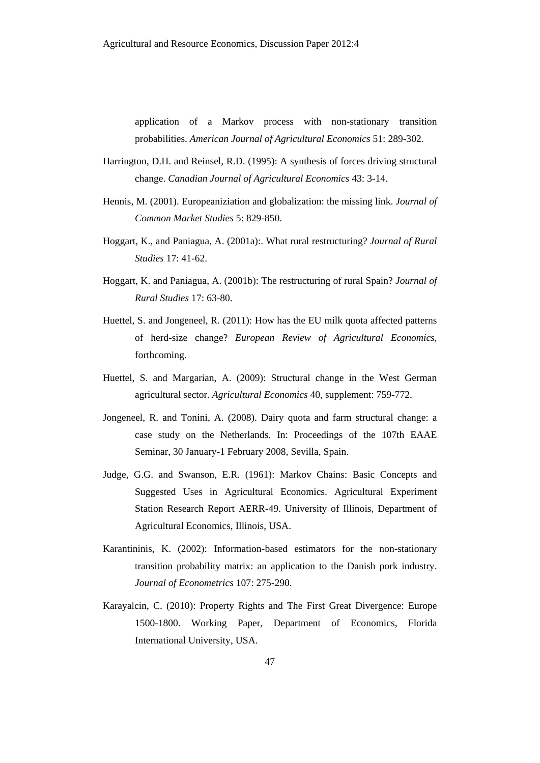application of a Markov process with non-stationary transition probabilities. *American Journal of Agricultural Economics* 51: 289-302.

- Harrington, D.H. and Reinsel, R.D. (1995): A synthesis of forces driving structural change. *Canadian Journal of Agricultural Economics* 43: 3-14.
- Hennis, M. (2001). Europeaniziation and globalization: the missing link. *Journal of Common Market Studies* 5: 829-850.
- Hoggart, K., and Paniagua, A. (2001a):. What rural restructuring? *Journal of Rural Studies* 17: 41-62.
- Hoggart, K. and Paniagua, A. (2001b): The restructuring of rural Spain? *Journal of Rural Studies* 17: 63-80.
- Huettel, S. and Jongeneel, R. (2011): How has the EU milk quota affected patterns of herd-size change? *European Review of Agricultural Economics*, forthcoming.
- Huettel, S. and Margarian, A. (2009): Structural change in the West German agricultural sector. *Agricultural Economics* 40, supplement: 759-772.
- Jongeneel, R. and Tonini, A. (2008). Dairy quota and farm structural change: a case study on the Netherlands. In: Proceedings of the 107th EAAE Seminar, 30 January-1 February 2008, Sevilla, Spain.
- Judge, G.G. and Swanson, E.R. (1961): Markov Chains: Basic Concepts and Suggested Uses in Agricultural Economics. Agricultural Experiment Station Research Report AERR-49. University of Illinois, Department of Agricultural Economics, Illinois, USA.
- Karantininis, K. (2002): Information-based estimators for the non-stationary transition probability matrix: an application to the Danish pork industry. *Journal of Econometrics* 107: 275-290.
- Karayalcin, C. (2010): Property Rights and The First Great Divergence: Europe 1500-1800. Working Paper, Department of Economics, Florida International University, USA.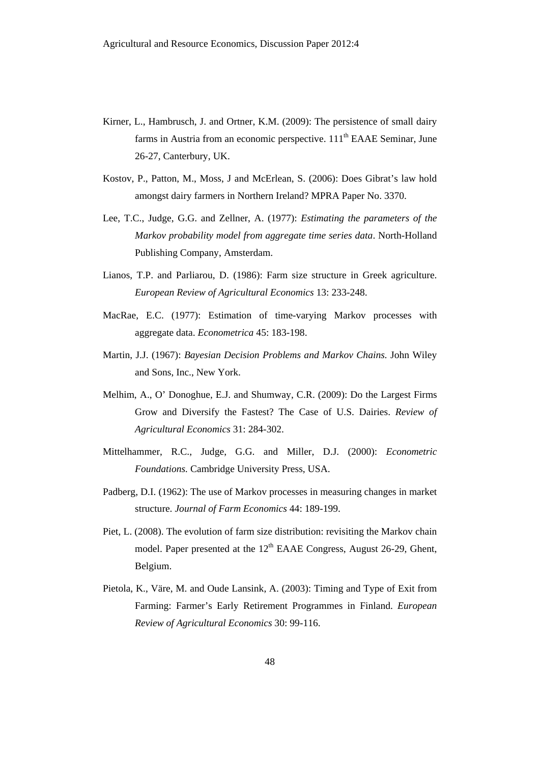- Kirner, L., Hambrusch, J. and Ortner, K.M. (2009): The persistence of small dairy farms in Austria from an economic perspective.  $111<sup>th</sup>$  EAAE Seminar, June 26-27, Canterbury, UK.
- Kostov, P., Patton, M., Moss, J and McErlean, S. (2006): Does Gibrat's law hold amongst dairy farmers in Northern Ireland? MPRA Paper No. 3370.
- Lee, T.C., Judge, G.G. and Zellner, A. (1977): *Estimating the parameters of the Markov probability model from aggregate time series data*. North-Holland Publishing Company, Amsterdam.
- Lianos, T.P. and Parliarou, D. (1986): Farm size structure in Greek agriculture. *European Review of Agricultural Economics* 13: 233-248.
- MacRae, E.C. (1977): Estimation of time-varying Markov processes with aggregate data. *Econometrica* 45: 183-198.
- Martin, J.J. (1967): *Bayesian Decision Problems and Markov Chains.* John Wiley and Sons, Inc., New York.
- Melhim, A., O' Donoghue, E.J. and Shumway, C.R. (2009): Do the Largest Firms Grow and Diversify the Fastest? The Case of U.S. Dairies. *Review of Agricultural Economics* 31: 284-302.
- Mittelhammer, R.C., Judge, G.G. and Miller, D.J. (2000): *Econometric Foundations.* Cambridge University Press, USA.
- Padberg, D.I. (1962): The use of Markov processes in measuring changes in market structure. *Journal of Farm Economics* 44: 189-199.
- Piet, L. (2008). The evolution of farm size distribution: revisiting the Markov chain model. Paper presented at the 12<sup>th</sup> EAAE Congress, August 26-29, Ghent, Belgium.
- Pietola, K., Väre, M. and Oude Lansink, A. (2003): Timing and Type of Exit from Farming: Farmer's Early Retirement Programmes in Finland. *European Review of Agricultural Economics* 30: 99-116.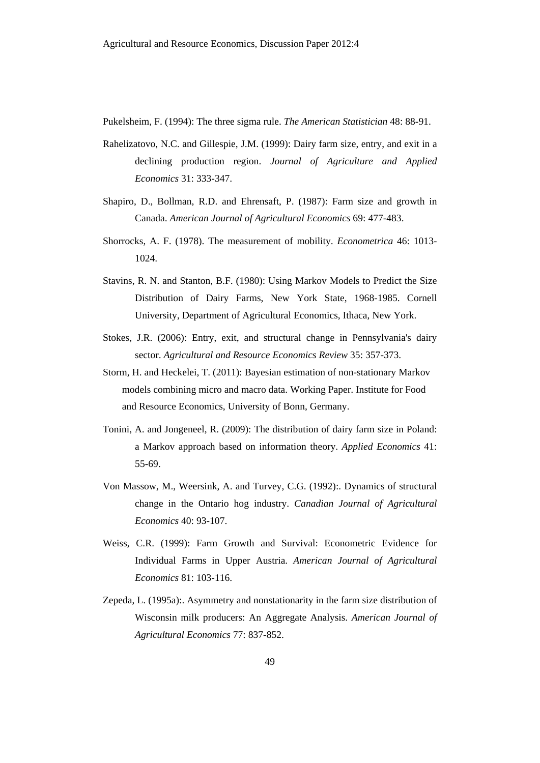Pukelsheim, F. (1994): The three sigma rule. *The American Statistician* 48: 88-91.

- Rahelizatovo, N.C. and Gillespie, J.M. (1999): Dairy farm size, entry, and exit in a declining production region. *Journal of Agriculture and Applied Economics* 31: 333-347.
- Shapiro, D., Bollman, R.D. and Ehrensaft, P. (1987): Farm size and growth in Canada. *American Journal of Agricultural Economics* 69: 477-483.
- Shorrocks, A. F. (1978). The measurement of mobility. *Econometrica* 46: 1013- 1024.
- Stavins, R. N. and Stanton, B.F. (1980): Using Markov Models to Predict the Size Distribution of Dairy Farms, New York State, 1968-1985. Cornell University, Department of Agricultural Economics, Ithaca, New York.
- Stokes, J.R. (2006): Entry, exit, and structural change in Pennsylvania's dairy sector. *Agricultural and Resource Economics Review* 35: 357-373.
- Storm, H. and Heckelei, T. (2011): Bayesian estimation of non-stationary Markov models combining micro and macro data. Working Paper. Institute for Food and Resource Economics, University of Bonn, Germany.
- Tonini, A. and Jongeneel, R. (2009): The distribution of dairy farm size in Poland: a Markov approach based on information theory. *Applied Economics* 41: 55-69.
- Von Massow, M., Weersink, A. and Turvey, C.G. (1992):. Dynamics of structural change in the Ontario hog industry. *Canadian Journal of Agricultural Economics* 40: 93-107.
- Weiss, C.R. (1999): Farm Growth and Survival: Econometric Evidence for Individual Farms in Upper Austria. *American Journal of Agricultural Economics* 81: 103-116.
- Zepeda, L. (1995a):. Asymmetry and nonstationarity in the farm size distribution of Wisconsin milk producers: An Aggregate Analysis. *American Journal of Agricultural Economics* 77: 837-852.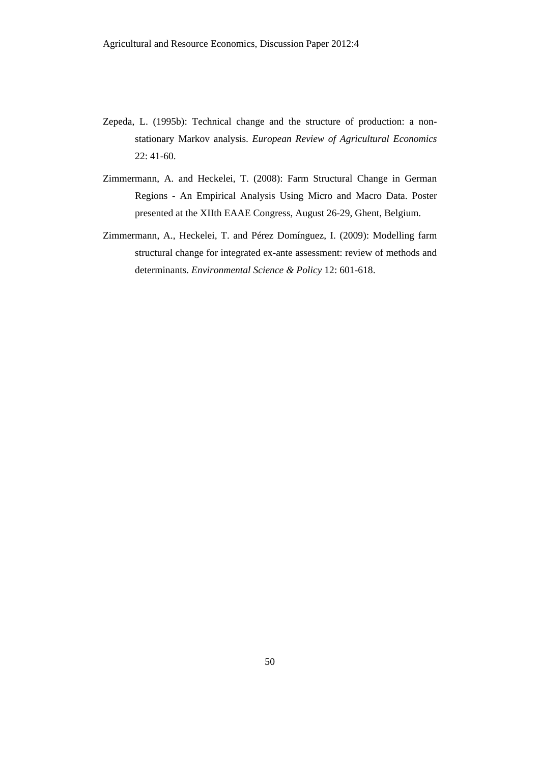- Zepeda, L. (1995b): Technical change and the structure of production: a nonstationary Markov analysis. *European Review of Agricultural Economics*  22: 41-60.
- Zimmermann, A. and Heckelei, T. (2008): Farm Structural Change in German Regions - An Empirical Analysis Using Micro and Macro Data. Poster presented at the XIIth EAAE Congress, August 26-29, Ghent, Belgium.
- Zimmermann, A., Heckelei, T. and Pérez Domínguez, I. (2009): Modelling farm structural change for integrated ex-ante assessment: review of methods and determinants. *Environmental Science & Policy* 12: 601-618.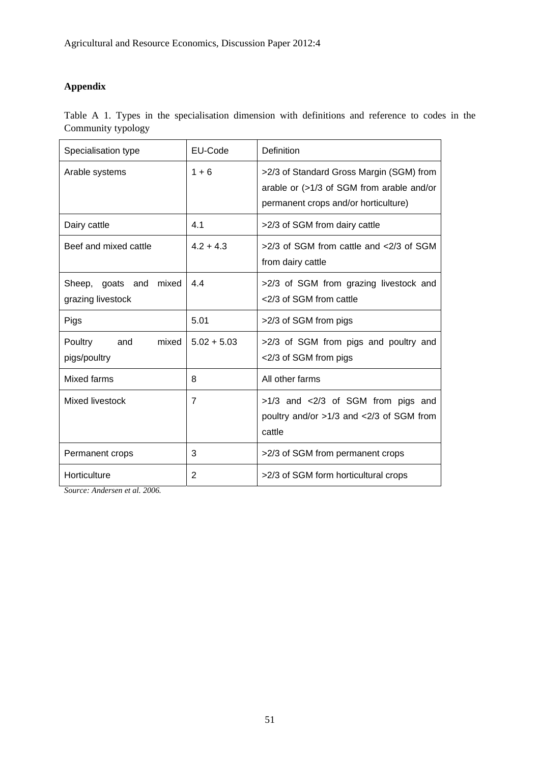# **Appendix**

Table A 1. Types in the specialisation dimension with definitions and reference to codes in the Community typology

| Specialisation type                            | EU-Code        | Definition                                                                                                                    |
|------------------------------------------------|----------------|-------------------------------------------------------------------------------------------------------------------------------|
| Arable systems                                 | $1 + 6$        | >2/3 of Standard Gross Margin (SGM) from<br>arable or (>1/3 of SGM from arable and/or<br>permanent crops and/or horticulture) |
| Dairy cattle                                   | 4.1            | >2/3 of SGM from dairy cattle                                                                                                 |
| Beef and mixed cattle                          | $4.2 + 4.3$    | >2/3 of SGM from cattle and <2/3 of SGM<br>from dairy cattle                                                                  |
| mixed<br>Sheep, goats and<br>grazing livestock | 4.4            | >2/3 of SGM from grazing livestock and<br><2/3 of SGM from cattle                                                             |
| Pigs                                           | 5.01           | >2/3 of SGM from pigs                                                                                                         |
| Poultry<br>and<br>mixed<br>pigs/poultry        | $5.02 + 5.03$  | >2/3 of SGM from pigs and poultry and<br><2/3 of SGM from pigs                                                                |
| Mixed farms                                    | 8              | All other farms                                                                                                               |
| Mixed livestock                                | $\overline{7}$ | >1/3 and <2/3 of SGM from pigs and<br>poultry and/or >1/3 and <2/3 of SGM from<br>cattle                                      |
| Permanent crops                                | 3              | >2/3 of SGM from permanent crops                                                                                              |
| Horticulture                                   | 2              | >2/3 of SGM form horticultural crops                                                                                          |

*Source: Andersen et al. 2006.*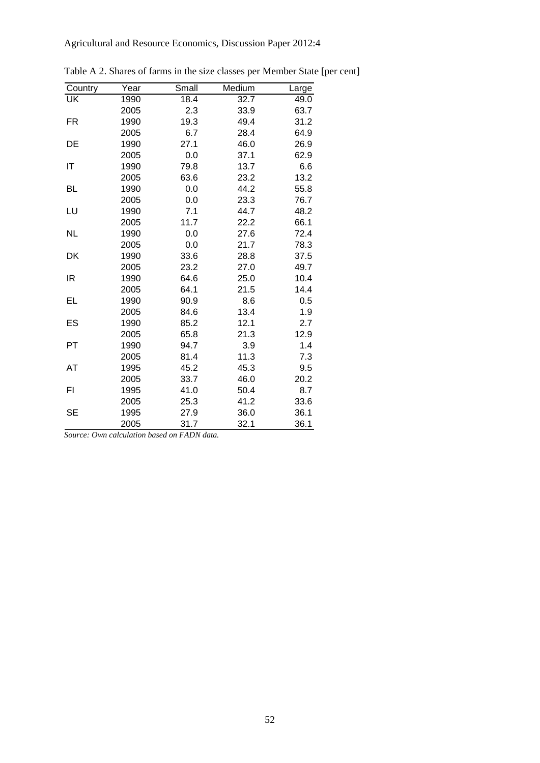| Country   | Year | Small | Medium | Large |
|-----------|------|-------|--------|-------|
| <b>UK</b> | 1990 | 18.4  | 32.7   | 49.0  |
|           | 2005 | 2.3   | 33.9   | 63.7  |
| FR.       | 1990 | 19.3  | 49.4   | 31.2  |
|           | 2005 | 6.7   | 28.4   | 64.9  |
| DE        | 1990 | 27.1  | 46.0   | 26.9  |
|           | 2005 | 0.0   | 37.1   | 62.9  |
| IT        | 1990 | 79.8  | 13.7   | 6.6   |
|           | 2005 | 63.6  | 23.2   | 13.2  |
| <b>BL</b> | 1990 | 0.0   | 44.2   | 55.8  |
|           | 2005 | 0.0   | 23.3   | 76.7  |
| LU        | 1990 | 7.1   | 44.7   | 48.2  |
|           | 2005 | 11.7  | 22.2   | 66.1  |
| <b>NL</b> | 1990 | 0.0   | 27.6   | 72.4  |
|           | 2005 | 0.0   | 21.7   | 78.3  |
| DK        | 1990 | 33.6  | 28.8   | 37.5  |
|           | 2005 | 23.2  | 27.0   | 49.7  |
| IR        | 1990 | 64.6  | 25.0   | 10.4  |
|           | 2005 | 64.1  | 21.5   | 14.4  |
| EL        | 1990 | 90.9  | 8.6    | 0.5   |
|           | 2005 | 84.6  | 13.4   | 1.9   |
| ES        | 1990 | 85.2  | 12.1   | 2.7   |
|           | 2005 | 65.8  | 21.3   | 12.9  |
| PT        | 1990 | 94.7  | 3.9    | 1.4   |
|           | 2005 | 81.4  | 11.3   | 7.3   |
| AT        | 1995 | 45.2  | 45.3   | 9.5   |
|           | 2005 | 33.7  | 46.0   | 20.2  |
| FI        | 1995 | 41.0  | 50.4   | 8.7   |
|           | 2005 | 25.3  | 41.2   | 33.6  |
| <b>SE</b> | 1995 | 27.9  | 36.0   | 36.1  |
|           | 2005 | 31.7  | 32.1   | 36.1  |

Table A 2. Shares of farms in the size classes per Member State [per cent]

*Source: Own calculation based on FADN data.*